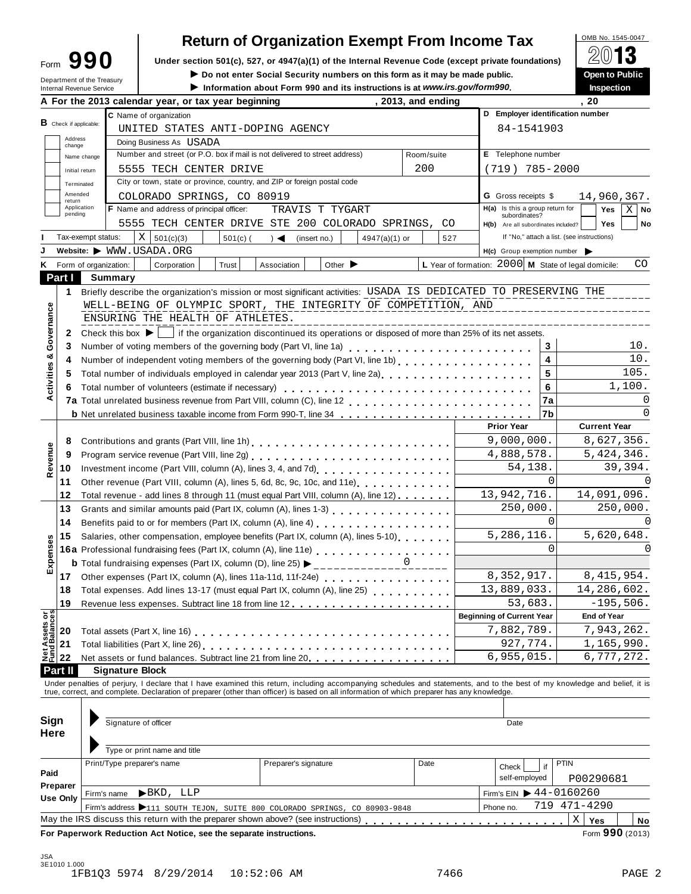| Form                       |  | 990 |
|----------------------------|--|-----|
| Department of the Treasury |  |     |

# **Return of Organization Exempt From Income Tax**<br>section 501(c), 527, or 4947(a)(1) of the Internal Revenue Code (except private foundations)

**Example 1990** Under section 501(c), 527, or 4947(a)(1) of the Internal Revenue Code (except private foundations) <u>A</u><sup>∪</sup> **i 3**<br>Do not enter Social Security numbers on this form as it may be made public. **Open to Public** 

 $\blacktriangleright$  Do not enter Social Security numbers on this form as it may be made public.

Information about Form 990 and its instructions is at www.irs.gov/form990.

|                                        |                          | шеша кеуеще земсе                                                                                       |                                                                                                                                                    | A For the 2013 calendar year, or tax year beginning                                                                                                          |            |                                                                                                 |                             | $\sim$ mormation about I omn 330 and its msuucuoiis is at www.irs.gov/form330. |                    | , 2013, and ending |  |                                                      |              | пьреспоп<br>. 20                                                                                                                                                           |
|----------------------------------------|--------------------------|---------------------------------------------------------------------------------------------------------|----------------------------------------------------------------------------------------------------------------------------------------------------|--------------------------------------------------------------------------------------------------------------------------------------------------------------|------------|-------------------------------------------------------------------------------------------------|-----------------------------|--------------------------------------------------------------------------------|--------------------|--------------------|--|------------------------------------------------------|--------------|----------------------------------------------------------------------------------------------------------------------------------------------------------------------------|
|                                        |                          |                                                                                                         |                                                                                                                                                    | C Name of organization                                                                                                                                       |            |                                                                                                 |                             |                                                                                |                    |                    |  | D Employer identification number                     |              |                                                                                                                                                                            |
|                                        | $B$ Check if applicable: |                                                                                                         | UNITED STATES ANTI-DOPING AGENCY                                                                                                                   |                                                                                                                                                              |            |                                                                                                 |                             |                                                                                |                    | 84-1541903         |  |                                                      |              |                                                                                                                                                                            |
|                                        | Address                  |                                                                                                         |                                                                                                                                                    | Doing Business As USADA                                                                                                                                      |            |                                                                                                 |                             |                                                                                |                    |                    |  |                                                      |              |                                                                                                                                                                            |
|                                        | change                   | Number and street (or P.O. box if mail is not delivered to street address)<br>Room/suite<br>Name change |                                                                                                                                                    |                                                                                                                                                              |            |                                                                                                 |                             |                                                                                | E Telephone number |                    |  |                                                      |              |                                                                                                                                                                            |
|                                        |                          |                                                                                                         | 200<br>5555 TECH CENTER DRIVE                                                                                                                      |                                                                                                                                                              |            |                                                                                                 |                             |                                                                                | $(719) 785 - 2000$ |                    |  |                                                      |              |                                                                                                                                                                            |
|                                        |                          | Initial return                                                                                          | City or town, state or province, country, and ZIP or foreign postal code                                                                           |                                                                                                                                                              |            |                                                                                                 |                             |                                                                                |                    |                    |  |                                                      |              |                                                                                                                                                                            |
|                                        | Terminated<br>Amended    |                                                                                                         |                                                                                                                                                    | COLORADO SPRINGS, CO 80919                                                                                                                                   |            |                                                                                                 |                             |                                                                                |                    |                    |  | <b>G</b> Gross receipts \$                           |              | 14,960,367.                                                                                                                                                                |
|                                        | return<br>Application    |                                                                                                         |                                                                                                                                                    | <b>F</b> Name and address of principal officer:                                                                                                              |            | TRAVIS T TYGART                                                                                 |                             |                                                                                |                    |                    |  | H(a) Is this a group return for                      |              | Yes<br>$X \mid$ No                                                                                                                                                         |
|                                        | pending                  |                                                                                                         |                                                                                                                                                    | 5555 TECH CENTER DRIVE STE 200 COLORADO SPRINGS, CO                                                                                                          |            |                                                                                                 |                             |                                                                                |                    |                    |  | subordinates?                                        |              |                                                                                                                                                                            |
|                                        |                          |                                                                                                         |                                                                                                                                                    | Χ                                                                                                                                                            |            |                                                                                                 |                             |                                                                                |                    |                    |  | H(b) Are all subordinates included?                  |              | Yes<br>No<br>If "No," attach a list. (see instructions)                                                                                                                    |
|                                        |                          | Tax-exempt status:                                                                                      |                                                                                                                                                    | 501(c)(3)<br>Website: WWW.USADA.ORG                                                                                                                          | $501(c)$ ( | $\rightarrow$                                                                                   | (insert no.)                | $4947(a)(1)$ or                                                                |                    | 527                |  |                                                      |              |                                                                                                                                                                            |
|                                        |                          |                                                                                                         |                                                                                                                                                    |                                                                                                                                                              |            |                                                                                                 |                             |                                                                                |                    |                    |  | $H(c)$ Group exemption number $\triangleright$       |              |                                                                                                                                                                            |
| ĸ                                      |                          | Form of organization:                                                                                   |                                                                                                                                                    | Corporation                                                                                                                                                  | Trust      | Association                                                                                     | Other $\blacktriangleright$ |                                                                                |                    |                    |  | L Year of formation: 2000 M State of legal domicile: |              | CO                                                                                                                                                                         |
|                                        | Part I                   |                                                                                                         | Summary                                                                                                                                            |                                                                                                                                                              |            |                                                                                                 |                             |                                                                                |                    |                    |  |                                                      |              |                                                                                                                                                                            |
|                                        | 1                        |                                                                                                         |                                                                                                                                                    | Briefly describe the organization's mission or most significant activities: USADA IS DEDICATED TO PRESERVING THE                                             |            |                                                                                                 |                             |                                                                                |                    |                    |  |                                                      |              |                                                                                                                                                                            |
| Governance                             |                          |                                                                                                         |                                                                                                                                                    | WELL-BEING OF OLYMPIC SPORT, THE INTEGRITY OF COMPETITION, AND                                                                                               |            |                                                                                                 |                             |                                                                                |                    |                    |  |                                                      |              |                                                                                                                                                                            |
|                                        |                          |                                                                                                         |                                                                                                                                                    | ENSURING THE HEALTH OF ATHLETES.                                                                                                                             |            |                                                                                                 |                             |                                                                                |                    |                    |  | ____________                                         |              |                                                                                                                                                                            |
|                                        | 2                        | Check this box $\blacktriangleright$                                                                    |                                                                                                                                                    |                                                                                                                                                              |            | if the organization discontinued its operations or disposed of more than 25% of its net assets. |                             |                                                                                |                    |                    |  |                                                      |              |                                                                                                                                                                            |
|                                        | 3                        |                                                                                                         |                                                                                                                                                    |                                                                                                                                                              |            |                                                                                                 |                             |                                                                                |                    |                    |  |                                                      | 3            | 10.                                                                                                                                                                        |
| Activities &                           | 4                        |                                                                                                         |                                                                                                                                                    |                                                                                                                                                              |            |                                                                                                 |                             |                                                                                |                    |                    |  |                                                      | 4            | 10.                                                                                                                                                                        |
|                                        | 5                        |                                                                                                         |                                                                                                                                                    | Total number of individuals employed in calendar year 2013 (Part V, line 2a)<br>Total number of individuals employed in calendar year 2013 (Part V, line 2a) |            |                                                                                                 |                             |                                                                                |                    |                    |  |                                                      | 5            | 105.                                                                                                                                                                       |
|                                        | 6                        |                                                                                                         |                                                                                                                                                    | Total number of volunteers (estimate if necessary)                                                                                                           |            |                                                                                                 |                             |                                                                                |                    |                    |  |                                                      | 6            | 1,100.                                                                                                                                                                     |
|                                        |                          |                                                                                                         |                                                                                                                                                    |                                                                                                                                                              |            |                                                                                                 |                             |                                                                                |                    |                    |  |                                                      | 7a           | 0                                                                                                                                                                          |
|                                        |                          |                                                                                                         |                                                                                                                                                    | b Net unrelated business taxable income from Form 990-T, line 34                                                                                             |            |                                                                                                 |                             |                                                                                |                    |                    |  |                                                      | 7b           | $\Omega$                                                                                                                                                                   |
|                                        |                          |                                                                                                         |                                                                                                                                                    |                                                                                                                                                              |            |                                                                                                 |                             |                                                                                |                    |                    |  | <b>Prior Year</b>                                    |              | <b>Current Year</b>                                                                                                                                                        |
|                                        | 8                        |                                                                                                         |                                                                                                                                                    | Contributions and grants (Part VIII, line 1h)                                                                                                                |            |                                                                                                 |                             |                                                                                |                    |                    |  | 9,000,000.                                           |              | 8,627,356.                                                                                                                                                                 |
| Revenue                                | 9                        |                                                                                                         |                                                                                                                                                    | Program service revenue (Part VIII, line 2g)<br>                                                                                                             |            |                                                                                                 |                             |                                                                                |                    |                    |  | 4,888,578.                                           |              | 5,424,346.                                                                                                                                                                 |
|                                        | 10                       |                                                                                                         |                                                                                                                                                    |                                                                                                                                                              |            |                                                                                                 |                             |                                                                                |                    |                    |  | 54,138.                                              |              | 39,394.                                                                                                                                                                    |
|                                        | 11                       |                                                                                                         |                                                                                                                                                    | Other revenue (Part VIII, column (A), lines 5, 6d, 8c, 9c, 10c, and 11e)                                                                                     |            |                                                                                                 |                             |                                                                                |                    |                    |  |                                                      | $\Omega$     |                                                                                                                                                                            |
|                                        | 12                       |                                                                                                         |                                                                                                                                                    | Total revenue - add lines 8 through 11 (must equal Part VIII, column (A), line 12)                                                                           |            |                                                                                                 |                             |                                                                                |                    |                    |  | 13,942,716.                                          |              | 14,091,096.                                                                                                                                                                |
|                                        | 13                       |                                                                                                         |                                                                                                                                                    | Grants and similar amounts paid (Part IX, column (A), lines 1-3)                                                                                             |            |                                                                                                 |                             |                                                                                |                    |                    |  | 250,000.                                             |              | 250,000.                                                                                                                                                                   |
|                                        | 14                       |                                                                                                         | Benefits paid to or for members (Part IX, column (A), line 4)<br>Salaries, other compensation, employee benefits (Part IX, column (A), lines 5-10) |                                                                                                                                                              |            |                                                                                                 |                             |                                                                                |                    |                    |  | $\Omega$                                             | <sup>0</sup> |                                                                                                                                                                            |
|                                        | 15                       |                                                                                                         |                                                                                                                                                    |                                                                                                                                                              |            |                                                                                                 |                             |                                                                                |                    |                    |  | 5,286,116.                                           |              | 5,620,648.                                                                                                                                                                 |
| Expenses                               |                          |                                                                                                         |                                                                                                                                                    | 16a Professional fundraising fees (Part IX, column (A), line 11e)<br>16a Professional fundraising fees (Part IX, column (A), line 11e)                       |            |                                                                                                 |                             |                                                                                |                    |                    |  |                                                      | $\Omega$     |                                                                                                                                                                            |
|                                        |                          |                                                                                                         |                                                                                                                                                    | <b>b</b> Total fundraising expenses (Part IX, column (D), line 25) $\blacktriangleright$                                                                     |            |                                                                                                 |                             |                                                                                |                    |                    |  |                                                      |              |                                                                                                                                                                            |
|                                        | 17                       |                                                                                                         |                                                                                                                                                    |                                                                                                                                                              |            |                                                                                                 |                             |                                                                                |                    |                    |  | 8,352,917.                                           |              | 8, 415, 954.                                                                                                                                                               |
|                                        | 18                       |                                                                                                         |                                                                                                                                                    | Total expenses. Add lines 13-17 (must equal Part IX, column (A), line 25)                                                                                    |            |                                                                                                 |                             | .                                                                              |                    |                    |  | 13,889,033.                                          |              | 14,286,602.                                                                                                                                                                |
|                                        | 19                       |                                                                                                         |                                                                                                                                                    |                                                                                                                                                              |            |                                                                                                 |                             |                                                                                |                    |                    |  | 53,683.                                              |              | $-195,506.$                                                                                                                                                                |
| <b>Net Assets or<br/>Fund Balances</b> |                          |                                                                                                         |                                                                                                                                                    |                                                                                                                                                              |            |                                                                                                 |                             |                                                                                |                    |                    |  | <b>Beginning of Current Year</b>                     |              | <b>End of Year</b>                                                                                                                                                         |
|                                        | 20                       |                                                                                                         |                                                                                                                                                    | Total assets (Part X, line 16) <b>Container and Street and Tarac</b> ter and Taracter and Taracter                                                           |            |                                                                                                 |                             |                                                                                |                    |                    |  | 7,882,789.                                           |              | 7,943,262.                                                                                                                                                                 |
|                                        | 21                       |                                                                                                         |                                                                                                                                                    | Total liabilities (Part X, line 26)                                                                                                                          |            |                                                                                                 |                             |                                                                                |                    |                    |  | 927,774.                                             |              | 1,165,990.                                                                                                                                                                 |
|                                        | 22                       |                                                                                                         |                                                                                                                                                    | Net assets or fund balances. Subtract line 21 from line 20.                                                                                                  |            |                                                                                                 |                             |                                                                                |                    |                    |  | 6,955,015.                                           |              | 6,777,272.                                                                                                                                                                 |
|                                        | Part II                  |                                                                                                         |                                                                                                                                                    | <b>Signature Block</b>                                                                                                                                       |            |                                                                                                 |                             |                                                                                |                    |                    |  |                                                      |              |                                                                                                                                                                            |
|                                        |                          |                                                                                                         |                                                                                                                                                    | true, correct, and complete. Declaration of preparer (other than officer) is based on all information of which preparer has any knowledge.                   |            |                                                                                                 |                             |                                                                                |                    |                    |  |                                                      |              | Under penalties of perjury, I declare that I have examined this return, including accompanying schedules and statements, and to the best of my knowledge and belief, it is |
|                                        |                          |                                                                                                         |                                                                                                                                                    |                                                                                                                                                              |            |                                                                                                 |                             |                                                                                |                    |                    |  |                                                      |              |                                                                                                                                                                            |
| Sign                                   |                          |                                                                                                         |                                                                                                                                                    | Signature of officer                                                                                                                                         |            |                                                                                                 |                             |                                                                                |                    |                    |  | Date                                                 |              |                                                                                                                                                                            |
| Here                                   |                          |                                                                                                         |                                                                                                                                                    |                                                                                                                                                              |            |                                                                                                 |                             |                                                                                |                    |                    |  |                                                      |              |                                                                                                                                                                            |
|                                        |                          |                                                                                                         |                                                                                                                                                    |                                                                                                                                                              |            |                                                                                                 |                             |                                                                                |                    |                    |  |                                                      |              |                                                                                                                                                                            |
|                                        |                          |                                                                                                         |                                                                                                                                                    | Type or print name and title                                                                                                                                 |            |                                                                                                 |                             |                                                                                |                    |                    |  |                                                      |              |                                                                                                                                                                            |
| Paid                                   |                          |                                                                                                         |                                                                                                                                                    | Print/Type preparer's name                                                                                                                                   |            | Preparer's signature                                                                            |                             |                                                                                | Date               |                    |  | Check                                                | if           | PTIN                                                                                                                                                                       |
|                                        | Preparer                 |                                                                                                         |                                                                                                                                                    |                                                                                                                                                              |            |                                                                                                 |                             |                                                                                |                    |                    |  | self-employed                                        |              | P00290681                                                                                                                                                                  |
|                                        | Use Only                 | Firm's name                                                                                             |                                                                                                                                                    | $\blacktriangleright$ BKD, LLP                                                                                                                               |            |                                                                                                 |                             |                                                                                |                    |                    |  | Firm's EIN > 44-0160260                              |              |                                                                                                                                                                            |
|                                        |                          |                                                                                                         |                                                                                                                                                    | Firm's address 111 SOUTH TEJON, SUITE 800 COLORADO SPRINGS, CO 80903-9848                                                                                    |            |                                                                                                 |                             |                                                                                |                    |                    |  | Phone no.                                            |              | 719 471-4290                                                                                                                                                               |
|                                        |                          |                                                                                                         |                                                                                                                                                    | May the IRS discuss this return with the preparer shown above? (see instructions)                                                                            |            |                                                                                                 |                             |                                                                                |                    |                    |  |                                                      |              | Χ<br>Yes<br>No                                                                                                                                                             |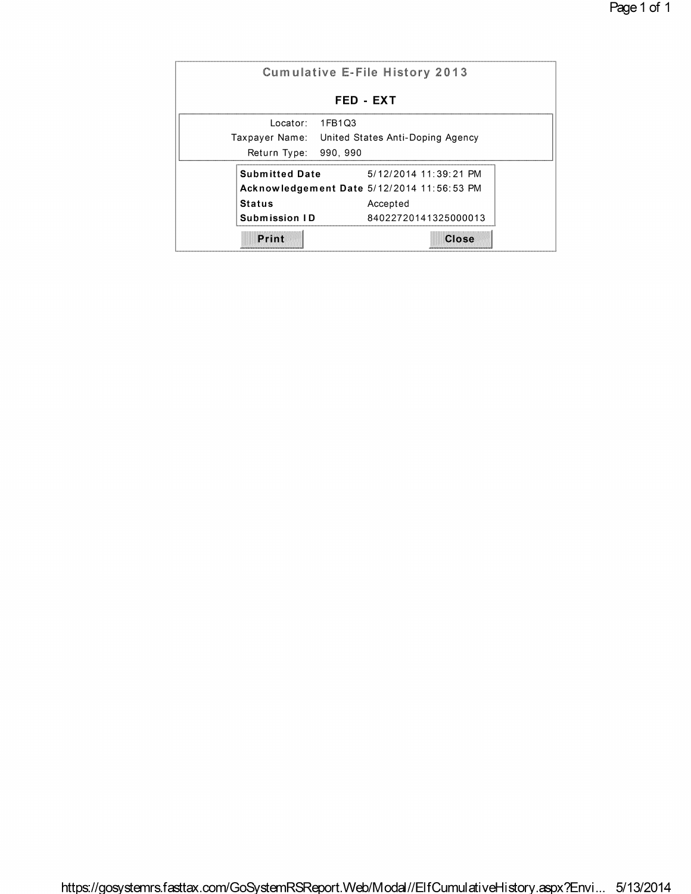|                       | Cumulative E-File History 2013                  |
|-----------------------|-------------------------------------------------|
|                       | <b>FED - EXT</b>                                |
| Locator:              | 1FB1Q3                                          |
|                       | Taxpayer Name: United States Anti-Doping Agency |
| Return Type:          | 990, 990                                        |
| <b>Submitted Date</b> | 5/12/2014 11:39:21 PM                           |
|                       | Acknowledgement Date 5/12/2014 11:56:53 PM      |
| <b>Status</b>         | Accepted                                        |
| Submission ID         | 84022720141325000013                            |
| Print                 | Close                                           |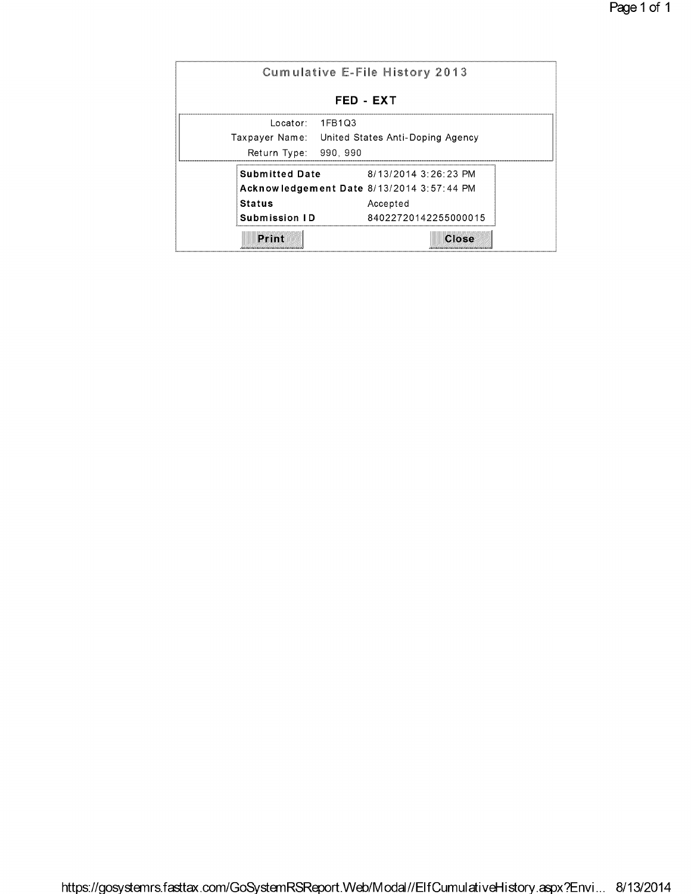|                       | <b>Cumulative E-File History 2013</b>           |
|-----------------------|-------------------------------------------------|
|                       | FED - EXT                                       |
| Locator:              | 1FB1Q3                                          |
|                       | Taxpayer Name: United States Anti-Doping Agency |
| Return Type:          | 990, 990                                        |
| <b>Submitted Date</b> | 8/13/2014 3:26:23 PM                            |
|                       | Acknowledgement Date 8/13/2014 3:57:44 PM       |
| Status                | Accepted                                        |
| Submission ID         | 84022720142255000015                            |
| Print                 | Close                                           |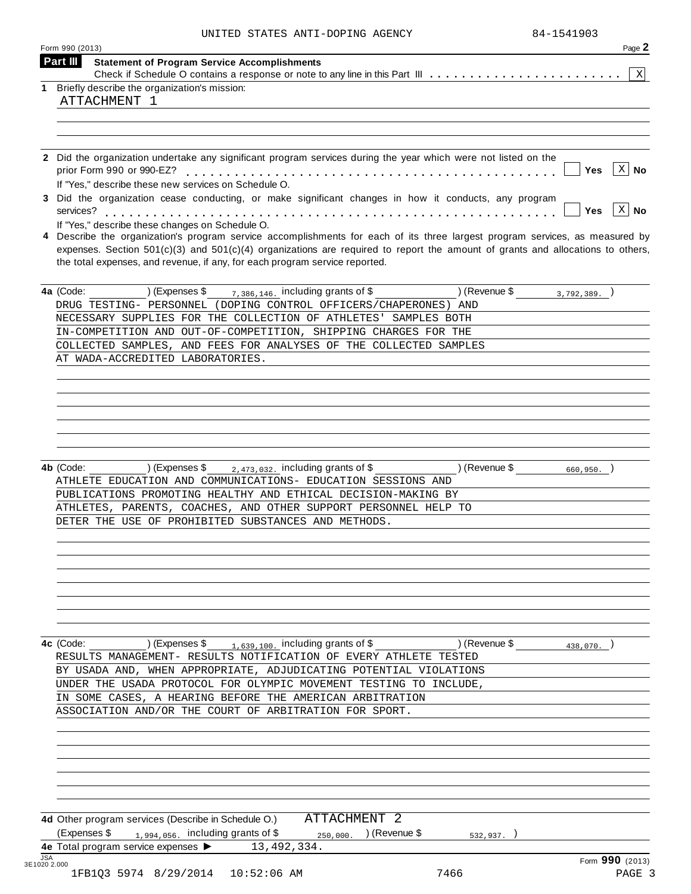|  |  | UNITED STATES ANTI-DOPING AGENCY |  |
|--|--|----------------------------------|--|
|--|--|----------------------------------|--|

|            | Form 990 (2013)<br>Page 2<br>Part III<br><b>Statement of Program Service Accomplishments</b>                                               |
|------------|--------------------------------------------------------------------------------------------------------------------------------------------|
|            | -X I                                                                                                                                       |
| 1          | Briefly describe the organization's mission:                                                                                               |
|            | ATTACHMENT 1                                                                                                                               |
|            |                                                                                                                                            |
|            |                                                                                                                                            |
|            |                                                                                                                                            |
|            | 2 Did the organization undertake any significant program services during the year which were not listed on the                             |
|            | $ X $ No<br>Yes                                                                                                                            |
|            | If "Yes," describe these new services on Schedule O.                                                                                       |
|            | 3 Did the organization cease conducting, or make significant changes in how it conducts, any program<br>$\vert$ X $\vert$ No<br><b>Yes</b> |
|            | If "Yes," describe these changes on Schedule O.                                                                                            |
|            | 4 Describe the organization's program service accomplishments for each of its three largest program services, as measured by               |
|            | expenses. Section $501(c)(3)$ and $501(c)(4)$ organizations are required to report the amount of grants and allocations to others,         |
|            | the total expenses, and revenue, if any, for each program service reported.                                                                |
|            |                                                                                                                                            |
|            | $($ Revenue \$ $(3,792,389.)$<br>$\frac{7,386,146}{ }$ including grants of \$<br>4a (Code:<br>) (Expenses \$                               |
|            | DRUG TESTING- PERSONNEL (DOPING CONTROL OFFICERS/CHAPERONES) AND                                                                           |
|            | NECESSARY SUPPLIES FOR THE COLLECTION OF ATHLETES' SAMPLES BOTH                                                                            |
|            | IN-COMPETITION AND OUT-OF-COMPETITION, SHIPPING CHARGES FOR THE                                                                            |
|            | COLLECTED SAMPLES, AND FEES FOR ANALYSES OF THE COLLECTED SAMPLES                                                                          |
|            | AT WADA-ACCREDITED LABORATORIES.                                                                                                           |
|            |                                                                                                                                            |
|            |                                                                                                                                            |
|            |                                                                                                                                            |
|            |                                                                                                                                            |
|            |                                                                                                                                            |
|            |                                                                                                                                            |
|            |                                                                                                                                            |
|            |                                                                                                                                            |
|            | 4b (Code:<br>$2,473,032$ , including grants of \$<br>) (Revenue \$<br>) (Expenses \$<br>$660,950.$ )                                       |
|            | ATHLETE EDUCATION AND COMMUNICATIONS- EDUCATION SESSIONS AND                                                                               |
|            | PUBLICATIONS PROMOTING HEALTHY AND ETHICAL DECISION-MAKING BY                                                                              |
|            | ATHLETES, PARENTS, COACHES, AND OTHER SUPPORT PERSONNEL HELP TO                                                                            |
|            | DETER THE USE OF PROHIBITED SUBSTANCES AND METHODS.                                                                                        |
|            |                                                                                                                                            |
|            |                                                                                                                                            |
|            |                                                                                                                                            |
|            |                                                                                                                                            |
|            |                                                                                                                                            |
|            |                                                                                                                                            |
|            |                                                                                                                                            |
|            |                                                                                                                                            |
|            | $1,639,100$ . including grants of \$<br>) (Revenue \$<br>4c (Code:<br>) (Expenses \$<br>438,070.                                           |
|            | RESULTS MANAGEMENT- RESULTS NOTIFICATION OF EVERY ATHLETE TESTED                                                                           |
|            | BY USADA AND, WHEN APPROPRIATE, ADJUDICATING POTENTIAL VIOLATIONS                                                                          |
|            | UNDER THE USADA PROTOCOL FOR OLYMPIC MOVEMENT TESTING TO INCLUDE,                                                                          |
|            | IN SOME CASES, A HEARING BEFORE THE AMERICAN ARBITRATION                                                                                   |
|            |                                                                                                                                            |
|            |                                                                                                                                            |
|            | ASSOCIATION AND/OR THE COURT OF ARBITRATION FOR SPORT.                                                                                     |
|            |                                                                                                                                            |
|            |                                                                                                                                            |
|            |                                                                                                                                            |
|            |                                                                                                                                            |
|            |                                                                                                                                            |
|            |                                                                                                                                            |
|            |                                                                                                                                            |
|            | ATTACHMENT 2<br>4d Other program services (Describe in Schedule O.)                                                                        |
|            | (Expenses \$<br>$_{1,994,056}$ including grants of \$<br>) (Revenue \$<br>250,000.<br>532,937.                                             |
|            | 4e Total program service expenses > 13,492,334.                                                                                            |
| <b>JSA</b> | Form 990 (2013)<br>3E1020 2.000                                                                                                            |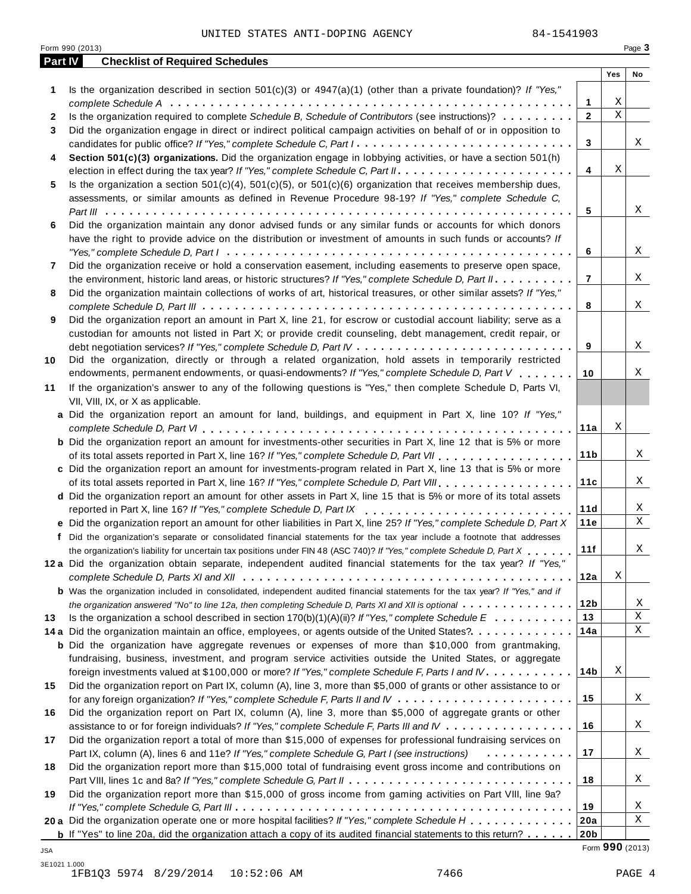|                | Form 990 (2013)                                                                                                                     |             | Page 3                  |
|----------------|-------------------------------------------------------------------------------------------------------------------------------------|-------------|-------------------------|
| <b>Part IV</b> | <b>Checklist of Required Schedules</b>                                                                                              |             |                         |
|                |                                                                                                                                     | Yes         | No                      |
| 1              | Is the organization described in section $501(c)(3)$ or $4947(a)(1)$ (other than a private foundation)? If "Yes,"                   |             |                         |
|                | 1                                                                                                                                   | Χ           |                         |
| 2              | Is the organization required to complete Schedule B, Schedule of Contributors (see instructions)?<br>$\mathbf{2}$                   | $\mathbf X$ |                         |
| 3              | Did the organization engage in direct or indirect political campaign activities on behalf of or in opposition to                    |             |                         |
|                | candidates for public office? If "Yes," complete Schedule C, Part I.<br>3                                                           |             | Χ                       |
| 4              | Section 501(c)(3) organizations. Did the organization engage in lobbying activities, or have a section 501(h)                       |             |                         |
|                | 4                                                                                                                                   | Χ           |                         |
| 5              | Is the organization a section $501(c)(4)$ , $501(c)(5)$ , or $501(c)(6)$ organization that receives membership dues,                |             |                         |
|                | assessments, or similar amounts as defined in Revenue Procedure 98-19? If "Yes," complete Schedule C,                               |             |                         |
|                | 5                                                                                                                                   |             | Χ                       |
| 6              | Did the organization maintain any donor advised funds or any similar funds or accounts for which donors                             |             |                         |
|                | have the right to provide advice on the distribution or investment of amounts in such funds or accounts? If                         |             |                         |
|                | 6                                                                                                                                   |             | Χ                       |
| 7              | Did the organization receive or hold a conservation easement, including easements to preserve open space,                           |             |                         |
|                | $\overline{7}$<br>the environment, historic land areas, or historic structures? If "Yes," complete Schedule D, Part II.             |             | Χ                       |
| 8              | Did the organization maintain collections of works of art, historical treasures, or other similar assets? If "Yes,"                 |             |                         |
|                | 8                                                                                                                                   |             | Χ                       |
| 9              | Did the organization report an amount in Part X, line 21, for escrow or custodial account liability; serve as a                     |             |                         |
|                | custodian for amounts not listed in Part X; or provide credit counseling, debt management, credit repair, or<br>9                   |             | Χ                       |
|                | Did the organization, directly or through a related organization, hold assets in temporarily restricted                             |             |                         |
| 10             | endowments, permanent endowments, or quasi-endowments? If "Yes," complete Schedule D, Part V<br>10                                  |             | Χ                       |
| 11             | If the organization's answer to any of the following questions is "Yes," then complete Schedule D, Parts VI,                        |             |                         |
|                | VII, VIII, IX, or X as applicable.                                                                                                  |             |                         |
|                | a Did the organization report an amount for land, buildings, and equipment in Part X, line 10? If "Yes,"                            |             |                         |
|                | 11a                                                                                                                                 | Χ           |                         |
|                | <b>b</b> Did the organization report an amount for investments-other securities in Part X, line 12 that is 5% or more               |             |                         |
|                | of its total assets reported in Part X, line 16? If "Yes," complete Schedule D, Part VII<br>11 <sub>b</sub>                         |             | Χ                       |
|                | c Did the organization report an amount for investments-program related in Part X, line 13 that is 5% or more                       |             |                         |
|                | of its total assets reported in Part X, line 16? If "Yes," complete Schedule D, Part VIII<br>11c                                    |             | Χ                       |
|                | d Did the organization report an amount for other assets in Part X, line 15 that is 5% or more of its total assets                  |             |                         |
|                | 11d<br>reported in Part X, line 16? If "Yes," complete Schedule D, Part IX                                                          |             | Χ                       |
|                | 11e<br>e Did the organization report an amount for other liabilities in Part X, line 25? If "Yes," complete Schedule D, Part X      |             | $\mathbf X$             |
|                | f Did the organization's separate or consolidated financial statements for the tax year include a footnote that addresses           |             |                         |
|                | 11f<br>the organization's liability for uncertain tax positions under FIN 48 (ASC 740)? If "Yes," complete Schedule D, Part X       |             | Χ                       |
|                | 12a Did the organization obtain separate, independent audited financial statements for the tax year? If "Yes,"                      |             |                         |
|                | 12a                                                                                                                                 | Χ           |                         |
|                | <b>b</b> Was the organization included in consolidated, independent audited financial statements for the tax year? If "Yes," and if |             |                         |
|                | 12 <sub>b</sub><br>the organization answered "No" to line 12a, then completing Schedule D, Parts XI and XII is optional             |             | X                       |
| 13             | 13<br>Is the organization a school described in section $170(b)(1)(A)(ii)?$ If "Yes," complete Schedule E                           |             | $\overline{\textbf{X}}$ |
|                | 14a<br>14 a Did the organization maintain an office, employees, or agents outside of the United States?.                            |             | Χ                       |
|                | <b>b</b> Did the organization have aggregate revenues or expenses of more than \$10,000 from grantmaking,                           |             |                         |
|                | fundraising, business, investment, and program service activities outside the United States, or aggregate                           |             |                         |
|                | 14b<br>foreign investments valued at \$100,000 or more? If "Yes," complete Schedule F, Parts I and IV                               | Χ           |                         |
| 15             | Did the organization report on Part IX, column (A), line 3, more than \$5,000 of grants or other assistance to or                   |             |                         |
|                | 15                                                                                                                                  |             | X                       |
| 16             | Did the organization report on Part IX, column (A), line 3, more than \$5,000 of aggregate grants or other                          |             |                         |
|                | 16<br>assistance to or for foreign individuals? If "Yes," complete Schedule F, Parts III and IV                                     |             | X                       |
| 17             | Did the organization report a total of more than \$15,000 of expenses for professional fundraising services on                      |             |                         |
|                | 17<br>Part IX, column (A), lines 6 and 11e? If "Yes," complete Schedule G, Part I (see instructions)<br>.                           |             | X                       |
| 18             | Did the organization report more than \$15,000 total of fundraising event gross income and contributions on                         |             |                         |
|                | 18                                                                                                                                  |             | X                       |
| 19             | Did the organization report more than \$15,000 of gross income from gaming activities on Part VIII, line 9a?                        |             |                         |
|                | 19                                                                                                                                  |             | X                       |
|                | 20 a Did the organization operate one or more hospital facilities? If "Yes," complete Schedule H<br>20a                             |             | $\mathbf X$             |
|                | 20b<br><b>b</b> If "Yes" to line 20a, did the organization attach a copy of its audited financial statements to this return?        |             |                         |

Form **990** (2013) JSA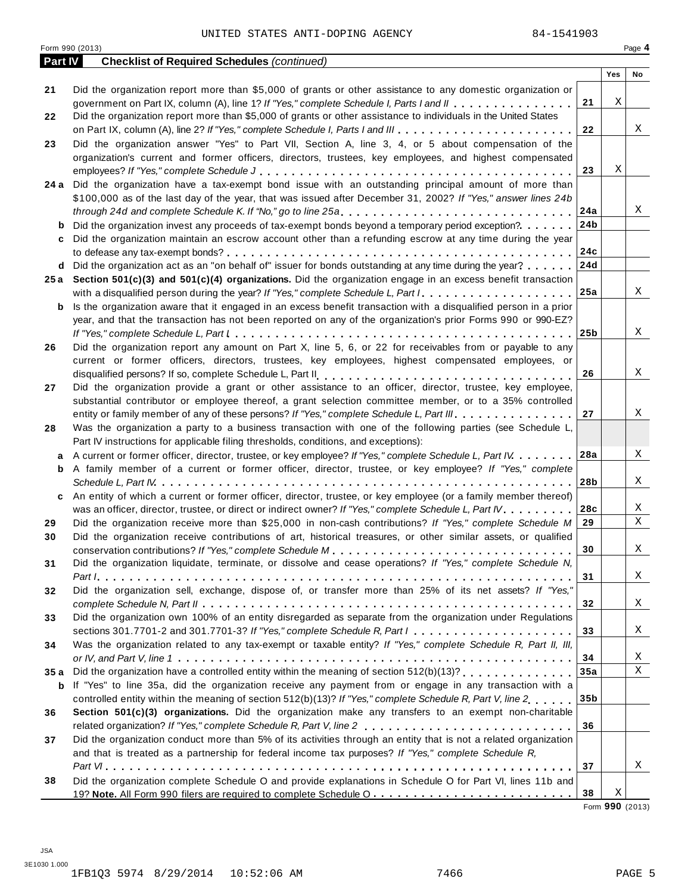### UNITED STATES ANTI-DOPING AGENCY 84-1541903

|                | Form 990 (2013)                                                                                                                   |                 |     | Page 4      |
|----------------|-----------------------------------------------------------------------------------------------------------------------------------|-----------------|-----|-------------|
| <b>Part IV</b> | <b>Checklist of Required Schedules (continued)</b>                                                                                |                 |     |             |
|                |                                                                                                                                   |                 | Yes | No          |
| 21             | Did the organization report more than \$5,000 of grants or other assistance to any domestic organization or                       |                 |     |             |
|                | government on Part IX, column (A), line 1? If "Yes," complete Schedule I, Parts I and II                                          | 21              | Χ   |             |
| 22             | Did the organization report more than \$5,000 of grants or other assistance to individuals in the United States                   |                 |     |             |
|                |                                                                                                                                   | 22              |     | Χ           |
| 23             | Did the organization answer "Yes" to Part VII, Section A, line 3, 4, or 5 about compensation of the                               |                 |     |             |
|                | organization's current and former officers, directors, trustees, key employees, and highest compensated                           |                 |     |             |
|                |                                                                                                                                   | 23              | Χ   |             |
| 24 a           | Did the organization have a tax-exempt bond issue with an outstanding principal amount of more than                               |                 |     |             |
|                | \$100,000 as of the last day of the year, that was issued after December 31, 2002? If "Yes," answer lines 24b                     |                 |     |             |
|                | through 24d and complete Schedule K. If "No," go to line 25a                                                                      | 24a             |     | Χ           |
| b              | Did the organization invest any proceeds of tax-exempt bonds beyond a temporary period exception?                                 | 24b             |     |             |
| c              | Did the organization maintain an escrow account other than a refunding escrow at any time during the year                         |                 |     |             |
|                |                                                                                                                                   | 24c             |     |             |
|                | <b>d</b> Did the organization act as an "on behalf of" issuer for bonds outstanding at any time during the year? $\ldots$         | 24d             |     |             |
| 25 a           | Section $501(c)(3)$ and $501(c)(4)$ organizations. Did the organization engage in an excess benefit transaction                   |                 |     |             |
|                | with a disqualified person during the year? If "Yes," complete Schedule L, Part I.                                                | 25a             |     | Χ           |
| b              | Is the organization aware that it engaged in an excess benefit transaction with a disqualified person in a prior                  |                 |     |             |
|                | year, and that the transaction has not been reported on any of the organization's prior Forms 990 or 990-EZ?                      |                 |     |             |
|                |                                                                                                                                   | 25 <sub>b</sub> |     | Χ           |
| 26             | Did the organization report any amount on Part X, line 5, 6, or 22 for receivables from or payable to any                         |                 |     |             |
|                | current or former officers, directors, trustees, key employees, highest compensated employees, or                                 |                 |     |             |
|                |                                                                                                                                   | 26              |     | Χ           |
| 27             | Did the organization provide a grant or other assistance to an officer, director, trustee, key employee,                          |                 |     |             |
|                | substantial contributor or employee thereof, a grant selection committee member, or to a 35% controlled                           |                 |     |             |
|                | entity or family member of any of these persons? If "Yes," complete Schedule L, Part III.                                         | 27              |     | Χ           |
| 28             | Was the organization a party to a business transaction with one of the following parties (see Schedule L,                         |                 |     |             |
|                | Part IV instructions for applicable filing thresholds, conditions, and exceptions):                                               | 28a             |     | Χ           |
| a              | A current or former officer, director, trustee, or key employee? If "Yes," complete Schedule L, Part IV                           |                 |     |             |
| b              | A family member of a current or former officer, director, trustee, or key employee? If "Yes," complete                            | 28b             |     | Χ           |
| c              | An entity of which a current or former officer, director, trustee, or key employee (or a family member thereof)                   |                 |     |             |
|                | was an officer, director, trustee, or direct or indirect owner? If "Yes," complete Schedule L, Part IV.                           | 28c             |     | Χ           |
| 29             | Did the organization receive more than \$25,000 in non-cash contributions? If "Yes," complete Schedule M                          | 29              |     | $\mathbf X$ |
| 30             | Did the organization receive contributions of art, historical treasures, or other similar assets, or qualified                    |                 |     |             |
|                |                                                                                                                                   | 30              |     | X           |
| 31             | Did the organization liquidate, terminate, or dissolve and cease operations? If "Yes," complete Schedule N,                       |                 |     |             |
|                |                                                                                                                                   | 31              |     | Χ           |
| 32             | Did the organization sell, exchange, dispose of, or transfer more than 25% of its net assets? If "Yes,"                           |                 |     |             |
|                |                                                                                                                                   | 32              |     | Χ           |
| 33             | Did the organization own 100% of an entity disregarded as separate from the organization under Regulations                        |                 |     |             |
|                | sections 301.7701-2 and 301.7701-3? If "Yes," complete Schedule R, Part $l_1, \ldots, l_l, \ldots, l_l, \ldots, l_l, \ldots, l_l$ | 33              |     | Χ           |
| 34             | Was the organization related to any tax-exempt or taxable entity? If "Yes," complete Schedule R, Part II, III,                    |                 |     |             |
|                |                                                                                                                                   | 34              |     | Χ           |
| 35 a           |                                                                                                                                   | 35a             |     | $\mathbf X$ |
| b              | If "Yes" to line 35a, did the organization receive any payment from or engage in any transaction with a                           |                 |     |             |
|                | controlled entity within the meaning of section 512(b)(13)? If "Yes," complete Schedule R, Part V, line 2.,,,,                    | 35 <sub>b</sub> |     |             |
| 36             | Section 501(c)(3) organizations. Did the organization make any transfers to an exempt non-charitable                              |                 |     |             |
|                |                                                                                                                                   | 36              |     |             |
| 37             | Did the organization conduct more than 5% of its activities through an entity that is not a related organization                  |                 |     |             |
|                | and that is treated as a partnership for federal income tax purposes? If "Yes," complete Schedule R,                              |                 |     |             |
|                |                                                                                                                                   | 37              |     | Χ           |
| 38             | Did the organization complete Schedule O and provide explanations in Schedule O for Part VI, lines 11b and                        |                 |     |             |
|                |                                                                                                                                   | 38              | Χ   |             |

Form **990** (2013)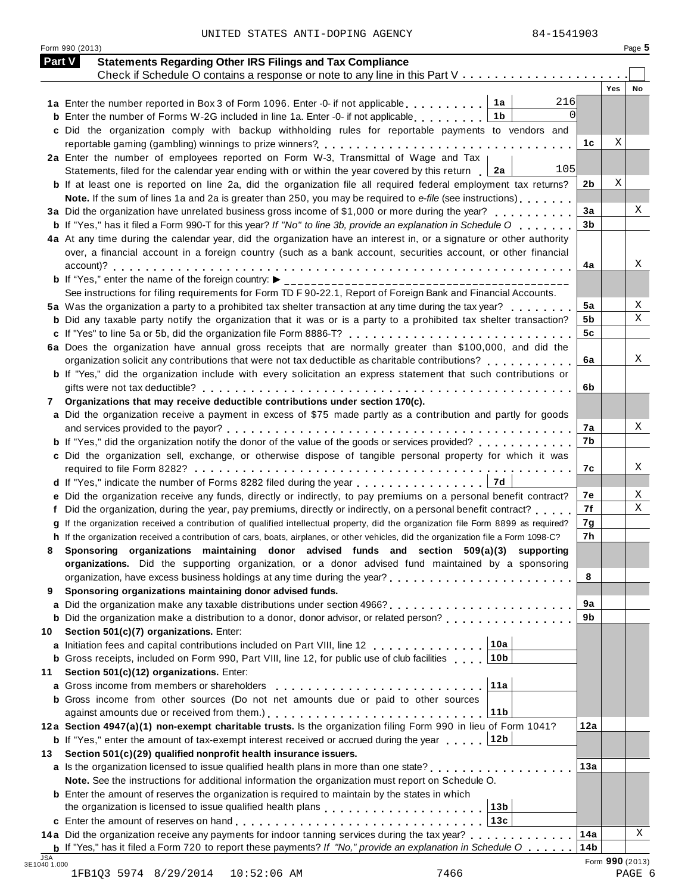|  | UNITED STATES ANTI-DOPING AGENCY |  |
|--|----------------------------------|--|
|  |                                  |  |

Form 990 (2013) Page **5**

|    | <b>Part V</b><br><b>Statements Regarding Other IRS Filings and Tax Compliance</b>                                                                                                                                                       |                        |            |    |
|----|-----------------------------------------------------------------------------------------------------------------------------------------------------------------------------------------------------------------------------------------|------------------------|------------|----|
|    | Check if Schedule O contains a response or note to any line in this Part V                                                                                                                                                              |                        | <b>Yes</b> | No |
|    | 216<br>1a<br>1a Enter the number reported in Box 3 of Form 1096. Enter -0- if not applicable                                                                                                                                            |                        |            |    |
|    | $\Omega$<br>1b<br><b>b</b> Enter the number of Forms W-2G included in line 1a. Enter -0- if not applicable                                                                                                                              |                        |            |    |
|    | c Did the organization comply with backup withholding rules for reportable payments to vendors and                                                                                                                                      |                        |            |    |
|    |                                                                                                                                                                                                                                         | 1с                     | Χ          |    |
|    | 2a Enter the number of employees reported on Form W-3, Transmittal of Wage and Tax                                                                                                                                                      |                        |            |    |
|    | 105<br>Statements, filed for the calendar year ending with or within the year covered by this return<br>2a                                                                                                                              |                        |            |    |
|    | <b>b</b> If at least one is reported on line 2a, did the organization file all required federal employment tax returns?                                                                                                                 | 2 <sub>b</sub>         | Χ          |    |
|    | Note. If the sum of lines 1a and 2a is greater than 250, you may be required to e-file (see instructions)                                                                                                                               |                        |            |    |
|    | 3a Did the organization have unrelated business gross income of \$1,000 or more during the year?                                                                                                                                        | 3a                     |            | Χ  |
|    | <b>b</b> If "Yes," has it filed a Form 990-T for this year? If "No" to line 3b, provide an explanation in Schedule O $\ldots$ ,                                                                                                         | 3 <sub>b</sub>         |            |    |
|    | 4a At any time during the calendar year, did the organization have an interest in, or a signature or other authority                                                                                                                    |                        |            |    |
|    | over, a financial account in a foreign country (such as a bank account, securities account, or other financial                                                                                                                          |                        |            |    |
|    |                                                                                                                                                                                                                                         | 4a                     |            | Χ  |
|    | <b>b</b> If "Yes," enter the name of the foreign country: $\triangleright$ ________________________                                                                                                                                     |                        |            |    |
|    | See instructions for filing requirements for Form TD F 90-22.1, Report of Foreign Bank and Financial Accounts.                                                                                                                          |                        |            |    |
|    | 5a Was the organization a party to a prohibited tax shelter transaction at any time during the tax year?                                                                                                                                | 5a                     |            | Χ  |
|    | <b>b</b> Did any taxable party notify the organization that it was or is a party to a prohibited tax shelter transaction?                                                                                                               | 5b                     |            | Χ  |
|    | c If "Yes" to line 5a or 5b, did the organization file Form 8886-T?                                                                                                                                                                     | 5c                     |            |    |
|    | 6a Does the organization have annual gross receipts that are normally greater than \$100,000, and did the                                                                                                                               |                        |            |    |
|    | organization solicit any contributions that were not tax deductible as charitable contributions?                                                                                                                                        | 6a                     |            | Χ  |
|    | b If "Yes," did the organization include with every solicitation an express statement that such contributions or                                                                                                                        |                        |            |    |
|    |                                                                                                                                                                                                                                         | 6b                     |            |    |
| 7  | Organizations that may receive deductible contributions under section 170(c).                                                                                                                                                           |                        |            |    |
|    | a Did the organization receive a payment in excess of \$75 made partly as a contribution and partly for goods                                                                                                                           |                        |            |    |
|    |                                                                                                                                                                                                                                         | 7а                     |            | X  |
|    | <b>b</b> If "Yes," did the organization notify the donor of the value of the goods or services provided?                                                                                                                                | 7b                     |            |    |
|    | c Did the organization sell, exchange, or otherwise dispose of tangible personal property for which it was                                                                                                                              |                        |            |    |
|    |                                                                                                                                                                                                                                         | 7c                     |            | X  |
|    | 7d<br>d If "Yes," indicate the number of Forms 8282 filed during the year                                                                                                                                                               |                        |            |    |
|    | e Did the organization receive any funds, directly or indirectly, to pay premiums on a personal benefit contract?                                                                                                                       | 7е                     |            | Χ  |
|    | Did the organization, during the year, pay premiums, directly or indirectly, on a personal benefit contract?                                                                                                                            | 7f                     |            | Χ  |
|    | If the organization received a contribution of qualified intellectual property, did the organization file Form 8899 as required?                                                                                                        | 7g                     |            |    |
|    | h If the organization received a contribution of cars, boats, airplanes, or other vehicles, did the organization file a Form 1098-C?                                                                                                    | 7h                     |            |    |
| 8  | Sponsoring organizations maintaining donor advised funds and section 509(a)(3) supporting                                                                                                                                               |                        |            |    |
|    | organizations. Did the supporting organization, or a donor advised fund maintained by a sponsoring                                                                                                                                      |                        |            |    |
|    |                                                                                                                                                                                                                                         | 8                      |            |    |
| 9  | Sponsoring organizations maintaining donor advised funds.                                                                                                                                                                               |                        |            |    |
|    |                                                                                                                                                                                                                                         | 9а                     |            |    |
|    |                                                                                                                                                                                                                                         | 9b                     |            |    |
| 10 | Section 501(c)(7) organizations. Enter:                                                                                                                                                                                                 |                        |            |    |
|    | 10a<br>a Initiation fees and capital contributions included on Part VIII, line 12                                                                                                                                                       |                        |            |    |
|    | 10 <sub>b</sub><br><b>b</b> Gross receipts, included on Form 990, Part VIII, line 12, for public use of club facilities                                                                                                                 |                        |            |    |
| 11 | Section 501(c)(12) organizations. Enter:                                                                                                                                                                                                |                        |            |    |
| a  | 11a<br>Gross income from members or shareholders                                                                                                                                                                                        |                        |            |    |
|    | <b>b</b> Gross income from other sources (Do not net amounts due or paid to other sources                                                                                                                                               |                        |            |    |
|    | 11 <sub>b</sub>                                                                                                                                                                                                                         |                        |            |    |
|    | 12a Section 4947(a)(1) non-exempt charitable trusts. Is the organization filing Form 990 in lieu of Form 1041?                                                                                                                          | 12a                    |            |    |
|    | 12 <sub>b</sub><br><b>b</b> If "Yes," enter the amount of tax-exempt interest received or accrued during the year                                                                                                                       |                        |            |    |
| 13 | Section 501(c)(29) qualified nonprofit health insurance issuers.                                                                                                                                                                        |                        |            |    |
|    | a Is the organization licensed to issue qualified health plans in more than one state?                                                                                                                                                  | 13a                    |            |    |
|    | Note. See the instructions for additional information the organization must report on Schedule O.                                                                                                                                       |                        |            |    |
|    | <b>b</b> Enter the amount of reserves the organization is required to maintain by the states in which                                                                                                                                   |                        |            |    |
|    | 13 <sub>b</sub>                                                                                                                                                                                                                         |                        |            |    |
|    |                                                                                                                                                                                                                                         |                        |            |    |
|    | 13c                                                                                                                                                                                                                                     |                        |            |    |
|    | 14a Did the organization receive any payments for indoor tanning services during the tax year?<br>and a share and<br><b>b</b> If "Yes," has it filed a Form 720 to report these payments? If "No," provide an explanation in Schedule O | 14a<br>14 <sub>b</sub> |            | Χ  |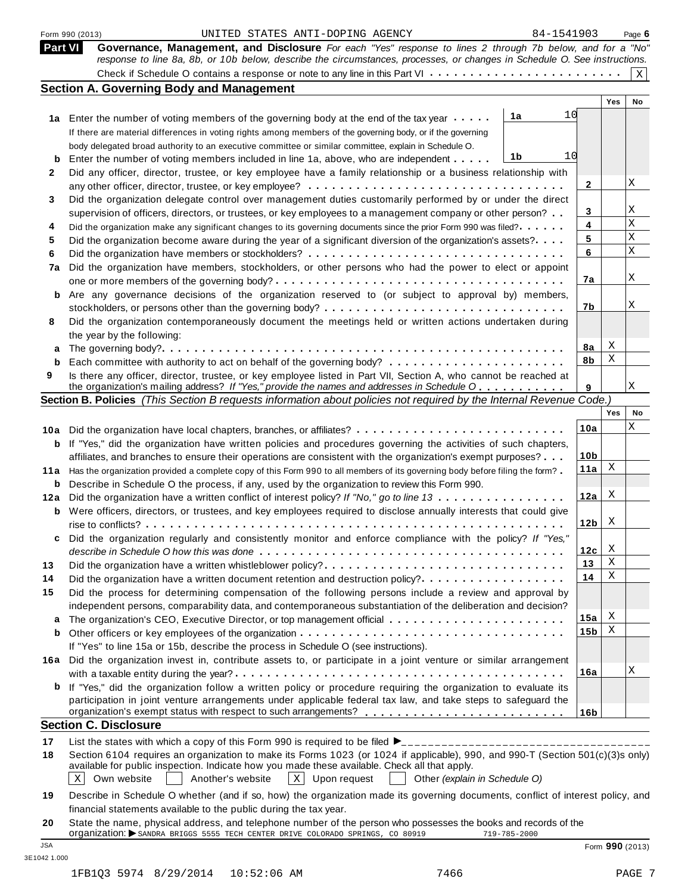|                | UNITED STATES ANTI-DOPING AGENCY<br>Form 990 (2013)                                                                                                                                                                                     | 84-1541903      |     | Page 6          |
|----------------|-----------------------------------------------------------------------------------------------------------------------------------------------------------------------------------------------------------------------------------------|-----------------|-----|-----------------|
| <b>Part VI</b> | Governance, Management, and Disclosure For each "Yes" response to lines 2 through 7b below, and for a "No"<br>response to line 8a, 8b, or 10b below, describe the circumstances, processes, or changes in Schedule O. See instructions. |                 |     |                 |
|                |                                                                                                                                                                                                                                         |                 |     | $\mathbf X$     |
|                | <b>Section A. Governing Body and Management</b>                                                                                                                                                                                         |                 |     |                 |
|                |                                                                                                                                                                                                                                         |                 | Yes | No.             |
|                | 1a<br>1a Enter the number of voting members of the governing body at the end of the tax year                                                                                                                                            | 10              |     |                 |
|                | If there are material differences in voting rights among members of the governing body, or if the governing                                                                                                                             |                 |     |                 |
|                | body delegated broad authority to an executive committee or similar committee, explain in Schedule O.                                                                                                                                   |                 |     |                 |
| b              | 1b<br>Enter the number of voting members included in line 1a, above, who are independent                                                                                                                                                | 10              |     |                 |
| 2              | Did any officer, director, trustee, or key employee have a family relationship or a business relationship with                                                                                                                          |                 |     |                 |
|                |                                                                                                                                                                                                                                         | 2               |     | Χ               |
| 3              | Did the organization delegate control over management duties customarily performed by or under the direct                                                                                                                               |                 |     |                 |
|                | supervision of officers, directors, or trustees, or key employees to a management company or other person?                                                                                                                              | 3               |     | Χ               |
| 4              | Did the organization make any significant changes to its governing documents since the prior Form 990 was filed?                                                                                                                        | 4               |     | Χ               |
| 5              | Did the organization become aware during the year of a significant diversion of the organization's assets?                                                                                                                              | 5               |     | Χ               |
| 6              |                                                                                                                                                                                                                                         | 6               |     | X               |
| 7a             | Did the organization have members, stockholders, or other persons who had the power to elect or appoint                                                                                                                                 |                 |     |                 |
|                |                                                                                                                                                                                                                                         | 7a              |     | Χ               |
| b              | Are any governance decisions of the organization reserved to (or subject to approval by) members,                                                                                                                                       |                 |     |                 |
|                |                                                                                                                                                                                                                                         | 7b              |     | Χ               |
| 8              | Did the organization contemporaneously document the meetings held or written actions undertaken during                                                                                                                                  |                 |     |                 |
|                | the year by the following:                                                                                                                                                                                                              |                 |     |                 |
| а              |                                                                                                                                                                                                                                         | 8a              | Χ   |                 |
| b              |                                                                                                                                                                                                                                         | 8b              | Χ   |                 |
| 9              | Is there any officer, director, trustee, or key employee listed in Part VII, Section A, who cannot be reached at                                                                                                                        |                 |     |                 |
|                | the organization's mailing address? If "Yes," provide the names and addresses in Schedule O                                                                                                                                             | 9               |     | Χ               |
|                | Section B. Policies (This Section B requests information about policies not required by the Internal Revenue Code.)                                                                                                                     |                 |     |                 |
|                |                                                                                                                                                                                                                                         |                 | Yes | No              |
| 10a            | Did the organization have local chapters, branches, or affiliates?                                                                                                                                                                      | 10a             |     | Χ               |
| b              | If "Yes," did the organization have written policies and procedures governing the activities of such chapters,                                                                                                                          |                 |     |                 |
|                | affiliates, and branches to ensure their operations are consistent with the organization's exempt purposes?                                                                                                                             | 10 <sub>b</sub> |     |                 |
| 11 a           | Has the organization provided a complete copy of this Form 990 to all members of its governing body before filing the form?                                                                                                             | 11a             | X   |                 |
| b              | Describe in Schedule O the process, if any, used by the organization to review this Form 990.                                                                                                                                           |                 |     |                 |
| 12a            | Did the organization have a written conflict of interest policy? If "No," go to line 13                                                                                                                                                 | 12a             | Χ   |                 |
| b              | Were officers, directors, or trustees, and key employees required to disclose annually interests that could give                                                                                                                        |                 |     |                 |
|                |                                                                                                                                                                                                                                         | 12 <sub>b</sub> | X   |                 |
|                | Did the organization regularly and consistently monitor and enforce compliance with the policy? If "Yes,                                                                                                                                |                 |     |                 |
|                |                                                                                                                                                                                                                                         | 12c             | X   |                 |
| 13             | Did the organization have a written whistleblower policy?                                                                                                                                                                               | 13              | X   |                 |
| 14             | Did the organization have a written document retention and destruction policy?                                                                                                                                                          | 14              | Χ   |                 |
| 15             | Did the process for determining compensation of the following persons include a review and approval by                                                                                                                                  |                 |     |                 |
|                | independent persons, comparability data, and contemporaneous substantiation of the deliberation and decision?                                                                                                                           |                 |     |                 |
| а              |                                                                                                                                                                                                                                         | 15a             | Χ   |                 |
|                |                                                                                                                                                                                                                                         | 15 <sub>b</sub> | X   |                 |
|                | If "Yes" to line 15a or 15b, describe the process in Schedule O (see instructions).                                                                                                                                                     |                 |     |                 |
|                | 16a Did the organization invest in, contribute assets to, or participate in a joint venture or similar arrangement                                                                                                                      |                 |     |                 |
|                |                                                                                                                                                                                                                                         | 16a             |     | Χ               |
|                | <b>b</b> If "Yes," did the organization follow a written policy or procedure requiring the organization to evaluate its                                                                                                                 |                 |     |                 |
|                | participation in joint venture arrangements under applicable federal tax law, and take steps to safeguard the                                                                                                                           |                 |     |                 |
|                |                                                                                                                                                                                                                                         | 16 <sub>b</sub> |     |                 |
|                | <b>Section C. Disclosure</b>                                                                                                                                                                                                            |                 |     |                 |
| 17             |                                                                                                                                                                                                                                         |                 |     |                 |
| 18             | Section 6104 requires an organization to make its Forms 1023 (or 1024 if applicable), 990, and 990-T (Section 501(c)(3)s only)                                                                                                          |                 |     |                 |
|                | available for public inspection. Indicate how you made these available. Check all that apply.                                                                                                                                           |                 |     |                 |
|                | Another's website<br>$X$ Upon request<br>X<br>Own website<br>Other (explain in Schedule O)                                                                                                                                              |                 |     |                 |
|                |                                                                                                                                                                                                                                         |                 |     |                 |
| 19             | Describe in Schedule O whether (and if so, how) the organization made its governing documents, conflict of interest policy, and                                                                                                         |                 |     |                 |
|                | financial statements available to the public during the tax year.                                                                                                                                                                       |                 |     |                 |
| 20             | State the name, physical address, and telephone number of the person who possesses the books and records of the<br>organization: SANDRA BRIGGS 5555 TECH CENTER DRIVE COLORADO SPRINGS, CO 80919<br>719-785-2000                        |                 |     |                 |
| <b>JSA</b>     |                                                                                                                                                                                                                                         |                 |     | Form 990 (2013) |
|                |                                                                                                                                                                                                                                         |                 |     |                 |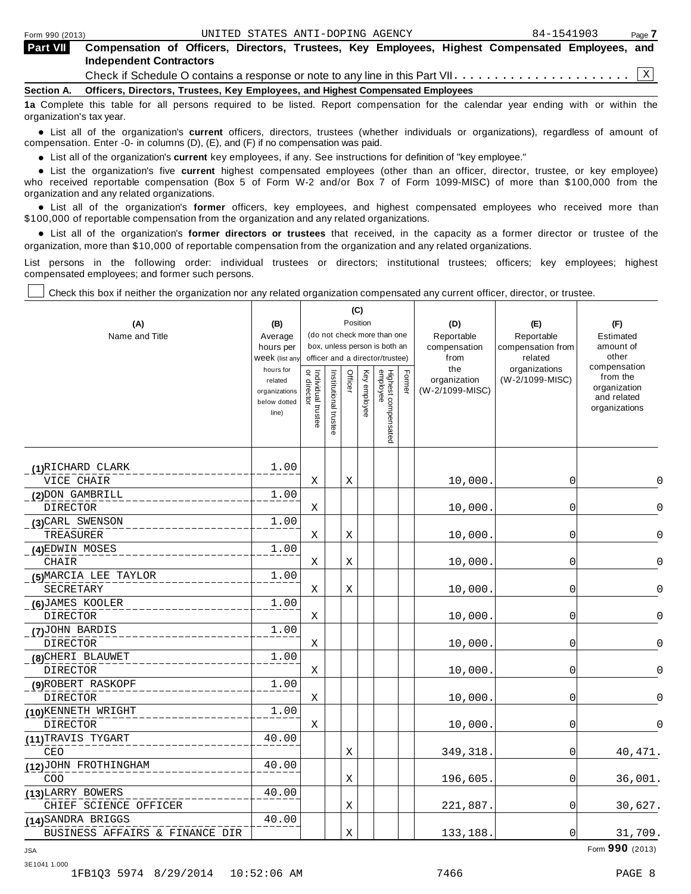organization's tax year.

| <b>Part VII</b> | Compensation of Officers, Directors, Trustees, Key Employees, Highest Compensated Employees, and<br><b>Independent Contractors</b> |
|-----------------|------------------------------------------------------------------------------------------------------------------------------------|
|                 |                                                                                                                                    |
|                 | Section A. Officers, Directors, Trustees, Key Employees, and Highest Compensated Employees                                         |
|                 | 1a Complete this table for all persons required to be listed. Report compensation for the calendar year ending with or within the  |

anization's lax year.<br>● List all of the organization's **current** officers, directors, trustees (whether individuals or organizations), regardless of amount of<br>nnensation Enter -0- in columns (D) (E) and (E) if no compensa compensation. Enter -0- in columns (D), (E), and (F) if no compensation was paid.

• List all of the organization's **current** key employees, if any. See instructions for definition of "key employee."<br>● List the experientials five expect highest expressed explores (other than an efficer director of

**Example in the organization's current** key employees, if any. See instructions for definition of key employee.<br>• List the organization's five **current** highest compensated employees (other than an officer, director, trust who received reportable compensation (Box 5 of Form W-2 and/or Box 7 of Form 1099-MISC) of more than \$100,000 from the

organization and any related organizations.<br>• List all of the organization's **former** officers, key employees, and highest compensated employees who received more than<br>\$1.00.000 of reportable componention from the erganiza \$100,000 of reportable compensation from the organization and any related organizations.

% List all of the organization's **former directors or trustees** that received, in the capacity as a former director or trustee of the organization, more than \$10,000 of reportable compensation from the organization and any related organizations.

List persons in the following order: individual trustees or directors; institutional trustees; officers; key employees; highest compensated employees; and former such persons.

Т

Check this box if neither the organization nor any related organization compensated any current officer, director, or trustee.

Т

| (A)<br>Name and Title          | (B)<br>Average<br>hours per<br>Week (list any<br>hours for<br>related<br>organizations<br>below dotted<br>line) | or directo<br>Individual trustee | Institutional trustee | Officer | (C)<br>Position<br>Key employee | (do not check more than one<br>box, unless person is both an<br>officer and a director/trustee)<br>Highest compensated<br>employee | Former | (D)<br>Reportable<br>compensation<br>from<br>the<br>organization<br>(W-2/1099-MISC) | (E)<br>Reportable<br>compensation from<br>related<br>organizations<br>(W-2/1099-MISC) | (F)<br>Estimated<br>amount of<br>other<br>compensation<br>from the<br>organization<br>and related<br>organizations |
|--------------------------------|-----------------------------------------------------------------------------------------------------------------|----------------------------------|-----------------------|---------|---------------------------------|------------------------------------------------------------------------------------------------------------------------------------|--------|-------------------------------------------------------------------------------------|---------------------------------------------------------------------------------------|--------------------------------------------------------------------------------------------------------------------|
| (1)RICHARD CLARK               | 1.00                                                                                                            |                                  |                       |         |                                 |                                                                                                                                    |        |                                                                                     |                                                                                       |                                                                                                                    |
| VICE CHAIR                     |                                                                                                                 | Χ                                |                       | Χ       |                                 |                                                                                                                                    |        | 10,000.                                                                             | 0                                                                                     | 0                                                                                                                  |
| (2) DON GAMBRILL               | 1.00                                                                                                            |                                  |                       |         |                                 |                                                                                                                                    |        |                                                                                     |                                                                                       |                                                                                                                    |
| DIRECTOR                       |                                                                                                                 | Χ                                |                       |         |                                 |                                                                                                                                    |        | 10,000.                                                                             | 0                                                                                     | 0                                                                                                                  |
| (3) CARL SWENSON               | 1.00                                                                                                            |                                  |                       |         |                                 |                                                                                                                                    |        |                                                                                     |                                                                                       |                                                                                                                    |
| TREASURER                      |                                                                                                                 | Χ                                |                       | Χ       |                                 |                                                                                                                                    |        | 10,000.                                                                             | 0                                                                                     | 0                                                                                                                  |
| (4) EDWIN MOSES                | 1.00                                                                                                            |                                  |                       |         |                                 |                                                                                                                                    |        |                                                                                     |                                                                                       |                                                                                                                    |
| CHAIR                          |                                                                                                                 | Χ                                |                       | Χ       |                                 |                                                                                                                                    |        | 10,000                                                                              | 0                                                                                     | 0                                                                                                                  |
| (5) MARCIA LEE TAYLOR          | 1.00                                                                                                            |                                  |                       |         |                                 |                                                                                                                                    |        |                                                                                     |                                                                                       |                                                                                                                    |
| SECRETARY                      |                                                                                                                 | Χ                                |                       | Χ       |                                 |                                                                                                                                    |        | 10,000.                                                                             | 0                                                                                     | 0                                                                                                                  |
| (6) JAMES KOOLER               | 1.00                                                                                                            |                                  |                       |         |                                 |                                                                                                                                    |        |                                                                                     |                                                                                       |                                                                                                                    |
| <b>DIRECTOR</b>                |                                                                                                                 | Χ                                |                       |         |                                 |                                                                                                                                    |        | 10,000.                                                                             | 0                                                                                     | $\Omega$                                                                                                           |
| (7)JOHN BARDIS                 | 1.00                                                                                                            |                                  |                       |         |                                 |                                                                                                                                    |        |                                                                                     |                                                                                       |                                                                                                                    |
| DIRECTOR                       |                                                                                                                 | Χ                                |                       |         |                                 |                                                                                                                                    |        | 10,000.                                                                             | 0                                                                                     | $\Omega$                                                                                                           |
| (8) CHERI BLAUWET              | 1.00                                                                                                            |                                  |                       |         |                                 |                                                                                                                                    |        |                                                                                     |                                                                                       |                                                                                                                    |
| <b>DIRECTOR</b>                |                                                                                                                 | Χ                                |                       |         |                                 |                                                                                                                                    |        | 10,000.                                                                             | $\overline{0}$                                                                        | $\Omega$                                                                                                           |
| (9)ROBERT RASKOPF              | 1.00                                                                                                            |                                  |                       |         |                                 |                                                                                                                                    |        |                                                                                     |                                                                                       |                                                                                                                    |
| DIRECTOR                       |                                                                                                                 | Χ                                |                       |         |                                 |                                                                                                                                    |        | 10,000                                                                              | $\mathbf 0$                                                                           | $\Omega$                                                                                                           |
| (10) KENNETH WRIGHT            | 1.00                                                                                                            |                                  |                       |         |                                 |                                                                                                                                    |        |                                                                                     |                                                                                       |                                                                                                                    |
| <b>DIRECTOR</b>                |                                                                                                                 | Χ                                |                       |         |                                 |                                                                                                                                    |        | 10,000.                                                                             | 0                                                                                     | $\Omega$                                                                                                           |
| (11)TRAVIS TYGART              | 40.00                                                                                                           |                                  |                       |         |                                 |                                                                                                                                    |        |                                                                                     |                                                                                       |                                                                                                                    |
| CEO                            |                                                                                                                 |                                  |                       | Χ       |                                 |                                                                                                                                    |        | 349, 318.                                                                           | 0                                                                                     | 40, 471.                                                                                                           |
| (12) JOHN FROTHINGHAM          | 40.00                                                                                                           |                                  |                       |         |                                 |                                                                                                                                    |        |                                                                                     |                                                                                       |                                                                                                                    |
| COO                            |                                                                                                                 |                                  |                       | Χ       |                                 |                                                                                                                                    |        | 196,605.                                                                            | 0                                                                                     | 36,001.                                                                                                            |
| (13) LARRY BOWERS              | 40.00                                                                                                           |                                  |                       |         |                                 |                                                                                                                                    |        |                                                                                     |                                                                                       |                                                                                                                    |
| CHIEF SCIENCE OFFICER          |                                                                                                                 |                                  |                       | Χ       |                                 |                                                                                                                                    |        | 221,887.                                                                            | 0                                                                                     | 30,627.                                                                                                            |
| (14) SANDRA BRIGGS             | 40.00                                                                                                           |                                  |                       |         |                                 |                                                                                                                                    |        |                                                                                     |                                                                                       |                                                                                                                    |
| BUSINESS AFFAIRS & FINANCE DIR |                                                                                                                 |                                  |                       | Χ       |                                 |                                                                                                                                    |        | 133,188.                                                                            | 0                                                                                     | 31,709.                                                                                                            |

Form **990** (2013) JSA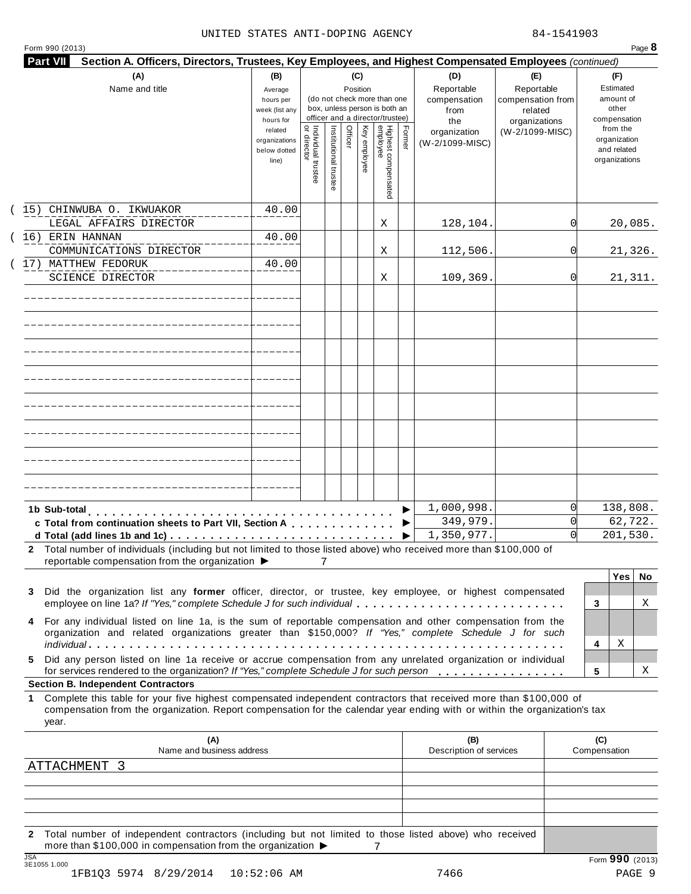|  | Form 990 (2013) |  |
|--|-----------------|--|

| (A)                                                                                                                                                                                                                                                                                                          | (B)                                                            |                                           |                       | (C)      |              |                                                                    |        | (D)                                    | (E)                                        | (F)                                                                      |
|--------------------------------------------------------------------------------------------------------------------------------------------------------------------------------------------------------------------------------------------------------------------------------------------------------------|----------------------------------------------------------------|-------------------------------------------|-----------------------|----------|--------------|--------------------------------------------------------------------|--------|----------------------------------------|--------------------------------------------|--------------------------------------------------------------------------|
| Name and title                                                                                                                                                                                                                                                                                               | Average<br>hours per<br>week (list any                         |                                           |                       | Position |              | (do not check more than one<br>box, unless person is both an       |        | Reportable<br>compensation<br>from     | Reportable<br>compensation from<br>related | Estimated<br>amount of<br>other                                          |
|                                                                                                                                                                                                                                                                                                              | hours for<br>related<br>organizations<br>below dotted<br>line) | <br>  Individual trustee<br>  or director | Institutional trustee | Officer  | Key employee | officer and a director/trustee)<br>Highest compensated<br>employee | Former | the<br>organization<br>(W-2/1099-MISC) | organizations<br>(W-2/1099-MISC)           | compensation<br>from the<br>organization<br>and related<br>organizations |
| (15) CHINWUBA O. IKWUAKOR                                                                                                                                                                                                                                                                                    | 40.00                                                          |                                           |                       |          |              |                                                                    |        |                                        |                                            |                                                                          |
| LEGAL AFFAIRS DIRECTOR                                                                                                                                                                                                                                                                                       |                                                                |                                           |                       |          |              | Χ                                                                  |        | 128,104.                               | 01                                         | 20,085.                                                                  |
| (16) ERIN HANNAN                                                                                                                                                                                                                                                                                             | 40.00                                                          |                                           |                       |          |              |                                                                    |        |                                        |                                            |                                                                          |
| COMMUNICATIONS DIRECTOR                                                                                                                                                                                                                                                                                      |                                                                |                                           |                       |          |              | Χ                                                                  |        | 112,506.                               | 0l                                         | 21,326.                                                                  |
| 17) MATTHEW FEDORUK<br><b>SCIENCE DIRECTOR</b>                                                                                                                                                                                                                                                               | 40.00                                                          |                                           |                       |          |              | Χ                                                                  |        | 109,369.                               | 0l                                         | 21,311.                                                                  |
|                                                                                                                                                                                                                                                                                                              |                                                                |                                           |                       |          |              |                                                                    |        |                                        |                                            |                                                                          |
|                                                                                                                                                                                                                                                                                                              |                                                                |                                           |                       |          |              |                                                                    |        |                                        |                                            |                                                                          |
|                                                                                                                                                                                                                                                                                                              |                                                                |                                           |                       |          |              |                                                                    |        |                                        |                                            |                                                                          |
|                                                                                                                                                                                                                                                                                                              |                                                                |                                           |                       |          |              |                                                                    |        |                                        |                                            |                                                                          |
|                                                                                                                                                                                                                                                                                                              |                                                                |                                           |                       |          |              |                                                                    |        |                                        |                                            |                                                                          |
|                                                                                                                                                                                                                                                                                                              |                                                                |                                           |                       |          |              |                                                                    |        |                                        |                                            |                                                                          |
|                                                                                                                                                                                                                                                                                                              |                                                                |                                           |                       |          |              |                                                                    |        |                                        |                                            |                                                                          |
|                                                                                                                                                                                                                                                                                                              |                                                                |                                           |                       |          |              |                                                                    |        |                                        |                                            |                                                                          |
| 1b Sub-total                                                                                                                                                                                                                                                                                                 |                                                                |                                           |                       |          |              |                                                                    |        | 1,000,998.                             | $\Omega$                                   | 138,808.                                                                 |
| c Total from continuation sheets to Part VII, Section A                                                                                                                                                                                                                                                      |                                                                |                                           |                       |          |              |                                                                    |        | 349,979.                               |                                            | 62, 722.                                                                 |
| 2 Total number of individuals (including but not limited to those listed above) who received more than \$100,000 of<br>reportable compensation from the organization ▶                                                                                                                                       |                                                                |                                           | 7                     |          |              |                                                                    |        | 1,350,977.                             |                                            | 201,530.                                                                 |
| Did the organization list any former officer, director, or trustee, key employee, or highest compensated<br>3<br>employee on line 1a? If "Yes," complete Schedule J for such individual                                                                                                                      |                                                                |                                           |                       |          |              |                                                                    |        |                                        |                                            | <b>Yes</b><br>No.<br>Χ                                                   |
| For any individual listed on line 1a, is the sum of reportable compensation and other compensation from the<br>4<br>organization and related organizations greater than \$150,000? If "Yes," complete Schedule J for such                                                                                    |                                                                |                                           |                       |          |              |                                                                    |        |                                        |                                            | 3                                                                        |
| Did any person listed on line 1a receive or accrue compensation from any unrelated organization or individual<br>5.                                                                                                                                                                                          |                                                                |                                           |                       |          |              |                                                                    |        |                                        |                                            | Χ<br>4                                                                   |
| for services rendered to the organization? If "Yes," complete Schedule J for such person                                                                                                                                                                                                                     |                                                                |                                           |                       |          |              |                                                                    |        |                                        |                                            | 5<br>Χ                                                                   |
| <b>Section B. Independent Contractors</b><br>Complete this table for your five highest compensated independent contractors that received more than \$100,000 of<br>1.<br>compensation from the organization. Report compensation for the calendar year ending with or within the organization's tax<br>year. |                                                                |                                           |                       |          |              |                                                                    |        |                                        |                                            |                                                                          |
|                                                                                                                                                                                                                                                                                                              |                                                                |                                           |                       |          |              |                                                                    |        | (B)                                    |                                            | (C)                                                                      |
|                                                                                                                                                                                                                                                                                                              | (A)<br>Name and business address                               |                                           |                       |          |              |                                                                    |        | Description of services                |                                            | Compensation                                                             |

**2** Total number of independent contractors (including but not limited to those listed above) who received more than \$100,000 in compensation from the organization  $\triangleright$ <br>3E1055 1.000 7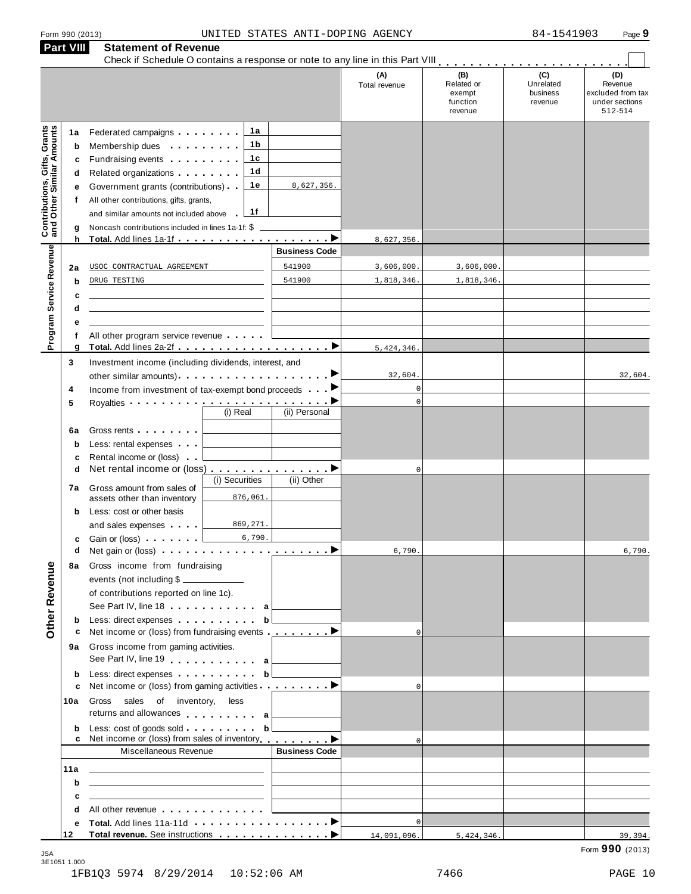| Form 990 (2013 |  |  |
|----------------|--|--|
|                |  |  |

|                                                                  | <b>Part VIII</b>                      | <b>Statement of Revenue</b>                                                                                                                                                                                                                                                                                                                                                                                                                                                                                                                                                                            |                                          |                                       |                                                    |                                         |                                                                  |
|------------------------------------------------------------------|---------------------------------------|--------------------------------------------------------------------------------------------------------------------------------------------------------------------------------------------------------------------------------------------------------------------------------------------------------------------------------------------------------------------------------------------------------------------------------------------------------------------------------------------------------------------------------------------------------------------------------------------------------|------------------------------------------|---------------------------------------|----------------------------------------------------|-----------------------------------------|------------------------------------------------------------------|
|                                                                  |                                       |                                                                                                                                                                                                                                                                                                                                                                                                                                                                                                                                                                                                        |                                          | (A)<br>Total revenue                  | (B)<br>Related or<br>exempt<br>function<br>revenue | (C)<br>Unrelated<br>business<br>revenue | (D)<br>Revenue<br>excluded from tax<br>under sections<br>512-514 |
| <b>Contributions, Gifts, Grants</b><br>and Other Similar Amounts | 1a<br>b<br>c<br>d<br>е<br>f<br>g<br>h | 1a<br>Federated campaigns <b>Federated</b><br>1 b<br>Membership dues <b>All Accords</b> Membership dues<br>1c<br>Fundraising events <b>Fundraising</b> events<br>1d<br>Related organizations <b>and the set of the set of the set of the set of the set of the set of the set of the set of the set of the set of the set of the set of the set of the set of the set of the set of the set of the set </b><br>1е<br>Government grants (contributions)<br>All other contributions, gifts, grants,<br>1f<br>and similar amounts not included above<br>Noncash contributions included in lines 1a-1f: \$ | 8,627,356.                               | 8,627,356.                            |                                                    |                                         |                                                                  |
|                                                                  | 2a                                    | USOC CONTRACTUAL AGREEMENT                                                                                                                                                                                                                                                                                                                                                                                                                                                                                                                                                                             | <b>Business Code</b><br>541900<br>541900 | 3,606,000.                            | 3,606,000.                                         |                                         |                                                                  |
| Program Service Revenue                                          | b<br>c<br>d                           | DRUG TESTING                                                                                                                                                                                                                                                                                                                                                                                                                                                                                                                                                                                           |                                          | 1,818,346.                            | 1,818,346.                                         |                                         |                                                                  |
|                                                                  | е<br>f<br>g                           | All other program service revenue                                                                                                                                                                                                                                                                                                                                                                                                                                                                                                                                                                      |                                          | 5,424,346.                            |                                                    |                                         |                                                                  |
|                                                                  | 3<br>4<br>5<br>6a                     | Investment income (including dividends, interest, and<br>Income from investment of tax-exempt bond proceeds<br>Royalties <b>Provessed Access</b><br>(i) Real<br>Gross rents <b>Container and Container</b>                                                                                                                                                                                                                                                                                                                                                                                             | ▶<br>(ii) Personal                       | 32,604.<br>$\mathbf 0$<br>$\mathbf 0$ |                                                    |                                         | 32,604.                                                          |
| Other Revenue                                                    | b<br>c<br>d<br>7а                     | Less: rental expenses<br>Rental income or (loss)<br>Net rental income or (loss) ▶<br>(i) Securities<br>Gross amount from sales of                                                                                                                                                                                                                                                                                                                                                                                                                                                                      | (ii) Other                               | $\mathbf 0$                           |                                                    |                                         |                                                                  |
|                                                                  | b<br>c                                | 876,061.<br>assets other than inventory<br>Less: cost or other basis<br>869,271<br>and sales expenses<br>6,790.<br>Gain or (loss)                                                                                                                                                                                                                                                                                                                                                                                                                                                                      |                                          |                                       |                                                    |                                         |                                                                  |
|                                                                  | d<br>8a                               | Gross income from fundraising<br>events (not including \$<br>of contributions reported on line 1c).<br>See Part IV, line 18 a                                                                                                                                                                                                                                                                                                                                                                                                                                                                          |                                          | 6,790.                                |                                                    |                                         | 6,790                                                            |
|                                                                  | b<br>с                                | Less: direct expenses b<br>Net income or (loss) from fundraising events <b></b> ▶<br>9a Gross income from gaming activities.<br>See Part IV, line 19 a                                                                                                                                                                                                                                                                                                                                                                                                                                                 |                                          | $\Omega$                              |                                                    |                                         |                                                                  |
|                                                                  | b<br>c<br>10a                         | Less: direct expenses b<br>Net income or (loss) from gaming activities <u>entitled</u> by Detail Details<br>Gross sales of inventory, less                                                                                                                                                                                                                                                                                                                                                                                                                                                             |                                          | $\Omega$                              |                                                    |                                         |                                                                  |
|                                                                  | b                                     | returns and allowances a<br>Net income or (loss) from sales of inventory <b>example a</b> ▶                                                                                                                                                                                                                                                                                                                                                                                                                                                                                                            | <u> 1999 - Jan Jawa</u>                  |                                       |                                                    |                                         |                                                                  |
|                                                                  | 11a                                   | Miscellaneous Revenue<br><u> 1989 - Johann Barn, mars ann an t-Amhair ann an t-Amhair ann an t-Amhair ann an t-Amhair ann an t-Amhair ann a</u>                                                                                                                                                                                                                                                                                                                                                                                                                                                        | <b>Business Code</b>                     | $\Omega$                              |                                                    |                                         |                                                                  |
|                                                                  | b<br>c<br>d                           | the control of the control of the control of the control of the control of<br>the control of the control of the control of the control of the control of the control of<br>All other revenue entitled and the control of the control of the control of the control of the control of the control of the control of the control of the control of the control of the control of the control of the control                                                                                                                                                                                              |                                          |                                       |                                                    |                                         |                                                                  |
|                                                                  | е<br>12                               |                                                                                                                                                                                                                                                                                                                                                                                                                                                                                                                                                                                                        |                                          | $\mathbf 0$<br>14,091,096.            | 5,424,346.                                         |                                         | 39,394.                                                          |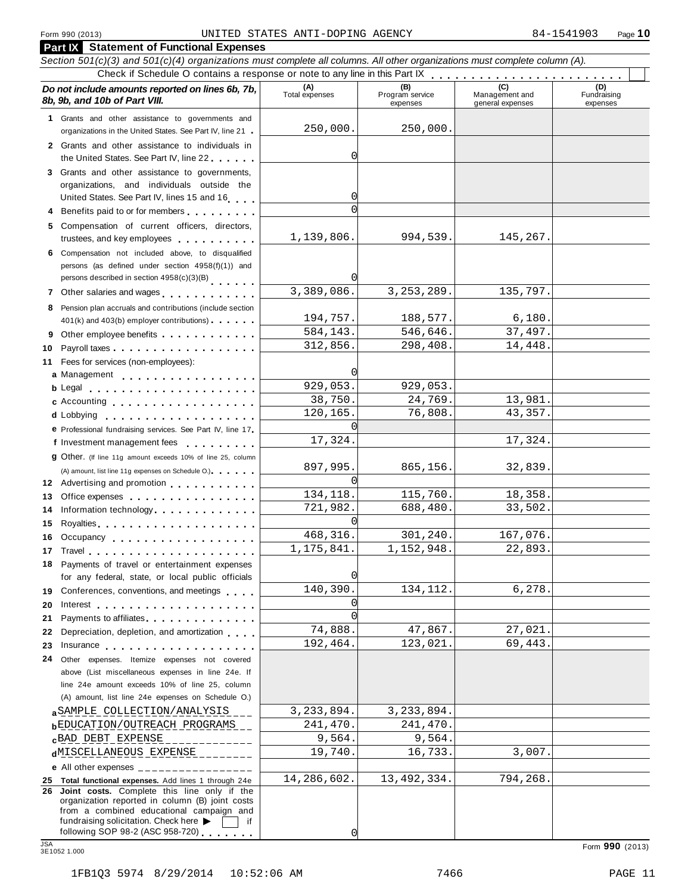|            | <b>Part IX</b> Statement of Functional Expenses                                                                                                                                                                                      |                       |                                    |                                    |                                |
|------------|--------------------------------------------------------------------------------------------------------------------------------------------------------------------------------------------------------------------------------------|-----------------------|------------------------------------|------------------------------------|--------------------------------|
|            | Section 501(c)(3) and 501(c)(4) organizations must complete all columns. All other organizations must complete column (A).                                                                                                           |                       |                                    |                                    |                                |
|            |                                                                                                                                                                                                                                      |                       |                                    |                                    |                                |
|            | Do not include amounts reported on lines 6b, 7b,<br>8b, 9b, and 10b of Part VIII.                                                                                                                                                    | (A)<br>Total expenses | (B)<br>Program service<br>expenses | Management and<br>general expenses | (D)<br>Fundraising<br>expenses |
|            | 1 Grants and other assistance to governments and                                                                                                                                                                                     |                       |                                    |                                    |                                |
|            | organizations in the United States. See Part IV, line 21                                                                                                                                                                             | 250,000.              | 250,000.                           |                                    |                                |
|            | 2 Grants and other assistance to individuals in<br>the United States. See Part IV, line 22                                                                                                                                           | 0                     |                                    |                                    |                                |
|            | 3 Grants and other assistance to governments,                                                                                                                                                                                        |                       |                                    |                                    |                                |
|            | organizations, and individuals outside the                                                                                                                                                                                           |                       |                                    |                                    |                                |
|            | United States. See Part IV, lines 15 and 16                                                                                                                                                                                          | 0                     |                                    |                                    |                                |
|            | 4 Benefits paid to or for members                                                                                                                                                                                                    | $\Omega$              |                                    |                                    |                                |
|            | 5 Compensation of current officers, directors,                                                                                                                                                                                       |                       |                                    |                                    |                                |
|            | trustees, and key employees expressed and the set of the set of the set of the set of the set of the set of the set of the set of the set of the set of the set of the set of the set of the set of the set of the set of the        | 1,139,806.            | 994,539.                           | 145,267.                           |                                |
|            | 6 Compensation not included above, to disqualified<br>persons (as defined under section 4958(f)(1)) and<br>persons described in section 4958(c)(3)(B)                                                                                |                       |                                    |                                    |                                |
|            |                                                                                                                                                                                                                                      | 3,389,086.            | 3, 253, 289.                       | 135,797.                           |                                |
|            | 7 Other salaries and wages                                                                                                                                                                                                           |                       |                                    |                                    |                                |
|            | 8 Pension plan accruals and contributions (include section<br>401(k) and 403(b) employer contributions)                                                                                                                              | 194,757.              | 188,577.                           | 6,180.                             |                                |
|            | 9 Other employee benefits                                                                                                                                                                                                            | 584,143.              | 546,646.                           | 37,497.                            |                                |
| 10         |                                                                                                                                                                                                                                      | 312,856.              | 298,408.                           | 14,448.                            |                                |
|            | 11 Fees for services (non-employees):                                                                                                                                                                                                |                       |                                    |                                    |                                |
|            | a Management                                                                                                                                                                                                                         |                       |                                    |                                    |                                |
|            | b Legal entering the service of the service of the service of the service of the service of the service of the                                                                                                                       | 929,053.              | 929,053.                           |                                    |                                |
|            | c Accounting experience and the contract of the contract of the contract of the contract of the contract of the contract of the contract of the contract of the contract of the contract of the contract of the contract of th       | 38,750.               | 24,769.                            | 13,981.                            |                                |
|            | d Lobbying                                                                                                                                                                                                                           | 120,165.              | 76,808.                            | 43,357.                            |                                |
|            | e Professional fundraising services. See Part IV, line 17                                                                                                                                                                            |                       |                                    |                                    |                                |
|            | f Investment management fees                                                                                                                                                                                                         | 17,324.               |                                    | 17,324.                            |                                |
|            | <b>g</b> Other. (If line 11g amount exceeds 10% of line 25, column                                                                                                                                                                   |                       |                                    |                                    |                                |
|            | (A) amount, list line 11g expenses on Schedule O.).                                                                                                                                                                                  | 897,995.              | 865,156.                           | 32,839.                            |                                |
|            | 12 Advertising and promotion                                                                                                                                                                                                         | $\Omega$              |                                    |                                    |                                |
| 13         | Office expenses extensive to the set of the set of the set of the set of the set of the set of the set of the                                                                                                                        | 134, 118.             | 115,760.                           | 18,358.                            |                                |
| 14         | Information technology                                                                                                                                                                                                               | 721,982.              | 688,480.                           | 33,502.                            |                                |
| 15         |                                                                                                                                                                                                                                      | <sup>0</sup>          |                                    |                                    |                                |
|            | 16 Occupancy <b>contract of the contract of the contract of the contract of the contract of the contract of the contract of the contract of the contract of the contract of the contract of the contract of the contract of the </b> | 468, 316.             | 301,240.                           | 167,076.                           |                                |
|            |                                                                                                                                                                                                                                      | 1, 175, 841.          | 1,152,948.                         | 22,893.                            |                                |
|            | 18 Payments of travel or entertainment expenses<br>for any federal, state, or local public officials                                                                                                                                 | 0                     |                                    |                                    |                                |
|            |                                                                                                                                                                                                                                      | 140,390.              | 134, 112.                          | 6,278.                             |                                |
|            | 19 Conferences, conventions, and meetings                                                                                                                                                                                            | 0                     |                                    |                                    |                                |
| 20<br>21   | Payments to affiliates <b>Exercise 2.1 Fig. 1.1 Fig. 1.1</b>                                                                                                                                                                         | $\Omega$              |                                    |                                    |                                |
| 22         | Depreciation, depletion, and amortization                                                                                                                                                                                            | 74,888.               | 47,867.                            | 27,021.                            |                                |
| 23         | Insurance the contract of the contract of the contract of the contract of the contract of the contract of the contract of the contract of the contract of the contract of the contract of the contract of the contract of the        | 192,464.              | 123,021.                           | 69,443.                            |                                |
| 24         | Other expenses. Itemize expenses not covered                                                                                                                                                                                         |                       |                                    |                                    |                                |
|            | above (List miscellaneous expenses in line 24e. If                                                                                                                                                                                   |                       |                                    |                                    |                                |
|            | line 24e amount exceeds 10% of line 25, column                                                                                                                                                                                       |                       |                                    |                                    |                                |
|            | (A) amount, list line 24e expenses on Schedule O.)                                                                                                                                                                                   |                       |                                    |                                    |                                |
|            | a SAMPLE COLLECTION/ANALYSIS                                                                                                                                                                                                         | 3,233,894.            | 3,233,894.                         |                                    |                                |
|            | <b>bEDUCATION/OUTREACH PROGRAMS</b>                                                                                                                                                                                                  | 241,470.              | 241,470.                           |                                    |                                |
|            | <b>cBAD DEBT EXPENSE</b>                                                                                                                                                                                                             | 9,564.                | 9,564.                             |                                    |                                |
|            | dMISCELLANEOUS EXPENSE                                                                                                                                                                                                               | 19,740.               | 16,733.                            | 3,007.                             |                                |
|            | e All other expenses $\frac{1}{1}$                                                                                                                                                                                                   |                       |                                    |                                    |                                |
|            | 25 Total functional expenses. Add lines 1 through 24e                                                                                                                                                                                | 14,286,602.           | 13,492,334.                        | 794,268.                           |                                |
|            | 26 Joint costs. Complete this line only if the<br>organization reported in column (B) joint costs<br>from a combined educational campaign and<br>fundraising solicitation. Check here<br>if.                                         |                       |                                    |                                    |                                |
|            | following SOP 98-2 (ASC 958-720) $\qquad$                                                                                                                                                                                            | 0                     |                                    |                                    |                                |
| <b>JSA</b> | 3E1052 1.000                                                                                                                                                                                                                         |                       |                                    |                                    | Form 990 (2013)                |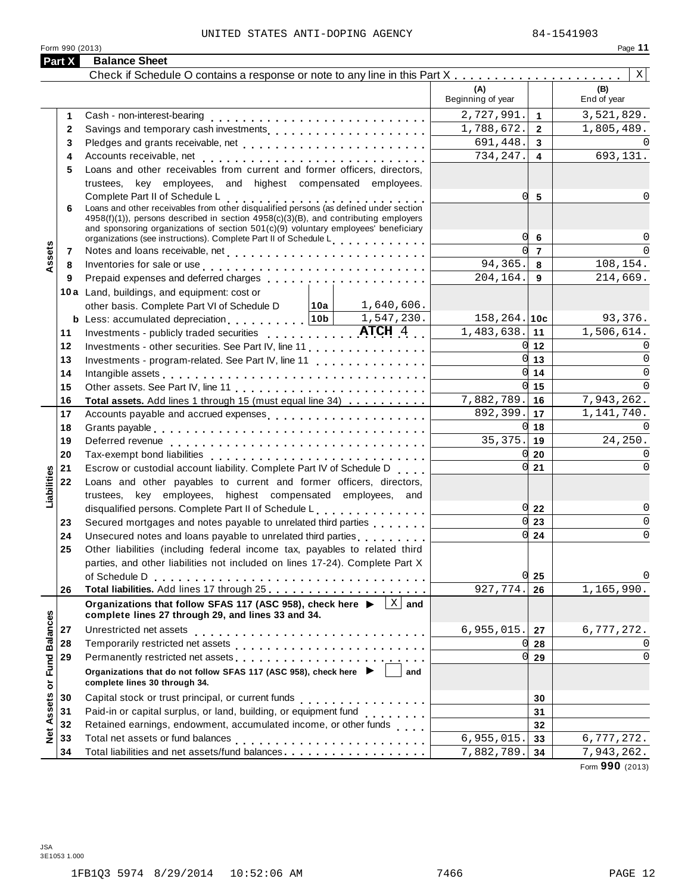### UNITED STATES ANTI-DOPING AGENCY 84-1541903

| ı<br><b>Case</b> |
|------------------|
|------------------|

|                                      |        | Form 990 (2013)                                                                                                                                                                                                                |                              | Page 11            |
|--------------------------------------|--------|--------------------------------------------------------------------------------------------------------------------------------------------------------------------------------------------------------------------------------|------------------------------|--------------------|
|                                      | Part X | <b>Balance Sheet</b>                                                                                                                                                                                                           |                              |                    |
|                                      |        |                                                                                                                                                                                                                                |                              | X                  |
|                                      |        |                                                                                                                                                                                                                                | (A)<br>Beginning of year     | (B)<br>End of year |
|                                      | 1      |                                                                                                                                                                                                                                | 2,727,991.<br>$\overline{1}$ | 3,521,829.         |
|                                      | 2      | Savings and temporary cash investments                                                                                                                                                                                         | 1,788,672.<br>$\overline{2}$ | 1,805,489.         |
|                                      | 3      | Pledges and grants receivable, net                                                                                                                                                                                             | 691,448.<br>$\mathbf{3}$     |                    |
|                                      | 4      | Accounts receivable, net                                                                                                                                                                                                       | 734,247.<br>$\overline{4}$   | 693,131.           |
|                                      | 5      | Loans and other receivables from current and former officers, directors,                                                                                                                                                       |                              |                    |
|                                      |        | trustees, key employees, and highest compensated employees.                                                                                                                                                                    |                              |                    |
|                                      |        | Complete Part II of Schedule L<br>Loans and other receivables from other disqualified persons (as defined under section                                                                                                        | 01<br>5                      |                    |
|                                      | 6      | 4958(f)(1)), persons described in section 4958(c)(3)(B), and contributing employers                                                                                                                                            |                              |                    |
|                                      |        | and sponsoring organizations of section 501(c)(9) voluntary employees' beneficiary                                                                                                                                             |                              |                    |
|                                      |        | organizations (see instructions). Complete Part II of Schedule Letter and Letter Letter Letter                                                                                                                                 | 0l<br>6                      |                    |
| Assets                               | 7      |                                                                                                                                                                                                                                | $\overline{7}$               |                    |
|                                      | 8      | Inventories for sale or use enterprise and and all the contracts of the contracts of the contracts of the contracts of the contracts of the contracts of the contracts of the contracts of the contracts of the contracts of t | 94,365.<br>8                 | 108,154.           |
|                                      | 9      |                                                                                                                                                                                                                                | 204,164.<br>9                | 214,669.           |
|                                      |        | 10a Land, buildings, and equipment: cost or                                                                                                                                                                                    |                              |                    |
|                                      |        | other basis. Complete Part VI of Schedule D $\vert$ 10a $\vert$ 1,640,606.                                                                                                                                                     |                              |                    |
|                                      |        | <b>b</b> Less: accumulated depreciation $\begin{bmatrix} 10b & 1,547,230. \end{bmatrix}$                                                                                                                                       | $158, 264.$ 10c              | 93,376.            |
|                                      | 11     | Investments - publicly traded securities $\ldots \ldots \ldots$ $\textbf{ATCH}$ 4.                                                                                                                                             | 1,483,638.<br>11             | 1,506,614.         |
|                                      | 12     |                                                                                                                                                                                                                                | OI.<br>12                    |                    |
|                                      | 13     | Investments - program-related. See Part IV, line 11                                                                                                                                                                            | <sub>O</sub><br>13           | $\Omega$           |
|                                      | 14     | Intangible assets enterpreteration of the contract of the contract of the contract of the contract of the contract of the contract of the contract of the contract of the contract of the contract of the contract of the cont | 0l<br>14                     | $\Omega$           |
|                                      | 15     |                                                                                                                                                                                                                                | U<br>15                      | $\Omega$           |
|                                      | 16     | Total assets. Add lines 1 through 15 (must equal line 34)                                                                                                                                                                      | 7,882,789.<br>16             | 7,943,262.         |
|                                      | 17     | Accounts payable and accrued expenses                                                                                                                                                                                          | 892,399.<br>17               | 1,141,740.         |
|                                      | 18     |                                                                                                                                                                                                                                | N<br>18                      |                    |
|                                      | 19     |                                                                                                                                                                                                                                | 35,375.<br>19<br>Ol          | 24,250.            |
|                                      | 20     |                                                                                                                                                                                                                                | 20<br>0l                     |                    |
|                                      | 21     | Escrow or custodial account liability. Complete Part IV of Schedule D                                                                                                                                                          | 21                           |                    |
| Liabilities                          | 22     | Loans and other payables to current and former officers, directors,                                                                                                                                                            |                              |                    |
|                                      |        | trustees, key employees, highest compensated employees, and<br>disqualified persons. Complete Part II of Schedule L.                                                                                                           | 0122                         | $\Omega$           |
|                                      | 23     | Secured mortgages and notes payable to unrelated third parties                                                                                                                                                                 | 0l<br>23                     | 0                  |
|                                      | 24     | Unsecured notes and loans payable to unrelated third parties with a set of the set of the United States                                                                                                                        | $0\sqrt{24}$                 | $\Omega$           |
|                                      | 25     | Other liabilities (including federal income tax, payables to related third                                                                                                                                                     |                              |                    |
|                                      |        | parties, and other liabilities not included on lines 17-24). Complete Part X                                                                                                                                                   |                              |                    |
|                                      |        |                                                                                                                                                                                                                                | $0\vert 25$                  |                    |
|                                      | 26     | Total liabilities. Add lines 17 through 25                                                                                                                                                                                     | 927,774.<br>26               | 1,165,990.         |
|                                      |        | $ X $ and<br>Organizations that follow SFAS 117 (ASC 958), check here ▶                                                                                                                                                        |                              |                    |
|                                      |        | complete lines 27 through 29, and lines 33 and 34.                                                                                                                                                                             |                              |                    |
| <b>Balances</b>                      | 27     |                                                                                                                                                                                                                                | 6,955,015.<br>27             | 6,777,272.         |
|                                      | 28     |                                                                                                                                                                                                                                | 28                           | 0                  |
|                                      | 29     | Permanently restricted net assets                                                                                                                                                                                              | Ol<br>29                     | $\Omega$           |
| Fund<br>$\overleftarrow{\mathtt{o}}$ |        | Organizations that do not follow SFAS 117 (ASC 958), check here ▶ │<br>complete lines 30 through 34.                                                                                                                           | and                          |                    |
|                                      | 30     |                                                                                                                                                                                                                                | 30                           |                    |
| Assets                               | 31     | Paid-in or capital surplus, or land, building, or equipment fund<br>                                                                                                                                                           | 31                           |                    |
|                                      | 32     | Retained earnings, endowment, accumulated income, or other funds                                                                                                                                                               | 32                           |                    |
| Net                                  | 33     |                                                                                                                                                                                                                                | 6,955,015.<br>33             | 6,777,272.         |
|                                      | 34     | Total liabilities and net assets/fund balances                                                                                                                                                                                 | 7,882,789.<br>34             | 7,943,262.         |

Form **990** (2013)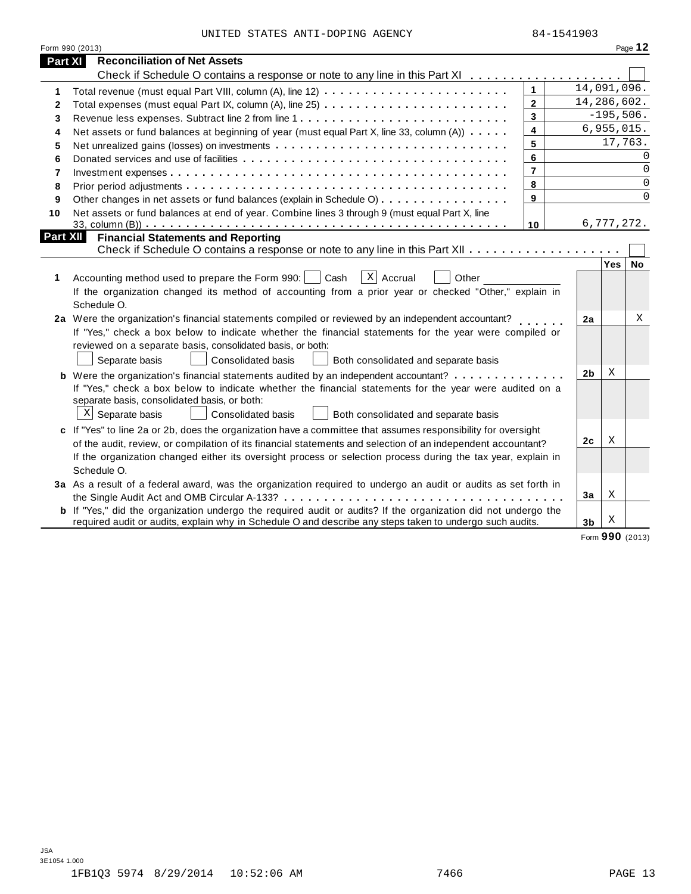|  |  |  | UNITED STATES ANTI-DOPING AGENCY |  |
|--|--|--|----------------------------------|--|
|--|--|--|----------------------------------|--|

|                          | Form 990 (2013)                                                                                                                                                |                         |                |             | Page 12     |
|--------------------------|----------------------------------------------------------------------------------------------------------------------------------------------------------------|-------------------------|----------------|-------------|-------------|
| <b>Part XI</b>           | <b>Reconciliation of Net Assets</b>                                                                                                                            |                         |                |             |             |
|                          | Check if Schedule O contains a response or note to any line in this Part XI                                                                                    |                         |                |             |             |
| 1                        |                                                                                                                                                                | $\mathbf{1}$            |                | 14,091,096. |             |
| $\mathbf{2}$             |                                                                                                                                                                | $\overline{2}$          |                | 14,286,602. |             |
| 3                        |                                                                                                                                                                | 3                       |                | $-195,506.$ |             |
| 4                        | Net assets or fund balances at beginning of year (must equal Part X, line 33, column (A))                                                                      | 4                       |                | 6,955,015.  |             |
| 5                        |                                                                                                                                                                | 5                       |                | 17,763.     |             |
| 6                        |                                                                                                                                                                | 6                       |                |             | $\Omega$    |
| $\overline{\phantom{a}}$ |                                                                                                                                                                | $\overline{\mathbf{r}}$ |                |             | 0           |
| 8                        |                                                                                                                                                                | 8                       |                |             | $\mathbf 0$ |
| 9                        | Other changes in net assets or fund balances (explain in Schedule O)                                                                                           | 9                       |                |             | $\Omega$    |
| 10                       | Net assets or fund balances at end of year. Combine lines 3 through 9 (must equal Part X, line                                                                 |                         |                |             |             |
|                          |                                                                                                                                                                | 10                      |                | 6,777,272.  |             |
| Part XII                 | <b>Financial Statements and Reporting</b>                                                                                                                      |                         |                |             |             |
|                          |                                                                                                                                                                |                         |                |             |             |
|                          |                                                                                                                                                                |                         |                | $Yes \mid$  | <b>No</b>   |
| 1                        | $X$ Accrual<br>Accounting method used to prepare the Form 990:<br>Cash<br>Other                                                                                |                         |                |             |             |
|                          | If the organization changed its method of accounting from a prior year or checked "Other," explain in                                                          |                         |                |             |             |
|                          | Schedule O.                                                                                                                                                    |                         |                |             |             |
|                          | 2a Were the organization's financial statements compiled or reviewed by an independent accountant?                                                             |                         | 2a             |             | Χ           |
|                          | If "Yes," check a box below to indicate whether the financial statements for the year were compiled or                                                         |                         |                |             |             |
|                          | reviewed on a separate basis, consolidated basis, or both:                                                                                                     |                         |                |             |             |
|                          | Consolidated basis<br>Separate basis<br>Both consolidated and separate basis                                                                                   |                         |                | Χ           |             |
|                          | <b>b</b> Were the organization's financial statements audited by an independent accountant?                                                                    |                         | 2 <sub>b</sub> |             |             |
|                          | If "Yes," check a box below to indicate whether the financial statements for the year were audited on a<br>separate basis, consolidated basis, or both:        |                         |                |             |             |
|                          | $X$ Separate basis<br><b>Consolidated basis</b><br>Both consolidated and separate basis                                                                        |                         |                |             |             |
|                          |                                                                                                                                                                |                         |                |             |             |
|                          | c If "Yes" to line 2a or 2b, does the organization have a committee that assumes responsibility for oversight                                                  |                         | 2c             | Χ           |             |
|                          | of the audit, review, or compilation of its financial statements and selection of an independent accountant?                                                   |                         |                |             |             |
|                          | If the organization changed either its oversight process or selection process during the tax year, explain in<br>Schedule O.                                   |                         |                |             |             |
|                          |                                                                                                                                                                |                         |                |             |             |
|                          | 3a As a result of a federal award, was the organization required to undergo an audit or audits as set forth in<br>the Single Audit Act and OMB Circular A-133? |                         | 3a             | Χ           |             |
|                          | <b>b</b> If "Yes," did the organization undergo the required audit or audits? If the organization did not undergo the                                          |                         |                |             |             |
|                          | required audit or audits, explain why in Schedule O and describe any steps taken to undergo such audits.                                                       |                         | 3 <sub>b</sub> | Χ           |             |
|                          |                                                                                                                                                                |                         |                |             |             |

Form **990** (2013)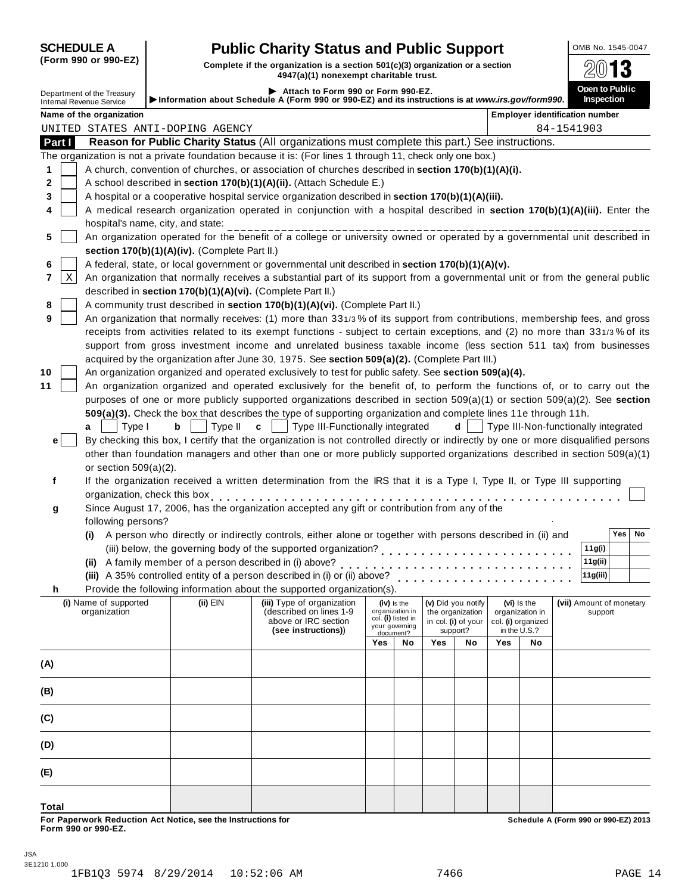## **SCHEDULE A Public Charity Status and Public Support DOMB No. 1545-0047**

(Form 990 or 990-EZ) Complete if the organization is a section 501(c)(3) organization or a section  $\frac{2013}{2013}$ 

|                                                               |        |                                               | 7977 (a) 11 Milion Chipti Shahidadig tila                                                                                                                                                                                      |                                                                                                            |                                      |     |                                                                       |                                     |    |                                            |
|---------------------------------------------------------------|--------|-----------------------------------------------|--------------------------------------------------------------------------------------------------------------------------------------------------------------------------------------------------------------------------------|------------------------------------------------------------------------------------------------------------|--------------------------------------|-----|-----------------------------------------------------------------------|-------------------------------------|----|--------------------------------------------|
| Department of the Treasury<br><b>Internal Revenue Service</b> |        |                                               | Attach to Form 990 or Form 990-EZ.<br>Information about Schedule A (Form 990 or 990-EZ) and its instructions is at www.irs.gov/form990.                                                                                        |                                                                                                            |                                      |     |                                                                       |                                     |    | Open to Public<br><b>Inspection</b>        |
| Name of the organization                                      |        |                                               |                                                                                                                                                                                                                                |                                                                                                            |                                      |     |                                                                       |                                     |    | <b>Employer identification number</b>      |
| UNITED STATES ANTI-DOPING AGENCY                              |        |                                               |                                                                                                                                                                                                                                |                                                                                                            |                                      |     |                                                                       |                                     |    | 84-1541903                                 |
| Part I                                                        |        |                                               | Reason for Public Charity Status (All organizations must complete this part.) See instructions.                                                                                                                                |                                                                                                            |                                      |     |                                                                       |                                     |    |                                            |
|                                                               |        |                                               | The organization is not a private foundation because it is: (For lines 1 through 11, check only one box.)                                                                                                                      |                                                                                                            |                                      |     |                                                                       |                                     |    |                                            |
| 1                                                             |        |                                               | A church, convention of churches, or association of churches described in section 170(b)(1)(A)(i).                                                                                                                             |                                                                                                            |                                      |     |                                                                       |                                     |    |                                            |
| 2                                                             |        |                                               | A school described in section 170(b)(1)(A)(ii). (Attach Schedule E.)                                                                                                                                                           |                                                                                                            |                                      |     |                                                                       |                                     |    |                                            |
| 3                                                             |        |                                               | A hospital or a cooperative hospital service organization described in section 170(b)(1)(A)(iii).                                                                                                                              |                                                                                                            |                                      |     |                                                                       |                                     |    |                                            |
| 4                                                             |        |                                               | A medical research organization operated in conjunction with a hospital described in section 170(b)(1)(A)(iii). Enter the                                                                                                      |                                                                                                            |                                      |     |                                                                       |                                     |    |                                            |
|                                                               |        | hospital's name, city, and state:             |                                                                                                                                                                                                                                |                                                                                                            |                                      |     |                                                                       |                                     |    |                                            |
| 5                                                             |        |                                               | An organization operated for the benefit of a college or university owned or operated by a governmental unit described in                                                                                                      |                                                                                                            |                                      |     |                                                                       |                                     |    |                                            |
|                                                               |        | section 170(b)(1)(A)(iv). (Complete Part II.) |                                                                                                                                                                                                                                |                                                                                                            |                                      |     |                                                                       |                                     |    |                                            |
| 6                                                             |        |                                               | A federal, state, or local government or governmental unit described in section 170(b)(1)(A)(v).                                                                                                                               |                                                                                                            |                                      |     |                                                                       |                                     |    |                                            |
| Χ<br>7                                                        |        |                                               | An organization that normally receives a substantial part of its support from a governmental unit or from the general public                                                                                                   |                                                                                                            |                                      |     |                                                                       |                                     |    |                                            |
|                                                               |        |                                               | described in section 170(b)(1)(A)(vi). (Complete Part II.)                                                                                                                                                                     |                                                                                                            |                                      |     |                                                                       |                                     |    |                                            |
| 8                                                             |        |                                               | A community trust described in section 170(b)(1)(A)(vi). (Complete Part II.)                                                                                                                                                   |                                                                                                            |                                      |     |                                                                       |                                     |    |                                            |
| 9                                                             |        |                                               | An organization that normally receives: (1) more than 331/3% of its support from contributions, membership fees, and gross                                                                                                     |                                                                                                            |                                      |     |                                                                       |                                     |    |                                            |
|                                                               |        |                                               | receipts from activities related to its exempt functions - subject to certain exceptions, and (2) no more than 331/3% of its                                                                                                   |                                                                                                            |                                      |     |                                                                       |                                     |    |                                            |
|                                                               |        |                                               | support from gross investment income and unrelated business taxable income (less section 511 tax) from businesses                                                                                                              |                                                                                                            |                                      |     |                                                                       |                                     |    |                                            |
|                                                               |        |                                               | acquired by the organization after June 30, 1975. See section 509(a)(2). (Complete Part III.)                                                                                                                                  |                                                                                                            |                                      |     |                                                                       |                                     |    |                                            |
| 10                                                            |        |                                               | An organization organized and operated exclusively to test for public safety. See section 509(a)(4).                                                                                                                           |                                                                                                            |                                      |     |                                                                       |                                     |    |                                            |
| 11                                                            |        |                                               | An organization organized and operated exclusively for the benefit of, to perform the functions of, or to carry out the                                                                                                        |                                                                                                            |                                      |     |                                                                       |                                     |    |                                            |
|                                                               |        |                                               | purposes of one or more publicly supported organizations described in section 509(a)(1) or section 509(a)(2). See section                                                                                                      |                                                                                                            |                                      |     |                                                                       |                                     |    |                                            |
|                                                               |        |                                               | 509(a)(3). Check the box that describes the type of supporting organization and complete lines 11e through 11h.                                                                                                                |                                                                                                            |                                      |     |                                                                       |                                     |    |                                            |
| a                                                             | Type I | Type II<br>b                                  | $c \mid \cdot$<br>Type III-Functionally integrated                                                                                                                                                                             |                                                                                                            |                                      |     |                                                                       |                                     |    | $d$   Type III-Non-functionally integrated |
| е                                                             |        |                                               | By checking this box, I certify that the organization is not controlled directly or indirectly by one or more disqualified persons                                                                                             |                                                                                                            |                                      |     |                                                                       |                                     |    |                                            |
|                                                               |        |                                               | other than foundation managers and other than one or more publicly supported organizations described in section 509(a)(1)                                                                                                      |                                                                                                            |                                      |     |                                                                       |                                     |    |                                            |
| or section $509(a)(2)$ .                                      |        |                                               |                                                                                                                                                                                                                                |                                                                                                            |                                      |     |                                                                       |                                     |    |                                            |
| f                                                             |        |                                               | If the organization received a written determination from the IRS that it is a Type I, Type II, or Type III supporting                                                                                                         |                                                                                                            |                                      |     |                                                                       |                                     |    |                                            |
|                                                               |        |                                               | organization, check this box experience in the set of the set of the set of the set of the set of the set of the set of the set of the set of the set of the set of the set of the set of the set of the set of the set of the |                                                                                                            |                                      |     |                                                                       |                                     |    |                                            |
| g                                                             |        |                                               | Since August 17, 2006, has the organization accepted any gift or contribution from any of the                                                                                                                                  |                                                                                                            |                                      |     |                                                                       |                                     |    |                                            |
| following persons?                                            |        |                                               |                                                                                                                                                                                                                                |                                                                                                            |                                      |     |                                                                       |                                     |    | Yes  <br>No                                |
|                                                               |        |                                               | (i) A person who directly or indirectly controls, either alone or together with persons described in (ii) and                                                                                                                  |                                                                                                            |                                      |     |                                                                       |                                     |    |                                            |
|                                                               |        |                                               |                                                                                                                                                                                                                                |                                                                                                            |                                      |     |                                                                       |                                     |    | 11g(i)                                     |
|                                                               |        |                                               |                                                                                                                                                                                                                                |                                                                                                            |                                      |     |                                                                       |                                     |    | 11g(ii)<br>11g(iii)                        |
|                                                               |        |                                               | (iii) A 35% controlled entity of a person described in (i) or (ii) above?<br>Provide the following information about the supported organization(s).                                                                            |                                                                                                            |                                      | .   |                                                                       |                                     |    |                                            |
| h.                                                            |        |                                               |                                                                                                                                                                                                                                |                                                                                                            |                                      |     |                                                                       |                                     |    |                                            |
| (i) Name of supported<br>organization                         |        | (ii) EIN                                      | (iii) Type of organization<br>(described on lines 1-9                                                                                                                                                                          | (v) Did you notify<br>(vi) Is the<br>(iv) is the<br>organization in<br>the organization<br>organization in |                                      |     |                                                                       | (vii) Amount of monetary<br>support |    |                                            |
|                                                               |        |                                               | above or IRC section                                                                                                                                                                                                           |                                                                                                            | col. (i) listed in<br>your governing |     | in col. (i) of your<br>col. (i) organized<br>support?<br>in the U.S.? |                                     |    |                                            |
|                                                               |        |                                               | (see instructions))                                                                                                                                                                                                            |                                                                                                            | document?                            |     |                                                                       | Yes                                 |    |                                            |
|                                                               |        |                                               |                                                                                                                                                                                                                                | Yes                                                                                                        | No                                   | Yes | No                                                                    |                                     | No |                                            |
| (A)                                                           |        |                                               |                                                                                                                                                                                                                                |                                                                                                            |                                      |     |                                                                       |                                     |    |                                            |
|                                                               |        |                                               |                                                                                                                                                                                                                                |                                                                                                            |                                      |     |                                                                       |                                     |    |                                            |
| (B)                                                           |        |                                               |                                                                                                                                                                                                                                |                                                                                                            |                                      |     |                                                                       |                                     |    |                                            |
|                                                               |        |                                               |                                                                                                                                                                                                                                |                                                                                                            |                                      |     |                                                                       |                                     |    |                                            |
| (C)                                                           |        |                                               |                                                                                                                                                                                                                                |                                                                                                            |                                      |     |                                                                       |                                     |    |                                            |
|                                                               |        |                                               |                                                                                                                                                                                                                                |                                                                                                            |                                      |     |                                                                       |                                     |    |                                            |
| (D)                                                           |        |                                               |                                                                                                                                                                                                                                |                                                                                                            |                                      |     |                                                                       |                                     |    |                                            |
| (E)                                                           |        |                                               |                                                                                                                                                                                                                                |                                                                                                            |                                      |     |                                                                       |                                     |    |                                            |
|                                                               |        |                                               |                                                                                                                                                                                                                                |                                                                                                            |                                      |     |                                                                       |                                     |    |                                            |
| <b>Total</b>                                                  |        |                                               |                                                                                                                                                                                                                                |                                                                                                            |                                      |     |                                                                       |                                     |    |                                            |

For Paperwork Reduction Act Notice, see the Instructions for the controll of the control of the Schedule A (Form 990 or 990-EZ) 2013<br>Form 990 or 990-EZ.

| けにレソレヒ ハ |                   |  |
|----------|-------------------|--|
|          | rm 990 or 990-EZ) |  |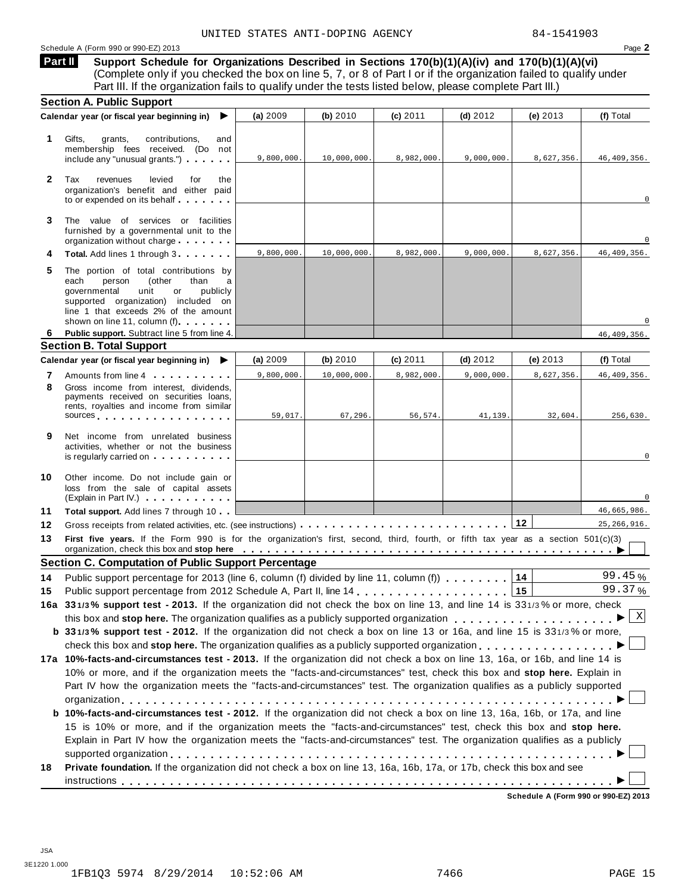Schedule A (Form 990 or 990-EZ) 2013 Page **2**

**Support Schedule for Organizations Described in Sections 170(b)(1)(A)(iv) and 170(b)(1)(A)(vi)** (Complete only if you checked the box on line 5, 7, or 8 of Part I or if the organization failed to qualify under Part III. If the organization fails to qualify under the tests listed below, please complete Part III.) **Part II**

|              | <b>Section A. Public Support</b>                                                                                                                                                                                                                                                                                                                                                     |            |             |            |            |            |               |
|--------------|--------------------------------------------------------------------------------------------------------------------------------------------------------------------------------------------------------------------------------------------------------------------------------------------------------------------------------------------------------------------------------------|------------|-------------|------------|------------|------------|---------------|
|              | Calendar year (or fiscal year beginning in)<br>▶                                                                                                                                                                                                                                                                                                                                     | (a) 2009   | (b) 2010    | (c) 2011   | $(d)$ 2012 | (e) 2013   | (f) Total     |
| 1.           | Gifts,<br>grants,<br>contributions,<br>and<br>membership fees received. (Do not<br>include any "unusual grants.")                                                                                                                                                                                                                                                                    | 9,800,000. | 10,000,000. | 8,982,000. | 9,000,000. | 8,627,356. | 46,409,356.   |
| $\mathbf{2}$ | Tax<br>levied<br>revenues<br>for<br>the<br>organization's benefit and either paid<br>to or expended on its behalf                                                                                                                                                                                                                                                                    |            |             |            |            |            | $\mathbf 0$   |
| 3            | The value of services or facilities<br>furnished by a governmental unit to the<br>organization without charge                                                                                                                                                                                                                                                                        |            |             |            |            |            | $\Omega$      |
|              | Total. Add lines 1 through 3                                                                                                                                                                                                                                                                                                                                                         | 9,800,000. | 10,000,000. | 8,982,000. | 9,000,000. | 8,627,356. | 46, 409, 356. |
| 5            | The portion of total contributions by<br>each<br>person<br>(other<br>than<br>governmental<br>unit<br>or<br>publicly<br>supported organization) included on<br>line 1 that exceeds 2% of the amount<br>shown on line 11, column (f)                                                                                                                                                   |            |             |            |            |            |               |
| 6            | Public support. Subtract line 5 from line 4.                                                                                                                                                                                                                                                                                                                                         |            |             |            |            |            | 46, 409, 356. |
|              | <b>Section B. Total Support</b>                                                                                                                                                                                                                                                                                                                                                      |            |             |            |            |            |               |
|              | Calendar year (or fiscal year beginning in)<br>▶                                                                                                                                                                                                                                                                                                                                     | (a) 2009   | (b) 2010    | (c) 2011   | $(d)$ 2012 | (e) $2013$ | (f) Total     |
| 7            | Amounts from line 4                                                                                                                                                                                                                                                                                                                                                                  | 9,800,000. | 10,000,000. | 8,982,000. | 9,000,000. | 8,627,356. | 46, 409, 356. |
| 8            | Gross income from interest, dividends,<br>payments received on securities loans,<br>rents, royalties and income from similar<br>sources and the set of the set of the set of the set of the set of the set of the set of the set of the set of                                                                                                                                       | 59,017.    | 67,296.     | 56,574.    | 41,139.    | 32,604.    | 256,630.      |
| 9            | Net income from unrelated business<br>activities, whether or not the business<br>is regularly carried on the control of the control of the control of the control of the control of the control of the control of the control of the control of the control of the control of the control of the control of the                                                                      |            |             |            |            |            |               |
| 10           | Other income. Do not include gain or<br>loss from the sale of capital assets<br>(Explain in Part IV.)                                                                                                                                                                                                                                                                                |            |             |            |            |            |               |
| 11           | <b>Total support.</b> Add lines 7 through 10                                                                                                                                                                                                                                                                                                                                         |            |             |            |            |            | 46,665,986.   |
| 12           |                                                                                                                                                                                                                                                                                                                                                                                      |            |             |            |            |            | 25, 266, 916. |
| 13           | First five years. If the Form 990 is for the organization's first, second, third, fourth, or fifth tax year as a section 501(c)(3)<br>organization, check this box and stop here entirially respectively respectively and state in the set of the set of the set of the set of the set of the set of the set of the set of the set of the set of the set of the set                  |            |             |            |            |            |               |
|              | <b>Section C. Computation of Public Support Percentage</b>                                                                                                                                                                                                                                                                                                                           |            |             |            |            |            |               |
| 14           | Public support percentage for 2013 (line 6, column (f) divided by line 11, column (f)                                                                                                                                                                                                                                                                                                |            |             |            |            | 14         | 99.45%        |
| 15           |                                                                                                                                                                                                                                                                                                                                                                                      |            |             |            |            | 15         | 99.37%        |
|              | 16a 331/3% support test - 2013. If the organization did not check the box on line 13, and line 14 is 331/3% or more, check                                                                                                                                                                                                                                                           |            |             |            |            |            |               |
|              |                                                                                                                                                                                                                                                                                                                                                                                      |            |             |            |            |            |               |
|              | b 331/3% support test - 2012. If the organization did not check a box on line 13 or 16a, and line 15 is 331/3% or more,                                                                                                                                                                                                                                                              |            |             |            |            |            |               |
|              | check this box and stop here. The organization qualifies as a publicly supported organization                                                                                                                                                                                                                                                                                        |            |             |            |            |            |               |
|              | 17a 10%-facts-and-circumstances test - 2013. If the organization did not check a box on line 13, 16a, or 16b, and line 14 is<br>10% or more, and if the organization meets the "facts-and-circumstances" test, check this box and stop here. Explain in<br>Part IV how the organization meets the "facts-and-circumstances" test. The organization qualifies as a publicly supported |            |             |            |            |            |               |
|              | b 10%-facts-and-circumstances test - 2012. If the organization did not check a box on line 13, 16a, 16b, or 17a, and line<br>15 is 10% or more, and if the organization meets the "facts-and-circumstances" test, check this box and stop here.                                                                                                                                      |            |             |            |            |            |               |
|              | Explain in Part IV how the organization meets the "facts-and-circumstances" test. The organization qualifies as a publicly                                                                                                                                                                                                                                                           |            |             |            |            |            |               |
| 18           | Private foundation. If the organization did not check a box on line 13, 16a, 16b, 17a, or 17b, check this box and see                                                                                                                                                                                                                                                                |            |             |            |            |            |               |

JSA 3E1220 1.000 1FB1Q3 5974 8/29/2014 10:52:06 AM 7466 PAGE 15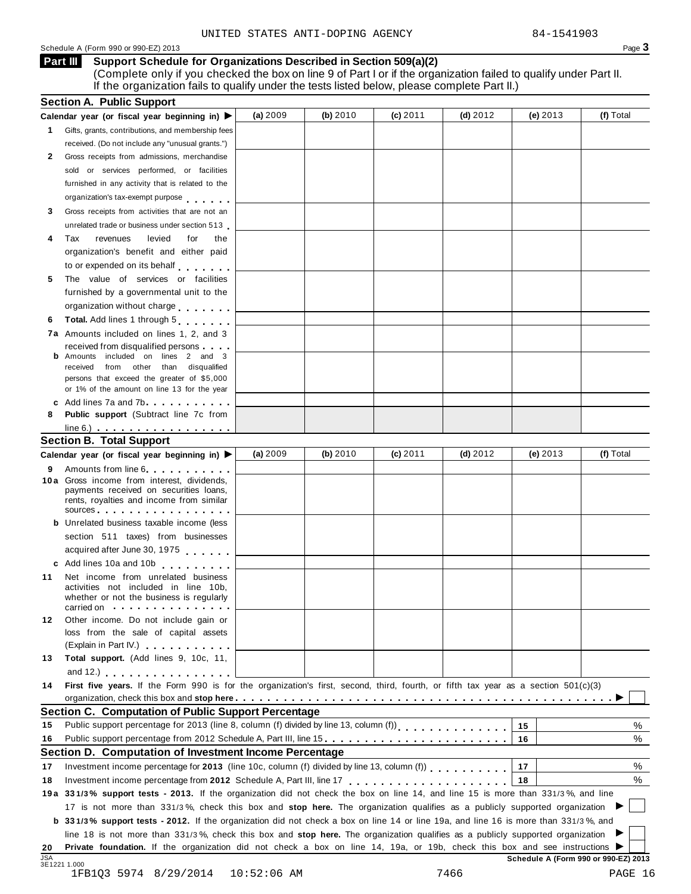### Schedule <sup>A</sup> (Form <sup>990</sup> or 990-EZ) <sup>2013</sup> Page **3**

### **Support Schedule for Organizations Described in Section 509(a)(2)**

(Complete only if you checked the box on line 9 of Part I or if the organization failed to qualify under Part II. If the organization fails to qualify under the tests listed below, please complete Part II.) **Part III**

|            | <b>Section A. Public Support</b>                                                                                                                                                                                              |               |            |            |            |            |                                      |
|------------|-------------------------------------------------------------------------------------------------------------------------------------------------------------------------------------------------------------------------------|---------------|------------|------------|------------|------------|--------------------------------------|
|            | Calendar year (or fiscal year beginning in) ▶                                                                                                                                                                                 | (a) $2009$    | (b) $2010$ | $(c)$ 2011 | (d) $2012$ | (e) $2013$ | (f) Total                            |
| 1          | Gifts, grants, contributions, and membership fees                                                                                                                                                                             |               |            |            |            |            |                                      |
|            | received. (Do not include any "unusual grants.")                                                                                                                                                                              |               |            |            |            |            |                                      |
| 2          | Gross receipts from admissions, merchandise                                                                                                                                                                                   |               |            |            |            |            |                                      |
|            | sold or services performed, or facilities                                                                                                                                                                                     |               |            |            |            |            |                                      |
|            | furnished in any activity that is related to the                                                                                                                                                                              |               |            |            |            |            |                                      |
|            | organization's tax-exempt purpose                                                                                                                                                                                             |               |            |            |            |            |                                      |
| 3          | Gross receipts from activities that are not an                                                                                                                                                                                |               |            |            |            |            |                                      |
|            | unrelated trade or business under section 513                                                                                                                                                                                 |               |            |            |            |            |                                      |
| 4          | Tax<br>revenues<br>levied<br>for<br>the                                                                                                                                                                                       |               |            |            |            |            |                                      |
|            | organization's benefit and either paid                                                                                                                                                                                        |               |            |            |            |            |                                      |
|            | to or expended on its behalf                                                                                                                                                                                                  |               |            |            |            |            |                                      |
| 5          | The value of services or facilities                                                                                                                                                                                           |               |            |            |            |            |                                      |
|            | furnished by a governmental unit to the                                                                                                                                                                                       |               |            |            |            |            |                                      |
|            | organization without charge                                                                                                                                                                                                   |               |            |            |            |            |                                      |
| 6          | Total. Add lines 1 through 5                                                                                                                                                                                                  |               |            |            |            |            |                                      |
|            | <b>7a</b> Amounts included on lines 1, 2, and 3                                                                                                                                                                               |               |            |            |            |            |                                      |
|            | received from disqualified persons                                                                                                                                                                                            |               |            |            |            |            |                                      |
|            | <b>b</b> Amounts included on lines 2 and 3                                                                                                                                                                                    |               |            |            |            |            |                                      |
|            | received from other than disqualified                                                                                                                                                                                         |               |            |            |            |            |                                      |
|            | persons that exceed the greater of \$5,000                                                                                                                                                                                    |               |            |            |            |            |                                      |
|            | or 1% of the amount on line 13 for the year<br>c Add lines 7a and 7b.                                                                                                                                                         |               |            |            |            |            |                                      |
| 8          | Public support (Subtract line 7c from                                                                                                                                                                                         |               |            |            |            |            |                                      |
|            | $line 6.)$ $\ldots$ $\ldots$ $\ldots$ $\ldots$ $\ldots$ $\ldots$                                                                                                                                                              |               |            |            |            |            |                                      |
|            | <b>Section B. Total Support</b>                                                                                                                                                                                               |               |            |            |            |            |                                      |
|            | Calendar year (or fiscal year beginning in)                                                                                                                                                                                   | (a) $2009$    | (b) $2010$ | $(c)$ 2011 | $(d)$ 2012 | (e) $2013$ | (f) Total                            |
| 9          | Amounts from line 6                                                                                                                                                                                                           |               |            |            |            |            |                                      |
|            | 10 a Gross income from interest, dividends,<br>payments received on securities loans,<br>rents, royalties and income from similar                                                                                             |               |            |            |            |            |                                      |
|            | sources sources and the set of the set of the set of the set of the set of the set of the set of the set of the set of the set of the set of the set of the set of the set of the set of the set of the set of the set of the |               |            |            |            |            |                                      |
|            | <b>b</b> Unrelated business taxable income (less                                                                                                                                                                              |               |            |            |            |            |                                      |
|            | section 511 taxes) from businesses                                                                                                                                                                                            |               |            |            |            |            |                                      |
|            | acquired after June 30, 1975                                                                                                                                                                                                  |               |            |            |            |            |                                      |
|            | c Add lines 10a and 10b                                                                                                                                                                                                       |               |            |            |            |            |                                      |
| 11         | Net income from unrelated business<br>activities not included in line 10b,<br>whether or not the business is regularly<br>carried on with the state of the care in the state of the state of the state of the state of        |               |            |            |            |            |                                      |
| 12         | Other income. Do not include gain or                                                                                                                                                                                          |               |            |            |            |            |                                      |
|            | loss from the sale of capital assets                                                                                                                                                                                          |               |            |            |            |            |                                      |
|            | (Explain in Part IV.)                                                                                                                                                                                                         |               |            |            |            |            |                                      |
| 13         | Total support. (Add lines 9, 10c, 11,                                                                                                                                                                                         |               |            |            |            |            |                                      |
|            | and 12.) $\cdots$ $\cdots$ $\cdots$ $\cdots$ $\cdots$                                                                                                                                                                         |               |            |            |            |            |                                      |
| 14         | First five years. If the Form 990 is for the organization's first, second, third, fourth, or fifth tax year as a section 501(c)(3)                                                                                            |               |            |            |            |            |                                      |
|            |                                                                                                                                                                                                                               |               |            |            |            |            |                                      |
|            | Section C. Computation of Public Support Percentage                                                                                                                                                                           |               |            |            |            |            |                                      |
| 15         | Public support percentage for 2013 (line 8, column (f) divided by line 13, column (f))<br>[11]                                                                                                                                |               |            |            |            | 15         | %                                    |
| 16         | Public support percentage from 2012 Schedule A, Part III, line 15.                                                                                                                                                            |               |            |            |            | 16         | %                                    |
|            | Section D. Computation of Investment Income Percentage                                                                                                                                                                        |               |            |            |            |            |                                      |
| 17         | Investment income percentage for 2013 (line 10c, column (f) divided by line 13, column (f)                                                                                                                                    |               |            |            |            | 17         | %                                    |
| 18         |                                                                                                                                                                                                                               |               |            |            |            | 18         | %                                    |
|            | 19a 331/3% support tests - 2013. If the organization did not check the box on line 14, and line 15 is more than 331/3%, and line                                                                                              |               |            |            |            |            |                                      |
|            | 17 is not more than 331/3%, check this box and stop here. The organization qualifies as a publicly supported organization                                                                                                     |               |            |            |            |            |                                      |
|            | <b>b</b> 331/3% support tests - 2012. If the organization did not check a box on line 14 or line 19a, and line 16 is more than 331/3%, and                                                                                    |               |            |            |            |            |                                      |
|            | line 18 is not more than 331/3%, check this box and stop here. The organization qualifies as a publicly supported organization                                                                                                |               |            |            |            |            |                                      |
| 20         | Private foundation. If the organization did not check a box on line 14, 19a, or 19b, check this box and see instructions ▶                                                                                                    |               |            |            |            |            |                                      |
| <b>JSA</b> |                                                                                                                                                                                                                               |               |            |            |            |            | Schedule A (Form 990 or 990-EZ) 2013 |
|            | 3E1221 1.000<br>1FB1Q3 5974 8/29/2014                                                                                                                                                                                         | $10:52:06$ AM |            |            | 7466       |            | PAGE 16                              |
|            |                                                                                                                                                                                                                               |               |            |            |            |            |                                      |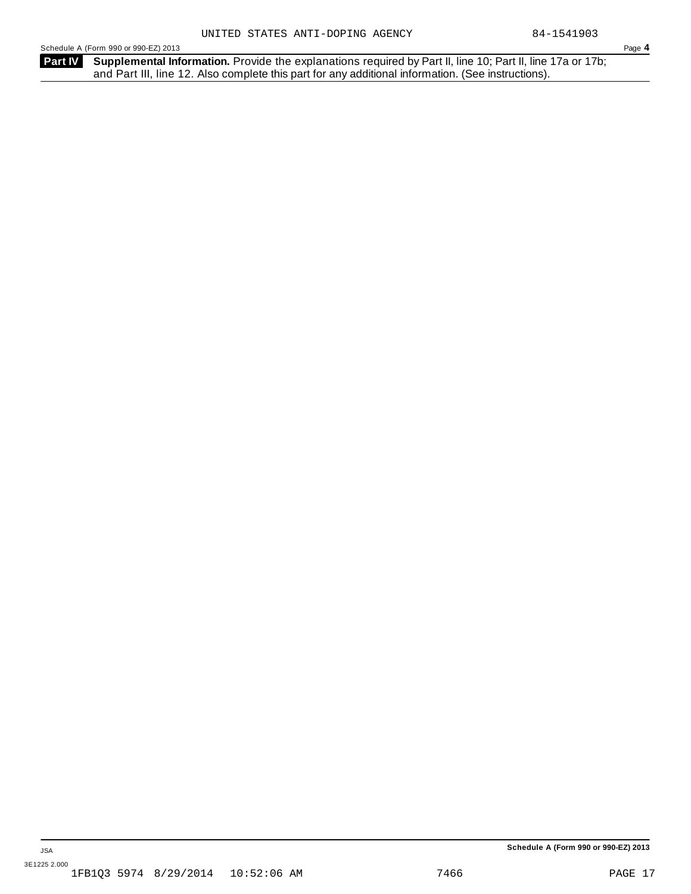Schedule A (Form 990 or 990-EZ) 2013 Page **4**

Part IV Supplemental Information. Provide the explanations required by Part II, line 10; Part II, line 17a or 17b; and Part III, line 12. Also complete this part for any additional information. (See instructions).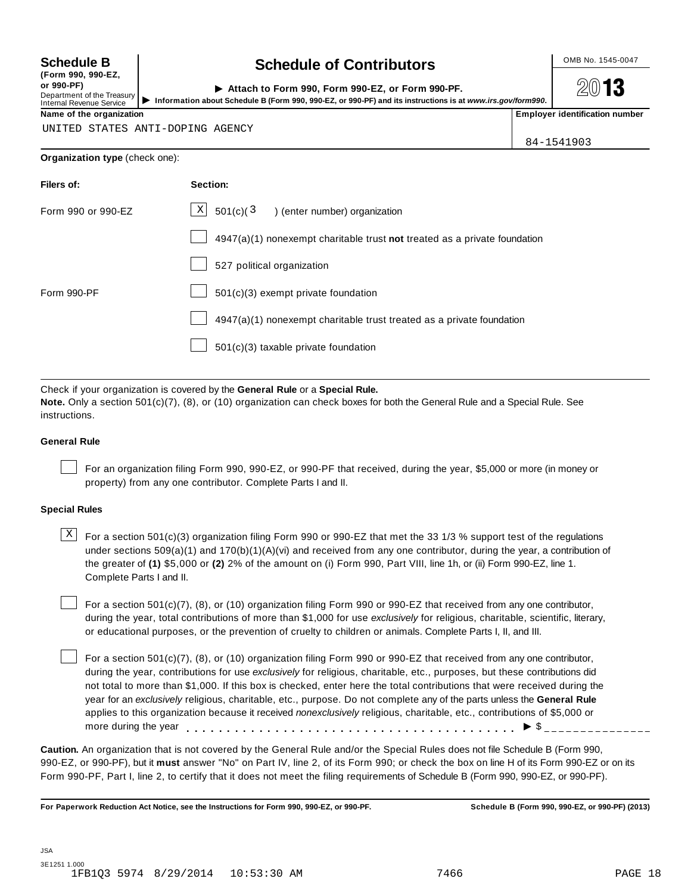**(Form 990, 990-EZ, or 990-PF)** Department of the Treasury<br>Internal Revenue Service

### **Schedule B chedule of Contributors**

**2013** 

or 990-PF)<br>
Department of the Treasury **Department of the Treasury Department of the UPS Attach to Form 990, Form 990-EZ, or Form 990-PF.**<br>
Internal Revenue Service Department of the organization<br>
Name of the organizati

UNITED STATES ANTI-DOPING AGENCY

84-1541903

### **Organization type** (check one):

| Filers of:         | Section:                                                                    |
|--------------------|-----------------------------------------------------------------------------|
| Form 990 or 990-EZ | $X$ 501(c)(3<br>) (enter number) organization                               |
|                    | $4947(a)(1)$ nonexempt charitable trust not treated as a private foundation |
|                    | 527 political organization                                                  |
| Form 990-PF        | 501(c)(3) exempt private foundation                                         |
|                    | 4947(a)(1) nonexempt charitable trust treated as a private foundation       |
|                    | 501(c)(3) taxable private foundation                                        |
|                    |                                                                             |

Check if your organization is covered by the **General Rule** or a **Special Rule. Note.** Only a section 501(c)(7), (8), or (10) organization can check boxes for both the General Rule and a Special Rule. See

instructions.

### **General Rule**

For an organization filing Form 990, 990-EZ, or 990-PF that received, during the year, \$5,000 or more (in money or property) from any one contributor. Complete Parts I and II.

### **Special Rules**

 $\text{X}$  For a section 501(c)(3) organization filing Form 990 or 990-EZ that met the 33 1/3 % support test of the regulations under sections 509(a)(1) and 170(b)(1)(A)(vi) and received from any one contributor, during the year, a contribution of the greater of **(1)** \$5,000 or **(2)** 2% of the amount on (i) Form 990, Part VIII, line 1h, or (ii) Form 990-EZ, line 1. Complete Parts I and II.

For a section 501(c)(7), (8), or (10) organization filing Form 990 or 990-EZ that received from any one contributor, during the year, total contributions of more than \$1,000 for use *exclusively* for religious, charitable, scientific, literary, or educational purposes, or the prevention of cruelty to children or animals. Complete Parts I, II, and III.

For a section 501(c)(7), (8), or (10) organization filing Form 990 or 990-EZ that received from any one contributor, during the year, contributions for use *exclusively* for religious, charitable, etc., purposes, but these contributions did not total to more than \$1,000. If this box is checked, enter here the total contributions that were received during the year for an *exclusively* religious, charitable, etc., purpose. Do not complete any of the parts unless the **General Rule** applies to this organization because it received *nonexclusively* religious, charitable, etc., contributions of \$5,000 or applies to this organization because it received *nonexclusively* religious, charitable, etc., contributions or \$5<br>more during the year<br>

**Caution.** An organization that is not covered by the General Rule and/or the Special Rules does not file Schedule B (Form 990, 990-EZ, or 990-PF), but it **must** answer "No" on Part IV, line 2, of its Form 990; or check the box on line H of its Form 990-EZ or on its Form 990-PF, Part I, line 2, to certify that it does not meet the filing requirements of Schedule B (Form 990, 990-EZ, or 990-PF).

For Paperwork Reduction Act Notice, see the Instructions for Form 990, 990-EZ, or 990-PF. Schedule B (Form 990, 990-EZ, or 990-PF) (2013)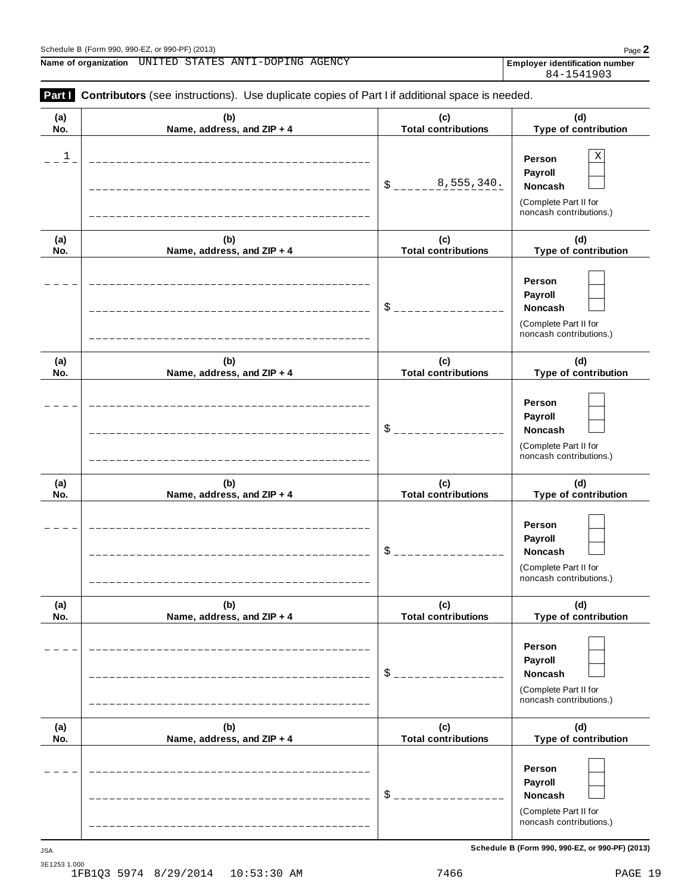**Name of organization** UNITED STATES ANTI-DOPING AGENCY **Employer identification** number

84-1541903

| (a)<br>No.  | (b)<br>Name, address, and ZIP + 4 | (c)<br><b>Total contributions</b> | (d)<br>Type of contribution                                                             |
|-------------|-----------------------------------|-----------------------------------|-----------------------------------------------------------------------------------------|
| $\mathbf 1$ |                                   | 8,555,340.<br>\$                  | Χ<br>Person<br>Payroll<br>Noncash<br>(Complete Part II for<br>noncash contributions.)   |
| (a)<br>No.  | (b)<br>Name, address, and ZIP + 4 | (c)<br><b>Total contributions</b> | (d)<br>Type of contribution                                                             |
|             |                                   | \$                                | Person<br>Payroll<br>Noncash<br>(Complete Part II for<br>noncash contributions.)        |
| (a)<br>No.  | (b)<br>Name, address, and ZIP + 4 | (c)<br><b>Total contributions</b> | (d)<br>Type of contribution                                                             |
|             |                                   | \$                                | Person<br>Payroll<br>Noncash<br>(Complete Part II for<br>noncash contributions.)        |
| (a)<br>No.  | (b)<br>Name, address, and ZIP + 4 | (c)<br><b>Total contributions</b> | (d)<br>Type of contribution                                                             |
|             |                                   | \$                                | Person<br>Payroll<br><b>Noncash</b><br>(Complete Part II for<br>noncash contributions.) |
| (a)<br>No.  | (b)<br>Name, address, and ZIP + 4 | (c)<br><b>Total contributions</b> | (d)<br>Type of contribution                                                             |
|             |                                   | $\frac{1}{2}$                     | Person<br>Payroll<br>Noncash<br>(Complete Part II for<br>noncash contributions.)        |
| (a)<br>No.  | (b)<br>Name, address, and ZIP + 4 | (c)<br><b>Total contributions</b> | (d)<br>Type of contribution                                                             |
|             |                                   | \$                                | Person<br>Payroll<br><b>Noncash</b><br>(Complete Part II for<br>noncash contributions.) |

**Schedule B (Form 990, 990-EZ, or 990-PF) (2013)** JSA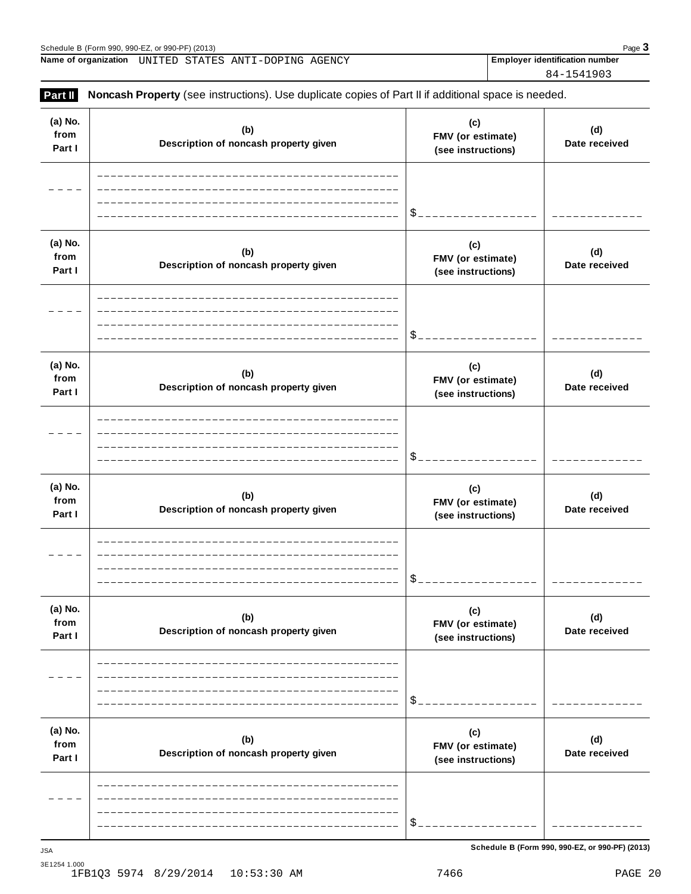Schedule B (Form 990, 990-EZ, or 990-PF) (2013)<br> **Name of organization** UNITED STATES ANTI-DOPING AGENCY **Property and CONSTANTY Employer identification number Name of organization** UNITED STATES ANTI-DOPING AGENCY Employer identification number

84-1541903

| (a) No.<br>from<br>Part I | (b)<br>Description of noncash property given | (c)<br>FMV (or estimate)<br>(see instructions) | (d)<br>Date received |
|---------------------------|----------------------------------------------|------------------------------------------------|----------------------|
|                           |                                              | \$                                             |                      |
| (a) No.<br>from<br>Part I | (b)<br>Description of noncash property given | (c)<br>FMV (or estimate)<br>(see instructions) | (d)<br>Date received |
|                           |                                              |                                                |                      |
| (a) No.<br>from<br>Part I | (b)<br>Description of noncash property given | (c)<br>FMV (or estimate)<br>(see instructions) | (d)<br>Date received |
|                           |                                              |                                                |                      |
| (a) No.<br>from<br>Part I | (b)<br>Description of noncash property given | (c)<br>FMV (or estimate)<br>(see instructions) | (d)<br>Date received |
|                           |                                              | \$                                             |                      |
| (a) No.<br>from<br>Part I | (b)<br>Description of noncash property given | (c)<br>FMV (or estimate)<br>(see instructions) | (d)<br>Date received |
|                           |                                              | \$                                             |                      |
| (a) No.<br>from<br>Part I | (b)<br>Description of noncash property given | (c)<br>FMV (or estimate)<br>(see instructions) | (d)<br>Date received |
|                           |                                              | \$                                             |                      |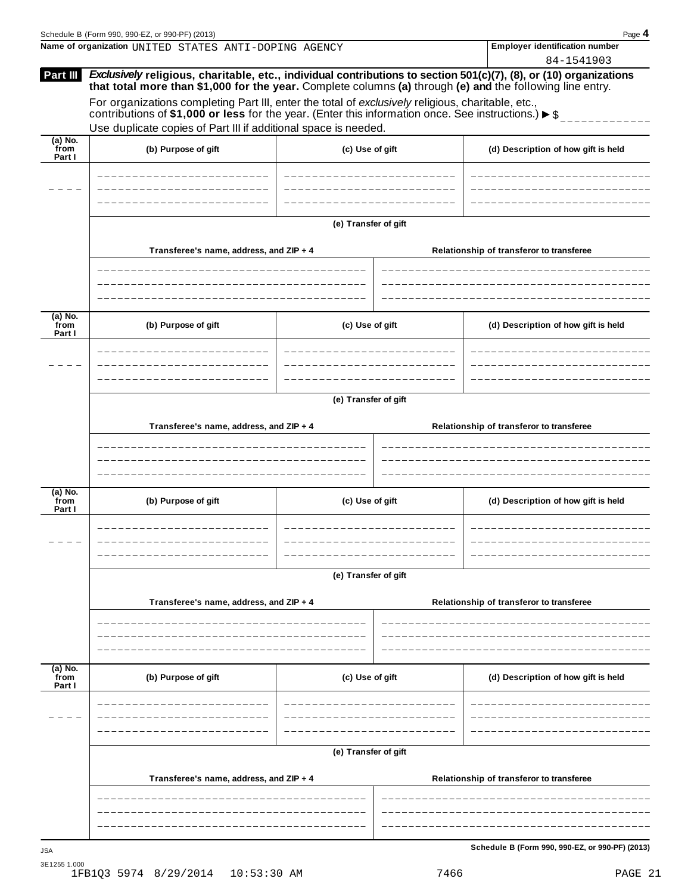| <b>Employer identification number</b><br>Name of organization UNITED STATES ANTI-DOPING AGENCY<br>84-1541903<br>Exclusively religious, charitable, etc., individual contributions to section 501(c)(7), (8), or (10) organizations<br>Part III<br>that total more than \$1,000 for the year. Complete columns (a) through (e) and the following line entry.<br>For organizations completing Part III, enter the total of exclusively religious, charitable, etc.,<br>contributions of \$1,000 or less for the year. (Enter this information once. See instructions.) $\triangleright$ \$<br>Use duplicate copies of Part III if additional space is needed.<br>$(a)$ No.<br>from<br>(b) Purpose of gift<br>(c) Use of gift<br>(d) Description of how gift is held<br>Part I<br>(e) Transfer of gift |  |
|-----------------------------------------------------------------------------------------------------------------------------------------------------------------------------------------------------------------------------------------------------------------------------------------------------------------------------------------------------------------------------------------------------------------------------------------------------------------------------------------------------------------------------------------------------------------------------------------------------------------------------------------------------------------------------------------------------------------------------------------------------------------------------------------------------|--|
|                                                                                                                                                                                                                                                                                                                                                                                                                                                                                                                                                                                                                                                                                                                                                                                                     |  |
|                                                                                                                                                                                                                                                                                                                                                                                                                                                                                                                                                                                                                                                                                                                                                                                                     |  |
|                                                                                                                                                                                                                                                                                                                                                                                                                                                                                                                                                                                                                                                                                                                                                                                                     |  |
|                                                                                                                                                                                                                                                                                                                                                                                                                                                                                                                                                                                                                                                                                                                                                                                                     |  |
|                                                                                                                                                                                                                                                                                                                                                                                                                                                                                                                                                                                                                                                                                                                                                                                                     |  |
|                                                                                                                                                                                                                                                                                                                                                                                                                                                                                                                                                                                                                                                                                                                                                                                                     |  |
|                                                                                                                                                                                                                                                                                                                                                                                                                                                                                                                                                                                                                                                                                                                                                                                                     |  |
| Transferee's name, address, and ZIP + 4<br>Relationship of transferor to transferee                                                                                                                                                                                                                                                                                                                                                                                                                                                                                                                                                                                                                                                                                                                 |  |
|                                                                                                                                                                                                                                                                                                                                                                                                                                                                                                                                                                                                                                                                                                                                                                                                     |  |
|                                                                                                                                                                                                                                                                                                                                                                                                                                                                                                                                                                                                                                                                                                                                                                                                     |  |
| $(a)$ No.<br>from<br>(b) Purpose of gift<br>(c) Use of gift<br>(d) Description of how gift is held<br>Part I                                                                                                                                                                                                                                                                                                                                                                                                                                                                                                                                                                                                                                                                                        |  |
|                                                                                                                                                                                                                                                                                                                                                                                                                                                                                                                                                                                                                                                                                                                                                                                                     |  |
| (e) Transfer of gift                                                                                                                                                                                                                                                                                                                                                                                                                                                                                                                                                                                                                                                                                                                                                                                |  |
| Transferee's name, address, and ZIP + 4<br>Relationship of transferor to transferee                                                                                                                                                                                                                                                                                                                                                                                                                                                                                                                                                                                                                                                                                                                 |  |
|                                                                                                                                                                                                                                                                                                                                                                                                                                                                                                                                                                                                                                                                                                                                                                                                     |  |
|                                                                                                                                                                                                                                                                                                                                                                                                                                                                                                                                                                                                                                                                                                                                                                                                     |  |
|                                                                                                                                                                                                                                                                                                                                                                                                                                                                                                                                                                                                                                                                                                                                                                                                     |  |
| (a) No.<br>from<br>(b) Purpose of gift<br>(c) Use of gift<br>(d) Description of how gift is held<br>Part I                                                                                                                                                                                                                                                                                                                                                                                                                                                                                                                                                                                                                                                                                          |  |
|                                                                                                                                                                                                                                                                                                                                                                                                                                                                                                                                                                                                                                                                                                                                                                                                     |  |
| (e) Transfer of gift                                                                                                                                                                                                                                                                                                                                                                                                                                                                                                                                                                                                                                                                                                                                                                                |  |
| Transferee's name, address, and ZIP + 4<br>Relationship of transferor to transferee                                                                                                                                                                                                                                                                                                                                                                                                                                                                                                                                                                                                                                                                                                                 |  |
|                                                                                                                                                                                                                                                                                                                                                                                                                                                                                                                                                                                                                                                                                                                                                                                                     |  |
|                                                                                                                                                                                                                                                                                                                                                                                                                                                                                                                                                                                                                                                                                                                                                                                                     |  |
| $(a)$ No.<br>from<br>(b) Purpose of gift<br>(c) Use of gift<br>(d) Description of how gift is held<br>Part I                                                                                                                                                                                                                                                                                                                                                                                                                                                                                                                                                                                                                                                                                        |  |
|                                                                                                                                                                                                                                                                                                                                                                                                                                                                                                                                                                                                                                                                                                                                                                                                     |  |
|                                                                                                                                                                                                                                                                                                                                                                                                                                                                                                                                                                                                                                                                                                                                                                                                     |  |
| (e) Transfer of gift                                                                                                                                                                                                                                                                                                                                                                                                                                                                                                                                                                                                                                                                                                                                                                                |  |
| Transferee's name, address, and ZIP + 4<br>Relationship of transferor to transferee                                                                                                                                                                                                                                                                                                                                                                                                                                                                                                                                                                                                                                                                                                                 |  |
|                                                                                                                                                                                                                                                                                                                                                                                                                                                                                                                                                                                                                                                                                                                                                                                                     |  |
| Schedule B (Form 990, 990-EZ, or 990-PF) (2013)<br><b>JSA</b>                                                                                                                                                                                                                                                                                                                                                                                                                                                                                                                                                                                                                                                                                                                                       |  |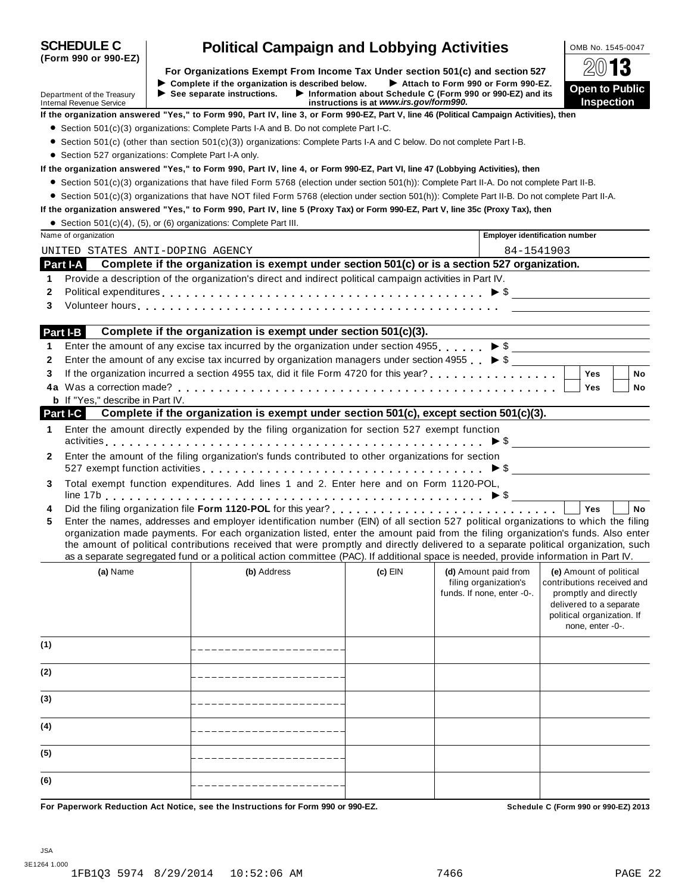| <b>SCHEDULE C</b><br><b>Political Campaign and Lobbying Activities</b>                                                                  |                                             |                                                                                                                                                                                                                                                                                                                                                                                                                                                                                                                                                      | OMB No. 1545-0047                                                                                    |                                                     |                                       |                                                                                                              |
|-----------------------------------------------------------------------------------------------------------------------------------------|---------------------------------------------|------------------------------------------------------------------------------------------------------------------------------------------------------------------------------------------------------------------------------------------------------------------------------------------------------------------------------------------------------------------------------------------------------------------------------------------------------------------------------------------------------------------------------------------------------|------------------------------------------------------------------------------------------------------|-----------------------------------------------------|---------------------------------------|--------------------------------------------------------------------------------------------------------------|
| (Form 990 or 990-EZ)                                                                                                                    |                                             | For Organizations Exempt From Income Tax Under section 501(c) and section 527                                                                                                                                                                                                                                                                                                                                                                                                                                                                        |                                                                                                      |                                                     |                                       | $20$ 13                                                                                                      |
|                                                                                                                                         |                                             | Complete if the organization is described below.                                                                                                                                                                                                                                                                                                                                                                                                                                                                                                     |                                                                                                      | Attach to Form 990 or Form 990-EZ.                  |                                       |                                                                                                              |
| Department of the Treasury<br><b>Internal Revenue Service</b>                                                                           | $\triangleright$ See separate instructions. |                                                                                                                                                                                                                                                                                                                                                                                                                                                                                                                                                      | Information about Schedule C (Form 990 or 990-EZ) and its<br>instructions is at www.irs.gov/form990. |                                                     |                                       | <b>Open to Public</b><br><b>Inspection</b>                                                                   |
| If the organization answered "Yes," to Form 990, Part IV, line 3, or Form 990-EZ, Part V, line 46 (Political Campaign Activities), then |                                             |                                                                                                                                                                                                                                                                                                                                                                                                                                                                                                                                                      |                                                                                                      |                                                     |                                       |                                                                                                              |
|                                                                                                                                         |                                             | $\bullet$ Section 501(c)(3) organizations: Complete Parts I-A and B. Do not complete Part I-C.                                                                                                                                                                                                                                                                                                                                                                                                                                                       |                                                                                                      |                                                     |                                       |                                                                                                              |
|                                                                                                                                         |                                             | • Section 501(c) (other than section 501(c)(3)) organizations: Complete Parts I-A and C below. Do not complete Part I-B.                                                                                                                                                                                                                                                                                                                                                                                                                             |                                                                                                      |                                                     |                                       |                                                                                                              |
| • Section 527 organizations: Complete Part I-A only.                                                                                    |                                             |                                                                                                                                                                                                                                                                                                                                                                                                                                                                                                                                                      |                                                                                                      |                                                     |                                       |                                                                                                              |
| If the organization answered "Yes," to Form 990, Part IV, line 4, or Form 990-EZ, Part VI, line 47 (Lobbying Activities), then          |                                             |                                                                                                                                                                                                                                                                                                                                                                                                                                                                                                                                                      |                                                                                                      |                                                     |                                       |                                                                                                              |
|                                                                                                                                         |                                             | ● Section 501(c)(3) organizations that have filed Form 5768 (election under section 501(h)): Complete Part II-A. Do not complete Part II-B.                                                                                                                                                                                                                                                                                                                                                                                                          |                                                                                                      |                                                     |                                       |                                                                                                              |
|                                                                                                                                         |                                             | • Section 501(c)(3) organizations that have NOT filed Form 5768 (election under section 501(h)): Complete Part II-B. Do not complete Part II-A.                                                                                                                                                                                                                                                                                                                                                                                                      |                                                                                                      |                                                     |                                       |                                                                                                              |
| If the organization answered "Yes," to Form 990, Part IV, line 5 (Proxy Tax) or Form 990-EZ, Part V, line 35c (Proxy Tax), then         |                                             |                                                                                                                                                                                                                                                                                                                                                                                                                                                                                                                                                      |                                                                                                      |                                                     |                                       |                                                                                                              |
| • Section 501(c)(4), (5), or (6) organizations: Complete Part III.<br>Name of organization                                              |                                             |                                                                                                                                                                                                                                                                                                                                                                                                                                                                                                                                                      |                                                                                                      |                                                     | <b>Employer identification number</b> |                                                                                                              |
|                                                                                                                                         |                                             |                                                                                                                                                                                                                                                                                                                                                                                                                                                                                                                                                      |                                                                                                      |                                                     | 84-1541903                            |                                                                                                              |
| UNITED STATES ANTI-DOPING AGENCY<br>Part I-A                                                                                            |                                             | Complete if the organization is exempt under section 501(c) or is a section 527 organization.                                                                                                                                                                                                                                                                                                                                                                                                                                                        |                                                                                                      |                                                     |                                       |                                                                                                              |
| 1                                                                                                                                       |                                             | Provide a description of the organization's direct and indirect political campaign activities in Part IV.                                                                                                                                                                                                                                                                                                                                                                                                                                            |                                                                                                      |                                                     |                                       |                                                                                                              |
| 2                                                                                                                                       |                                             | Political expenditures $\ldots$ $\ldots$ $\ldots$ $\ldots$ $\ldots$ $\ldots$ $\ldots$ $\ldots$ $\ldots$ $\ldots$ $\ldots$ $\ldots$ $\ldots$ $\blacktriangleright$ \$                                                                                                                                                                                                                                                                                                                                                                                 |                                                                                                      |                                                     |                                       |                                                                                                              |
| 3                                                                                                                                       |                                             |                                                                                                                                                                                                                                                                                                                                                                                                                                                                                                                                                      |                                                                                                      |                                                     |                                       |                                                                                                              |
|                                                                                                                                         |                                             |                                                                                                                                                                                                                                                                                                                                                                                                                                                                                                                                                      |                                                                                                      |                                                     |                                       |                                                                                                              |
| Part I-B                                                                                                                                |                                             | Complete if the organization is exempt under section 501(c)(3).                                                                                                                                                                                                                                                                                                                                                                                                                                                                                      |                                                                                                      |                                                     |                                       |                                                                                                              |
| 1                                                                                                                                       |                                             | Enter the amount of any excise tax incurred by the organization under section 4955. $\triangleright$ \$                                                                                                                                                                                                                                                                                                                                                                                                                                              |                                                                                                      |                                                     |                                       |                                                                                                              |
| 2                                                                                                                                       |                                             | Enter the amount of any excise tax incurred by organization managers under section 4955 $\blacktriangleright$ \$                                                                                                                                                                                                                                                                                                                                                                                                                                     |                                                                                                      |                                                     |                                       |                                                                                                              |
| 3                                                                                                                                       |                                             | If the organization incurred a section 4955 tax, did it file Form 4720 for this year?                                                                                                                                                                                                                                                                                                                                                                                                                                                                |                                                                                                      |                                                     |                                       | <b>No</b><br><b>Yes</b>                                                                                      |
|                                                                                                                                         |                                             |                                                                                                                                                                                                                                                                                                                                                                                                                                                                                                                                                      |                                                                                                      |                                                     |                                       | Yes<br>No                                                                                                    |
| <b>b</b> If "Yes," describe in Part IV.                                                                                                 |                                             |                                                                                                                                                                                                                                                                                                                                                                                                                                                                                                                                                      |                                                                                                      |                                                     |                                       |                                                                                                              |
| Part I-C                                                                                                                                |                                             | Complete if the organization is exempt under section $501(c)$ , except section $501(c)(3)$ .                                                                                                                                                                                                                                                                                                                                                                                                                                                         |                                                                                                      |                                                     |                                       |                                                                                                              |
| 1                                                                                                                                       |                                             | Enter the amount directly expended by the filing organization for section 527 exempt function                                                                                                                                                                                                                                                                                                                                                                                                                                                        |                                                                                                      |                                                     |                                       |                                                                                                              |
|                                                                                                                                         |                                             | Enter the amount of the filing organization's funds contributed to other organizations for section                                                                                                                                                                                                                                                                                                                                                                                                                                                   |                                                                                                      |                                                     |                                       |                                                                                                              |
| 2                                                                                                                                       |                                             | 527 exempt function activities $\ldots \ldots \ldots \ldots \ldots \ldots \ldots \ldots \ldots \ldots \ldots \ldots \blacktriangleright$ \$ ______________________                                                                                                                                                                                                                                                                                                                                                                                   |                                                                                                      |                                                     |                                       |                                                                                                              |
| 3                                                                                                                                       |                                             | Total exempt function expenditures. Add lines 1 and 2. Enter here and on Form 1120-POL,                                                                                                                                                                                                                                                                                                                                                                                                                                                              |                                                                                                      |                                                     |                                       |                                                                                                              |
|                                                                                                                                         |                                             |                                                                                                                                                                                                                                                                                                                                                                                                                                                                                                                                                      |                                                                                                      |                                                     |                                       |                                                                                                              |
| 4                                                                                                                                       |                                             |                                                                                                                                                                                                                                                                                                                                                                                                                                                                                                                                                      |                                                                                                      |                                                     |                                       | Yes<br><b>No</b>                                                                                             |
| 5                                                                                                                                       |                                             | Enter the names, addresses and employer identification number (EIN) of all section 527 political organizations to which the filing<br>organization made payments. For each organization listed, enter the amount paid from the filing organization's funds. Also enter<br>the amount of political contributions received that were promptly and directly delivered to a separate political organization, such<br>as a separate segregated fund or a political action committee (PAC). If additional space is needed, provide information in Part IV. |                                                                                                      |                                                     |                                       |                                                                                                              |
| (a) Name                                                                                                                                |                                             | (b) Address                                                                                                                                                                                                                                                                                                                                                                                                                                                                                                                                          | $(c)$ EIN                                                                                            | (d) Amount paid from                                |                                       | (e) Amount of political                                                                                      |
|                                                                                                                                         |                                             |                                                                                                                                                                                                                                                                                                                                                                                                                                                                                                                                                      |                                                                                                      | filing organization's<br>funds. If none, enter -0-. |                                       | contributions received and<br>promptly and directly<br>delivered to a separate<br>political organization. If |
|                                                                                                                                         |                                             |                                                                                                                                                                                                                                                                                                                                                                                                                                                                                                                                                      |                                                                                                      |                                                     |                                       | none, enter -0-.                                                                                             |
| (1)                                                                                                                                     |                                             |                                                                                                                                                                                                                                                                                                                                                                                                                                                                                                                                                      |                                                                                                      |                                                     |                                       |                                                                                                              |
| (2)                                                                                                                                     |                                             |                                                                                                                                                                                                                                                                                                                                                                                                                                                                                                                                                      |                                                                                                      |                                                     |                                       |                                                                                                              |
| (3)                                                                                                                                     |                                             |                                                                                                                                                                                                                                                                                                                                                                                                                                                                                                                                                      |                                                                                                      |                                                     |                                       |                                                                                                              |
| (4)                                                                                                                                     |                                             |                                                                                                                                                                                                                                                                                                                                                                                                                                                                                                                                                      |                                                                                                      |                                                     |                                       |                                                                                                              |
| (5)                                                                                                                                     |                                             |                                                                                                                                                                                                                                                                                                                                                                                                                                                                                                                                                      |                                                                                                      |                                                     |                                       |                                                                                                              |
| (6)                                                                                                                                     |                                             |                                                                                                                                                                                                                                                                                                                                                                                                                                                                                                                                                      |                                                                                                      |                                                     |                                       |                                                                                                              |
| For Paperwork Reduction Act Notice, see the Instructions for Form 990 or 990-EZ.                                                        |                                             |                                                                                                                                                                                                                                                                                                                                                                                                                                                                                                                                                      |                                                                                                      |                                                     |                                       | Schedule C (Form 990 or 990-EZ) 2013                                                                         |

**SCHEDULE C Political Campaign and Lobbying Activities** 2008 No. 1545-0047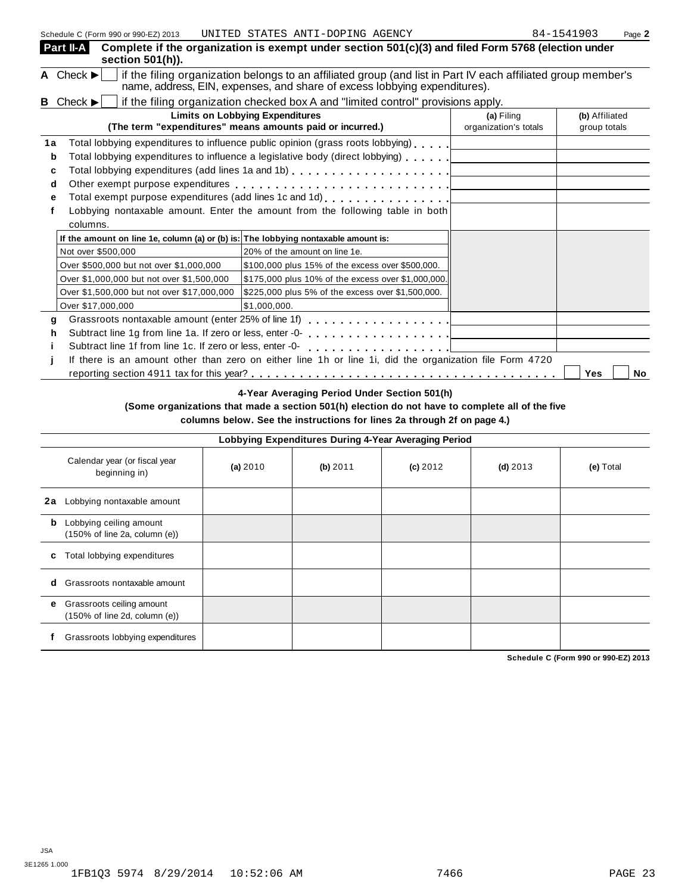|             | Part II-A<br>section 501(h)).                                                      | Complete if the organization is exempt under section 501(c)(3) and filed Form 5768 (election under                                                                                         |                                     |                                |
|-------------|------------------------------------------------------------------------------------|--------------------------------------------------------------------------------------------------------------------------------------------------------------------------------------------|-------------------------------------|--------------------------------|
|             | A Check $\blacktriangleright$                                                      | if the filing organization belongs to an affiliated group (and list in Part IV each affiliated group member's<br>name, address, EIN, expenses, and share of excess lobbying expenditures). |                                     |                                |
|             | <b>B</b> Check $\blacktriangleright$                                               | if the filing organization checked box A and "limited control" provisions apply.                                                                                                           |                                     |                                |
|             |                                                                                    | <b>Limits on Lobbying Expenditures</b><br>(The term "expenditures" means amounts paid or incurred.)                                                                                        | (a) Filing<br>organization's totals | (b) Affiliated<br>group totals |
| 1a<br>b     |                                                                                    | Total lobbying expenditures to influence public opinion (grass roots lobbying)<br>Total lobbying expenditures to influence a legislative body (direct lobbying) [100]                      |                                     |                                |
| c<br>d<br>e |                                                                                    | Total lobbying expenditures (add lines 1a and 1b) $\ldots \ldots \ldots \ldots \ldots \ldots$                                                                                              |                                     |                                |
|             | columns.                                                                           | Lobbying nontaxable amount. Enter the amount from the following table in both                                                                                                              |                                     |                                |
|             | If the amount on line 1e, column (a) or (b) is: The lobbying nontaxable amount is: |                                                                                                                                                                                            |                                     |                                |
|             | Not over \$500,000                                                                 | 20% of the amount on line 1e.                                                                                                                                                              |                                     |                                |
|             | Over \$500,000 but not over \$1,000,000                                            | \$100,000 plus 15% of the excess over \$500,000.                                                                                                                                           |                                     |                                |
|             | Over \$1,000,000 but not over \$1,500,000                                          | \$175,000 plus 10% of the excess over \$1,000,000.                                                                                                                                         |                                     |                                |
|             | Over \$1,500,000 but not over \$17,000,000                                         | \$225,000 plus 5% of the excess over \$1,500,000.                                                                                                                                          |                                     |                                |
|             | Over \$17,000,000                                                                  | \$1,000,000.                                                                                                                                                                               |                                     |                                |
| g           | Grassroots nontaxable amount (enter 25% of line 1f)                                | .                                                                                                                                                                                          |                                     |                                |
| h           | Subtract line 1g from line 1a. If zero or less, enter -0-                          | . <u>.</u>                                                                                                                                                                                 |                                     |                                |
|             | Subtract line 1f from line 1c. If zero or less, enter -0-                          | .                                                                                                                                                                                          |                                     |                                |
|             |                                                                                    | If there is an amount other than zero on either line 1h or line 1i, did the organization file Form 4720                                                                                    |                                     |                                |
|             |                                                                                    |                                                                                                                                                                                            |                                     | Yes<br>No                      |

### **4-Year Averaging Period Under Section 501(h)**

**(Some organizations that made a section 501(h) election do not have to complete all of the five columns below. See the instructions for lines 2a through 2f on page 4.)**

|    | Lobbying Expenditures During 4-Year Averaging Period                            |          |          |            |            |           |  |  |  |  |
|----|---------------------------------------------------------------------------------|----------|----------|------------|------------|-----------|--|--|--|--|
|    | Calendar year (or fiscal year<br>beginning in)                                  | (a) 2010 | (b) 2011 | $(c)$ 2012 | $(d)$ 2013 | (e) Total |  |  |  |  |
| 2a | Lobbying nontaxable amount                                                      |          |          |            |            |           |  |  |  |  |
| b  | Lobbying ceiling amount<br>$(150\% \text{ of line } 2a, \text{ column } (e))$   |          |          |            |            |           |  |  |  |  |
| c  | Total lobbying expenditures                                                     |          |          |            |            |           |  |  |  |  |
| d  | Grassroots nontaxable amount                                                    |          |          |            |            |           |  |  |  |  |
| e. | Grassroots ceiling amount<br>$(150\% \text{ of line } 2d, \text{ column } (e))$ |          |          |            |            |           |  |  |  |  |
|    | Grassroots lobbying expenditures                                                |          |          |            |            |           |  |  |  |  |

**Schedule C (Form 990 or 990-EZ) 2013**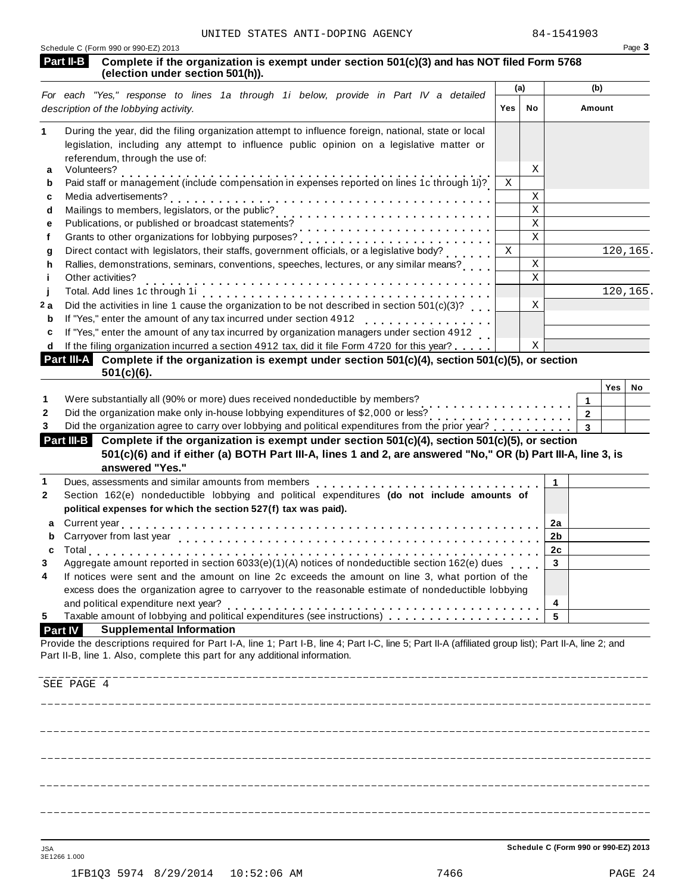|                   | UNITED STATES ANTI-DOPING AGENCY                                                                                                                      |             |                         | 84-1541903   |                |          |        |
|-------------------|-------------------------------------------------------------------------------------------------------------------------------------------------------|-------------|-------------------------|--------------|----------------|----------|--------|
| Part II-B         | Schedule C (Form 990 or 990-EZ) 2013<br>Complete if the organization is exempt under section 501(c)(3) and has NOT filed Form 5768                    |             |                         |              |                |          | Page 3 |
|                   | (election under section 501(h)).                                                                                                                      |             |                         |              |                |          |        |
|                   | For each "Yes," response to lines 1a through 1i below, provide in Part IV a detailed                                                                  |             | (b)<br>(a)              |              |                |          |        |
|                   | description of the lobbying activity.                                                                                                                 | Yes         | No                      |              | Amount         |          |        |
|                   | During the year, did the filing organization attempt to influence foreign, national, state or local                                                   |             |                         |              |                |          |        |
|                   | legislation, including any attempt to influence public opinion on a legislative matter or                                                             |             |                         |              |                |          |        |
| а                 | referendum, through the use of:<br>Volunteers?                                                                                                        |             | X                       |              |                |          |        |
| b                 | Paid staff or management (include compensation in expenses reported on lines 1c through 1i)?                                                          | X           |                         |              |                |          |        |
| c                 |                                                                                                                                                       |             | X                       |              |                |          |        |
| d                 |                                                                                                                                                       |             | $\rm X$                 |              |                |          |        |
| е                 | Publications, or published or broadcast statements?                                                                                                   |             | $\overline{\mathbf{x}}$ |              |                |          |        |
| f                 | Grants to other organizations for lobbying purposes?<br>                                                                                              |             | $\rm X$                 |              |                |          |        |
| g                 | Direct contact with legislators, their staffs, government officials, or a legislative body?                                                           | $\mathbf x$ |                         |              |                | 120,165. |        |
| h                 | Rallies, demonstrations, seminars, conventions, speeches, lectures, or any similar means?                                                             |             | $\mathbf X$             |              |                |          |        |
| Ť                 | Other activities?                                                                                                                                     |             | $\mathbf x$             |              |                |          |        |
|                   |                                                                                                                                                       |             |                         |              |                | 120,165. |        |
| 2a                | Did the activities in line 1 cause the organization to be not described in section 501(c)(3)?                                                         |             | Χ                       |              |                |          |        |
| b                 |                                                                                                                                                       |             |                         |              |                |          |        |
| с                 | If "Yes," enter the amount of any tax incurred by organization managers under section 4912                                                            |             |                         |              |                |          |        |
| d<br>Part III-A   | If the filing organization incurred a section 4912 tax, did it file Form 4720 for this year?                                                          |             | X                       |              |                |          |        |
|                   | Complete if the organization is exempt under section 501(c)(4), section 501(c)(5), or section<br>$501(c)(6)$ .                                        |             |                         |              |                |          |        |
|                   |                                                                                                                                                       |             |                         |              |                | Yes      | No     |
|                   | Were substantially all (90% or more) dues received nondeductible by members?                                                                          |             |                         |              | 1              |          |        |
|                   | Did the organization make only in-house lobbying expenditures of \$2,000 or less?                                                                     |             |                         |              | $\overline{2}$ |          |        |
| 3                 |                                                                                                                                                       |             |                         |              | $\mathbf{3}$   |          |        |
| <b>Part III-B</b> | Complete if the organization is exempt under section 501(c)(4), section 501(c)(5), or section                                                         |             |                         |              |                |          |        |
|                   | 501(c)(6) and if either (a) BOTH Part III-A, lines 1 and 2, are answered "No," OR (b) Part III-A, line 3, is                                          |             |                         |              |                |          |        |
|                   | answered "Yes."                                                                                                                                       |             |                         |              |                |          |        |
|                   | Dues, assessments and similar amounts from members<br>Section 162(e) nondeductible lobbying and political expenditures (do not include amounts of     |             |                         | $\mathbf{1}$ |                |          |        |
|                   | political expenses for which the section 527(f) tax was paid).                                                                                        |             |                         |              |                |          |        |
|                   |                                                                                                                                                       |             |                         |              |                |          |        |
| a<br>b            |                                                                                                                                                       |             |                         | 2a<br>2b     |                |          |        |
| c                 | Carryover from last year                                                                                                                              |             |                         | 2c           |                |          |        |
|                   | Aggregate amount reported in section 6033(e)(1)(A) notices of nondeductible section 162(e) dues                                                       |             |                         | $\mathbf{3}$ |                |          |        |
|                   | If notices were sent and the amount on line 2c exceeds the amount on line 3, what portion of the                                                      |             |                         |              |                |          |        |
|                   | excess does the organization agree to carryover to the reasonable estimate of nondeductible lobbying                                                  |             |                         |              |                |          |        |
|                   | and political expenditure next year?                                                                                                                  |             |                         | 4            |                |          |        |
|                   | Taxable amount of lobbying and political expenditures (see instructions)                                                                              |             |                         | 5            |                |          |        |
| <b>Part IV</b>    | <b>Supplemental Information</b>                                                                                                                       |             |                         |              |                |          |        |
|                   | Provide the descriptions required for Part I-A, line 1; Part I-B, line 4; Part I-C, line 5; Part II-A (affiliated group list); Part II-A, line 2; and |             |                         |              |                |          |        |
|                   | Part II-B, line 1. Also, complete this part for any additional information.                                                                           |             |                         |              |                |          |        |
|                   |                                                                                                                                                       |             |                         |              |                |          |        |
| SEE PAGE 4        |                                                                                                                                                       |             |                         |              |                |          |        |
|                   |                                                                                                                                                       |             |                         |              |                |          |        |
|                   |                                                                                                                                                       |             |                         |              |                |          |        |
|                   |                                                                                                                                                       |             |                         |              |                |          |        |
|                   |                                                                                                                                                       |             |                         |              |                |          |        |
|                   |                                                                                                                                                       |             |                         |              |                |          |        |
|                   |                                                                                                                                                       |             |                         |              |                |          |        |
|                   |                                                                                                                                                       |             |                         |              |                |          |        |
|                   |                                                                                                                                                       |             |                         |              |                |          |        |
|                   |                                                                                                                                                       |             |                         |              |                |          |        |

JSA **Schedule C (Form 990 or 990-EZ) 2013**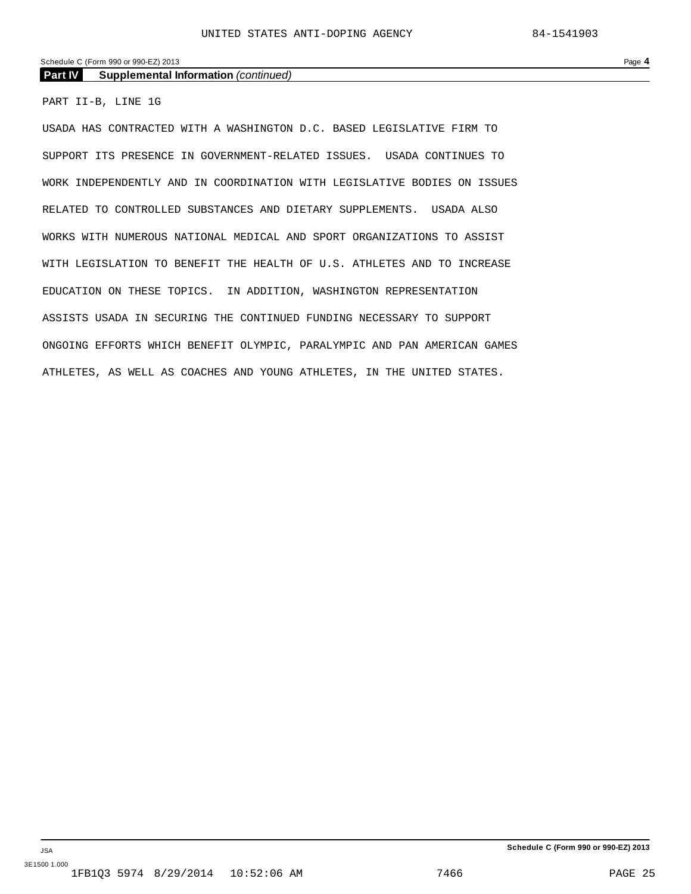### Schedule C (Form 990 or 990-EZ) 2013 Page **4**

### **Part IV Supplemental Information** *(continued)*

PART II-B, LINE 1G

USADA HAS CONTRACTED WITH A WASHINGTON D.C. BASED LEGISLATIVE FIRM TO SUPPORT ITS PRESENCE IN GOVERNMENT-RELATED ISSUES. USADA CONTINUES TO WORK INDEPENDENTLY AND IN COORDINATION WITH LEGISLATIVE BODIES ON ISSUES RELATED TO CONTROLLED SUBSTANCES AND DIETARY SUPPLEMENTS. USADA ALSO WORKS WITH NUMEROUS NATIONAL MEDICAL AND SPORT ORGANIZATIONS TO ASSIST WITH LEGISLATION TO BENEFIT THE HEALTH OF U.S. ATHLETES AND TO INCREASE EDUCATION ON THESE TOPICS. IN ADDITION, WASHINGTON REPRESENTATION ASSISTS USADA IN SECURING THE CONTINUED FUNDING NECESSARY TO SUPPORT ONGOING EFFORTS WHICH BENEFIT OLYMPIC, PARALYMPIC AND PAN AMERICAN GAMES ATHLETES, AS WELL AS COACHES AND YOUNG ATHLETES, IN THE UNITED STATES.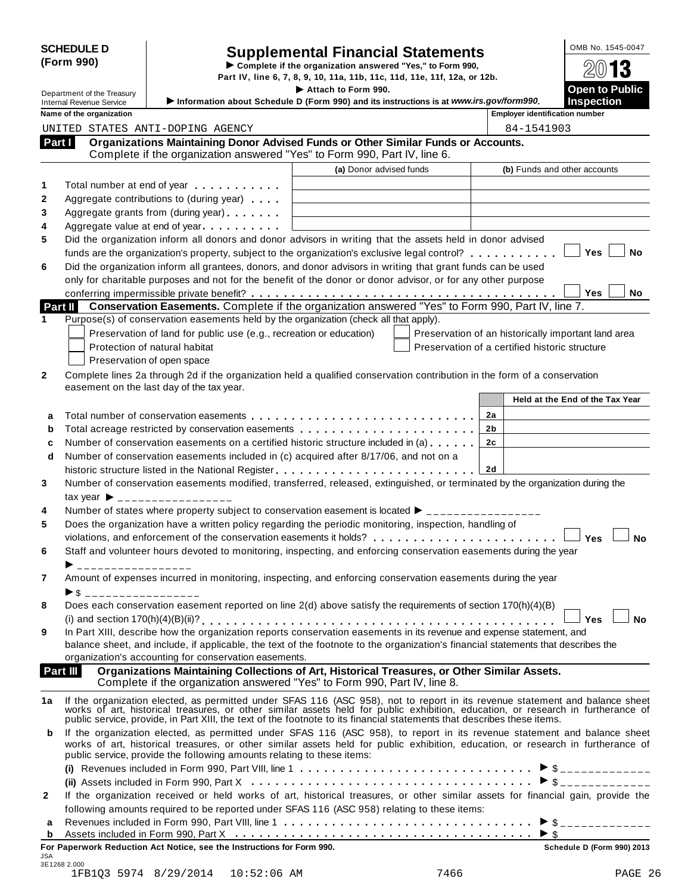| <b>SCHEDULE D</b> |  |
|-------------------|--|
| (Form 990)        |  |

# SCHEDULE D<br>
Supplemental Financial Statements<br>
Form 990) Part IV, line 6, 7, 8, 9, 10, 11a, 11b, 11c, 11d, 11e, 11f, 12a, or 12b.

Department of the Treasury **I are above to Public The Attach of Form** 990.<br> **Department of the Treasury Information about Schedule D. (Form 990), and its instructions is at www.irs gov/form990. INSOCITY IS THE INTERNATION CONSULTER IN THE INTERNATION OF A LIGARY CONSULTER IN THE INTERNATION OF A LIGARY CONSULTER INTERNATION OF A LIGARY OF A LIGARY OF A LIGARY OF A LIGARY OF A LIGARY OF A LIGARY OF A LIGARY OF A** 

|  | ame of the organization |  |
|--|-------------------------|--|

|              | Department of the Treasury      |                                                                                                                | Attach to Form 990.                                                                                                                                                                                                                                              | Open to Public                                      |
|--------------|---------------------------------|----------------------------------------------------------------------------------------------------------------|------------------------------------------------------------------------------------------------------------------------------------------------------------------------------------------------------------------------------------------------------------------|-----------------------------------------------------|
|              | <b>Internal Revenue Service</b> |                                                                                                                | Information about Schedule D (Form 990) and its instructions is at www.irs.gov/form990.                                                                                                                                                                          | <b>Inspection</b>                                   |
|              | Name of the organization        |                                                                                                                |                                                                                                                                                                                                                                                                  | <b>Employer identification number</b>               |
|              |                                 | UNITED STATES ANTI-DOPING AGENCY                                                                               |                                                                                                                                                                                                                                                                  | 84-1541903                                          |
| Part I       |                                 |                                                                                                                | Organizations Maintaining Donor Advised Funds or Other Similar Funds or Accounts.<br>Complete if the organization answered "Yes" to Form 990, Part IV, line 6.                                                                                                   |                                                     |
|              |                                 |                                                                                                                | (a) Donor advised funds                                                                                                                                                                                                                                          | (b) Funds and other accounts                        |
|              |                                 | Total number at end of year example.                                                                           |                                                                                                                                                                                                                                                                  |                                                     |
|              |                                 | Aggregate contributions to (during year)                                                                       |                                                                                                                                                                                                                                                                  |                                                     |
|              |                                 | Aggregate grants from (during year)                                                                            |                                                                                                                                                                                                                                                                  |                                                     |
|              |                                 | Aggregate value at end of year example and a set of the set of the set of the set of the set of the set of the |                                                                                                                                                                                                                                                                  |                                                     |
|              |                                 |                                                                                                                | Did the organization inform all donors and donor advisors in writing that the assets held in donor advised                                                                                                                                                       |                                                     |
|              |                                 |                                                                                                                | funds are the organization's property, subject to the organization's exclusive legal control?                                                                                                                                                                    | Yes<br>No                                           |
|              |                                 |                                                                                                                | Did the organization inform all grantees, donors, and donor advisors in writing that grant funds can be used                                                                                                                                                     |                                                     |
|              |                                 |                                                                                                                | only for charitable purposes and not for the benefit of the donor or donor advisor, or for any other purpose                                                                                                                                                     |                                                     |
|              |                                 |                                                                                                                |                                                                                                                                                                                                                                                                  | Yes<br>No                                           |
|              |                                 |                                                                                                                | Part II Conservation Easements. Complete if the organization answered "Yes" to Form 990, Part IV, line 7.                                                                                                                                                        |                                                     |
|              |                                 |                                                                                                                | Purpose(s) of conservation easements held by the organization (check all that apply).                                                                                                                                                                            |                                                     |
|              |                                 | Preservation of land for public use (e.g., recreation or education)                                            |                                                                                                                                                                                                                                                                  | Preservation of an historically important land area |
|              |                                 | Protection of natural habitat                                                                                  |                                                                                                                                                                                                                                                                  | Preservation of a certified historic structure      |
|              |                                 | Preservation of open space                                                                                     |                                                                                                                                                                                                                                                                  |                                                     |
|              |                                 |                                                                                                                | Complete lines 2a through 2d if the organization held a qualified conservation contribution in the form of a conservation                                                                                                                                        |                                                     |
|              |                                 | easement on the last day of the tax year.                                                                      |                                                                                                                                                                                                                                                                  |                                                     |
|              |                                 |                                                                                                                |                                                                                                                                                                                                                                                                  | Held at the End of the Tax Year                     |
| а            |                                 |                                                                                                                |                                                                                                                                                                                                                                                                  | 2a                                                  |
| b            |                                 |                                                                                                                | Total acreage restricted by conservation easements                                                                                                                                                                                                               | 2b                                                  |
| c            |                                 |                                                                                                                | Number of conservation easements on a certified historic structure included in (a) $\dots$                                                                                                                                                                       | 2c                                                  |
| d            |                                 |                                                                                                                | Number of conservation easements included in (c) acquired after 8/17/06, and not on a                                                                                                                                                                            |                                                     |
|              |                                 |                                                                                                                | historic structure listed in the National Register.                                                                                                                                                                                                              | 2d                                                  |
|              |                                 |                                                                                                                | Number of conservation easements modified, transferred, released, extinguished, or terminated by the organization during the                                                                                                                                     |                                                     |
|              |                                 | tax year $\triangleright$ __________________                                                                   |                                                                                                                                                                                                                                                                  |                                                     |
|              |                                 |                                                                                                                | Number of states where property subject to conservation easement is located $\blacktriangleright$ _________                                                                                                                                                      |                                                     |
|              |                                 |                                                                                                                | Does the organization have a written policy regarding the periodic monitoring, inspection, handling of                                                                                                                                                           |                                                     |
|              |                                 |                                                                                                                | violations, and enforcement of the conservation easements it holds?                                                                                                                                                                                              | Yes<br><b>No</b>                                    |
|              |                                 |                                                                                                                | Staff and volunteer hours devoted to monitoring, inspecting, and enforcing conservation easements during the year                                                                                                                                                |                                                     |
|              |                                 |                                                                                                                |                                                                                                                                                                                                                                                                  |                                                     |
|              |                                 |                                                                                                                | Amount of expenses incurred in monitoring, inspecting, and enforcing conservation easements during the year                                                                                                                                                      |                                                     |
|              |                                 |                                                                                                                |                                                                                                                                                                                                                                                                  |                                                     |
|              |                                 |                                                                                                                | Does each conservation easement reported on line 2(d) above satisfy the requirements of section 170(h)(4)(B)                                                                                                                                                     |                                                     |
|              |                                 |                                                                                                                |                                                                                                                                                                                                                                                                  | <b>No</b><br>Yes l                                  |
|              |                                 |                                                                                                                | In Part XIII, describe how the organization reports conservation easements in its revenue and expense statement, and                                                                                                                                             |                                                     |
|              |                                 | organization's accounting for conservation easements.                                                          | balance sheet, and include, if applicable, the text of the footnote to the organization's financial statements that describes the                                                                                                                                |                                                     |
|              | Part III                        |                                                                                                                | Organizations Maintaining Collections of Art, Historical Treasures, or Other Similar Assets.                                                                                                                                                                     |                                                     |
|              |                                 |                                                                                                                | Complete if the organization answered "Yes" to Form 990, Part IV, line 8.                                                                                                                                                                                        |                                                     |
|              |                                 |                                                                                                                |                                                                                                                                                                                                                                                                  |                                                     |
| 1a           |                                 |                                                                                                                | If the organization elected, as permitted under SFAS 116 (ASC 958), not to report in its revenue statement and balance sheet<br>works of art, historical treasures, or other similar assets held for public exhibition, education, or research in furtherance of |                                                     |
|              |                                 |                                                                                                                | public service, provide, in Part XIII, the text of the footnote to its financial statements that describes these items.                                                                                                                                          |                                                     |
| b            |                                 |                                                                                                                | If the organization elected, as permitted under SFAS 116 (ASC 958), to report in its revenue statement and balance sheet                                                                                                                                         |                                                     |
|              |                                 |                                                                                                                | works of art, historical treasures, or other similar assets held for public exhibition, education, or research in furtherance of                                                                                                                                 |                                                     |
|              |                                 | public service, provide the following amounts relating to these items:                                         |                                                                                                                                                                                                                                                                  |                                                     |
|              |                                 |                                                                                                                |                                                                                                                                                                                                                                                                  |                                                     |
|              |                                 |                                                                                                                |                                                                                                                                                                                                                                                                  | $\triangleright$ \$ ______________                  |
| $\mathbf{2}$ |                                 |                                                                                                                | If the organization received or held works of art, historical treasures, or other similar assets for financial gain, provide the                                                                                                                                 |                                                     |
|              |                                 |                                                                                                                | following amounts required to be reported under SFAS 116 (ASC 958) relating to these items:                                                                                                                                                                      |                                                     |
| а            |                                 |                                                                                                                |                                                                                                                                                                                                                                                                  |                                                     |
| b            |                                 | For Paperwork Reduction Act Notice, see the Instructions for Form 990.                                         |                                                                                                                                                                                                                                                                  | Schedule D (Form 990) 2013                          |
|              |                                 |                                                                                                                |                                                                                                                                                                                                                                                                  |                                                     |

JSA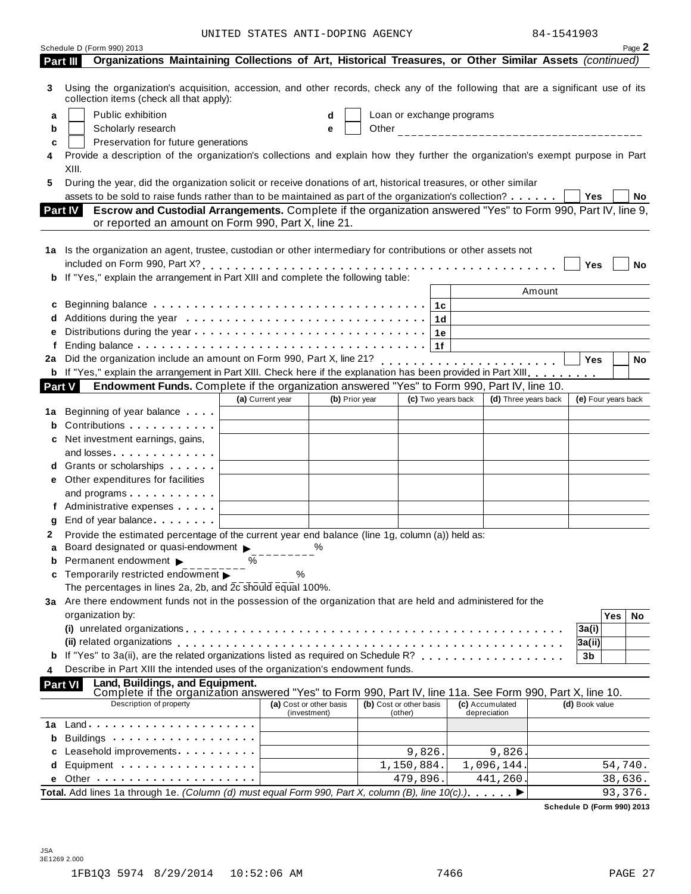UNITED STATES ANTI-DOPING AGENCY 84-1541903

|          | Schedule D (Form 990) 2013                                                                                                                                                                                                                  |                         |                |                           |                    |                                                     |        |                     | Page 2    |
|----------|---------------------------------------------------------------------------------------------------------------------------------------------------------------------------------------------------------------------------------------------|-------------------------|----------------|---------------------------|--------------------|-----------------------------------------------------|--------|---------------------|-----------|
| Part III | Organizations Maintaining Collections of Art, Historical Treasures, or Other Similar Assets (continued)                                                                                                                                     |                         |                |                           |                    |                                                     |        |                     |           |
| 3        | Using the organization's acquisition, accession, and other records, check any of the following that are a significant use of its<br>collection items (check all that apply):                                                                |                         |                |                           |                    |                                                     |        |                     |           |
| a        | Public exhibition                                                                                                                                                                                                                           | d                       |                | Loan or exchange programs |                    |                                                     |        |                     |           |
| b        | Scholarly research                                                                                                                                                                                                                          | е                       |                |                           |                    |                                                     |        |                     |           |
| c        | Preservation for future generations                                                                                                                                                                                                         |                         |                |                           |                    |                                                     |        |                     |           |
|          | Provide a description of the organization's collections and explain how they further the organization's exempt purpose in Part                                                                                                              |                         |                |                           |                    |                                                     |        |                     |           |
|          | XIII.                                                                                                                                                                                                                                       |                         |                |                           |                    |                                                     |        |                     |           |
| 5        | During the year, did the organization solicit or receive donations of art, historical treasures, or other similar                                                                                                                           |                         |                |                           |                    |                                                     |        |                     |           |
|          | assets to be sold to raise funds rather than to be maintained as part of the organization's collection?                                                                                                                                     |                         |                |                           |                    |                                                     |        | Yes                 | No        |
|          | Escrow and Custodial Arrangements. Complete if the organization answered "Yes" to Form 990, Part IV, line 9,<br><b>Part IV</b><br>or reported an amount on Form 990, Part X, line 21.                                                       |                         |                |                           |                    |                                                     |        |                     |           |
|          |                                                                                                                                                                                                                                             |                         |                |                           |                    |                                                     |        |                     |           |
|          | 1a Is the organization an agent, trustee, custodian or other intermediary for contributions or other assets not                                                                                                                             |                         |                |                           |                    |                                                     |        |                     |           |
|          |                                                                                                                                                                                                                                             |                         |                |                           |                    |                                                     |        | Yes                 | No        |
|          | b If "Yes," explain the arrangement in Part XIII and complete the following table:                                                                                                                                                          |                         |                |                           |                    |                                                     |        |                     |           |
|          | Beginning balance $\ldots \ldots \ldots \ldots \ldots \ldots \ldots \ldots \ldots \ldots \ldots$                                                                                                                                            |                         |                |                           |                    |                                                     | Amount |                     |           |
| c        |                                                                                                                                                                                                                                             |                         |                |                           |                    |                                                     |        |                     |           |
| d<br>е   |                                                                                                                                                                                                                                             |                         |                |                           |                    |                                                     |        |                     |           |
| f        |                                                                                                                                                                                                                                             |                         |                |                           |                    |                                                     |        |                     |           |
| 2a       | Did the organization include an amount on Form 990, Part X, line 21?                                                                                                                                                                        |                         |                |                           |                    | <u> 1989 - Andrea Station Barbara, amerikan per</u> |        | Yes                 | <b>No</b> |
|          | b If "Yes," explain the arrangement in Part XIII. Check here if the explanation has been provided in Part XIII.                                                                                                                             |                         |                |                           |                    |                                                     |        |                     |           |
|          | Endowment Funds. Complete if the organization answered "Yes" to Form 990, Part IV, line 10.<br><b>Part V</b>                                                                                                                                |                         |                |                           |                    |                                                     |        |                     |           |
|          |                                                                                                                                                                                                                                             | (a) Current year        | (b) Prior year |                           | (c) Two years back | (d) Three years back                                |        | (e) Four years back |           |
| 1a       | Beginning of year balance exceeding                                                                                                                                                                                                         |                         |                |                           |                    |                                                     |        |                     |           |
| b        | Contributions                                                                                                                                                                                                                               |                         |                |                           |                    |                                                     |        |                     |           |
|          | c Net investment earnings, gains,                                                                                                                                                                                                           |                         |                |                           |                    |                                                     |        |                     |           |
|          | and losses experiences and losses                                                                                                                                                                                                           |                         |                |                           |                    |                                                     |        |                     |           |
|          | <b>d</b> Grants or scholarships <b>contains</b>                                                                                                                                                                                             |                         |                |                           |                    |                                                     |        |                     |           |
|          | e Other expenditures for facilities                                                                                                                                                                                                         |                         |                |                           |                    |                                                     |        |                     |           |
|          | and programs expansion and programs                                                                                                                                                                                                         |                         |                |                           |                    |                                                     |        |                     |           |
|          | f Administrative expenses                                                                                                                                                                                                                   |                         |                |                           |                    |                                                     |        |                     |           |
| g        | End of year balance                                                                                                                                                                                                                         |                         |                |                           |                    |                                                     |        |                     |           |
| 2        | Provide the estimated percentage of the current year end balance (line 1g, column (a)) held as:                                                                                                                                             |                         |                |                           |                    |                                                     |        |                     |           |
|          | Board designated or quasi-endowment $\blacktriangleright$                                                                                                                                                                                   | %                       |                |                           |                    |                                                     |        |                     |           |
|          | $\%$<br><b>b</b> Permanent endowment $\blacktriangleright$                                                                                                                                                                                  |                         |                |                           |                    |                                                     |        |                     |           |
|          | <b>c</b> Temporarily restricted endowment                                                                                                                                                                                                   | %                       |                |                           |                    |                                                     |        |                     |           |
|          | The percentages in lines 2a, 2b, and 2c should equal 100%.                                                                                                                                                                                  |                         |                |                           |                    |                                                     |        |                     |           |
|          | 3a Are there endowment funds not in the possession of the organization that are held and administered for the                                                                                                                               |                         |                |                           |                    |                                                     |        |                     |           |
|          | organization by:                                                                                                                                                                                                                            |                         |                |                           |                    |                                                     |        | Yes                 | No        |
|          |                                                                                                                                                                                                                                             |                         |                |                           |                    |                                                     |        | 3a(i)               |           |
|          | (ii) related organizations enterpresent respectively respectively related organizations enterpresent respective                                                                                                                             |                         |                |                           |                    |                                                     |        | 3a(ii)              |           |
|          | <b>b</b> If "Yes" to 3a(ii), are the related organizations listed as required on Schedule R?<br>Describe in Part XIII the intended uses of the organization's endowment funds.                                                              |                         |                |                           |                    |                                                     |        | 3b                  |           |
|          | Land, Buildings, and Equipment.<br><b>Part VI</b><br>Complete if the organization answered "Yes" to Form 990, Part IV, line 11a. See Form 990, Part X, line 10.                                                                             |                         |                |                           |                    |                                                     |        |                     |           |
|          | Description of property                                                                                                                                                                                                                     | (a) Cost or other basis |                | (b) Cost or other basis   |                    | (c) Accumulated                                     |        | (d) Book value      |           |
|          |                                                                                                                                                                                                                                             | (investment)            |                | (other)                   |                    | depreciation                                        |        |                     |           |
| 1а       |                                                                                                                                                                                                                                             |                         |                |                           |                    |                                                     |        |                     |           |
| b        |                                                                                                                                                                                                                                             |                         |                |                           |                    |                                                     |        |                     |           |
| с        | Leasehold improvements and a series and a series of the series of the series of the series of the series of the series of the series of the series of the series of the series of the series of the series of the series of th<br>Equipment |                         |                | 9,826.                    |                    | 9,826                                               |        |                     |           |
| d        |                                                                                                                                                                                                                                             |                         |                | 1,150,884.<br>479,896.    |                    | 1,096,144.                                          |        |                     | 54,740.   |
| е        | Total. Add lines 1a through 1e. (Column (d) must equal Form 990, Part X, column (B), line 10(c).)                                                                                                                                           |                         |                |                           |                    | 441,260.                                            |        |                     | 38,636.   |
|          |                                                                                                                                                                                                                                             |                         |                |                           |                    |                                                     |        |                     | 93,376.   |

**Schedule D (Form 990) 2013**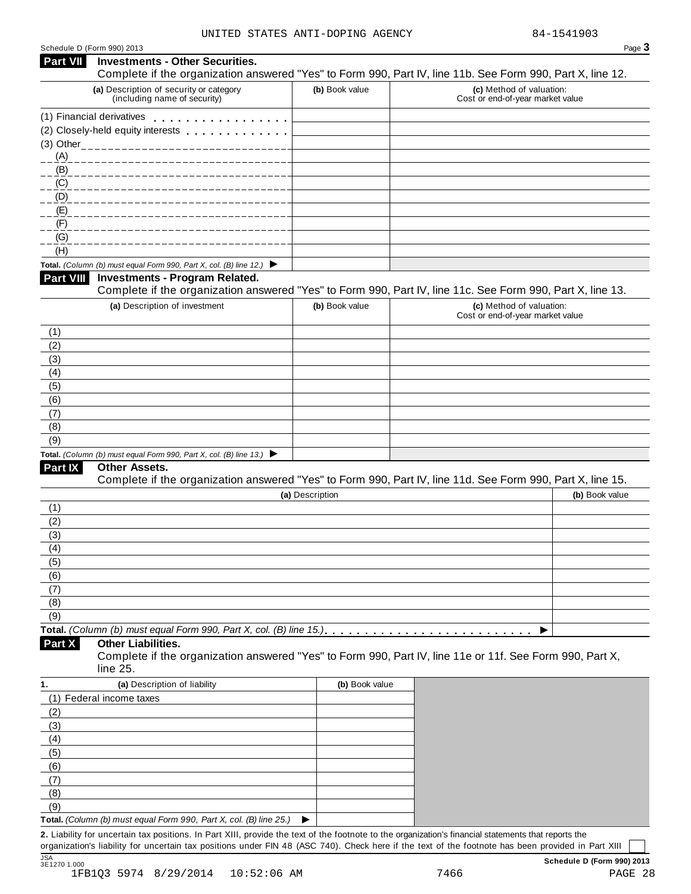| <b>Part VII</b>                                                       | <b>Investments - Other Securities.</b>                                                   |                 | Page 3                                                                                                     |
|-----------------------------------------------------------------------|------------------------------------------------------------------------------------------|-----------------|------------------------------------------------------------------------------------------------------------|
|                                                                       |                                                                                          |                 | Complete if the organization answered "Yes" to Form 990, Part IV, line 11b. See Form 990, Part X, line 12. |
|                                                                       | (a) Description of security or category<br>(including name of security)                  | (b) Book value  | (c) Method of valuation:<br>Cost or end-of-year market value                                               |
|                                                                       | (1) Financial derivatives                                                                |                 |                                                                                                            |
|                                                                       | (2) Closely-held equity interests                                                        |                 |                                                                                                            |
|                                                                       | (3) Other_____________________________                                                   |                 |                                                                                                            |
| (A)                                                                   |                                                                                          |                 |                                                                                                            |
| (B)                                                                   |                                                                                          |                 |                                                                                                            |
| $\underline{(C)}$                                                     |                                                                                          |                 |                                                                                                            |
| (D)                                                                   |                                                                                          |                 |                                                                                                            |
| (E)                                                                   |                                                                                          |                 |                                                                                                            |
| (F)                                                                   |                                                                                          |                 |                                                                                                            |
| (G)                                                                   |                                                                                          |                 |                                                                                                            |
| (H)                                                                   |                                                                                          |                 |                                                                                                            |
|                                                                       | Total. (Column (b) must equal Form 990, Part X, col. (B) line 12.) $\blacktriangleright$ |                 |                                                                                                            |
| <b>Part VIII</b>                                                      | <b>Investments - Program Related.</b>                                                    |                 | Complete if the organization answered "Yes" to Form 990, Part IV, line 11c. See Form 990, Part X, line 13. |
|                                                                       | (a) Description of investment                                                            | (b) Book value  | (c) Method of valuation:                                                                                   |
|                                                                       |                                                                                          |                 | Cost or end-of-year market value                                                                           |
| (1)                                                                   |                                                                                          |                 |                                                                                                            |
| (2)                                                                   |                                                                                          |                 |                                                                                                            |
| (3)                                                                   |                                                                                          |                 |                                                                                                            |
| (4)                                                                   |                                                                                          |                 |                                                                                                            |
| (5)                                                                   |                                                                                          |                 |                                                                                                            |
| (6)                                                                   |                                                                                          |                 |                                                                                                            |
| (7)                                                                   |                                                                                          |                 |                                                                                                            |
| (8)                                                                   |                                                                                          |                 |                                                                                                            |
| (9)                                                                   |                                                                                          |                 |                                                                                                            |
|                                                                       | Total. (Column (b) must equal Form 990, Part X, col. (B) line 13.) $\blacktriangleright$ |                 |                                                                                                            |
| Part IX                                                               | Other Assets.                                                                            |                 | Complete if the organization answered "Yes" to Form 990, Part IV, line 11d. See Form 990, Part X, line 15. |
|                                                                       |                                                                                          | (a) Description | (b) Book value                                                                                             |
|                                                                       |                                                                                          |                 |                                                                                                            |
|                                                                       |                                                                                          |                 |                                                                                                            |
|                                                                       |                                                                                          |                 |                                                                                                            |
|                                                                       |                                                                                          |                 |                                                                                                            |
|                                                                       |                                                                                          |                 |                                                                                                            |
|                                                                       |                                                                                          |                 |                                                                                                            |
|                                                                       |                                                                                          |                 |                                                                                                            |
|                                                                       |                                                                                          |                 |                                                                                                            |
|                                                                       |                                                                                          |                 |                                                                                                            |
|                                                                       |                                                                                          |                 |                                                                                                            |
|                                                                       |                                                                                          |                 | ▶                                                                                                          |
| (1)<br>(2)<br>(3)<br>(4)<br>(5)<br>(6)<br>(7)<br>(8)<br>(9)<br>Part X | <b>Other Liabilities.</b>                                                                |                 | Complete if the organization answered "Yes" to Form 990, Part IV, line 11e or 11f. See Form 990, Part X,   |
|                                                                       | line 25.                                                                                 |                 |                                                                                                            |
|                                                                       | (a) Description of liability                                                             | (b) Book value  |                                                                                                            |
|                                                                       | (1) Federal income taxes                                                                 |                 |                                                                                                            |
|                                                                       |                                                                                          |                 |                                                                                                            |
|                                                                       |                                                                                          |                 |                                                                                                            |
|                                                                       |                                                                                          |                 |                                                                                                            |
|                                                                       |                                                                                          |                 |                                                                                                            |
| 1.<br>(2)<br>(3)<br>(4)<br>(5)<br>(6)                                 |                                                                                          |                 |                                                                                                            |
|                                                                       |                                                                                          |                 |                                                                                                            |
| (7)<br>(8)<br>(9)                                                     |                                                                                          |                 |                                                                                                            |

organization's liability for uncertain tax positions under FIN 48 (ASC 740). Check here if the text of the footnote has been provided in Part XIII JSA **Schedule D (Form 990) 2013** JSA<br>3E1270 1.000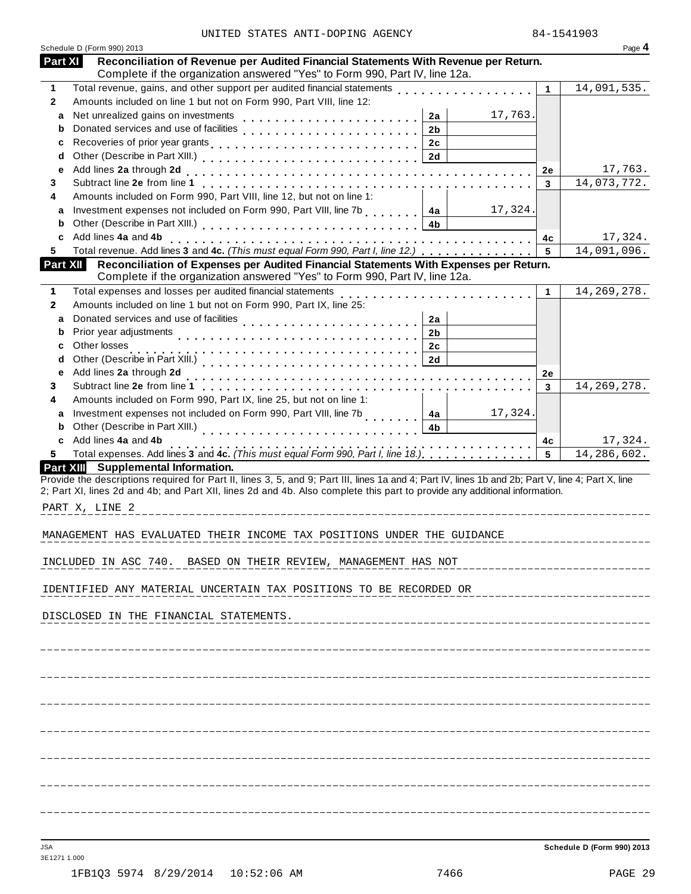|                 | Schedule D (Form 990) 2013                                                                                                                                                                                                                                                       |                      | Page 4                |
|-----------------|----------------------------------------------------------------------------------------------------------------------------------------------------------------------------------------------------------------------------------------------------------------------------------|----------------------|-----------------------|
| Part XI         | Reconciliation of Revenue per Audited Financial Statements With Revenue per Return.<br>Complete if the organization answered "Yes" to Form 990, Part IV, line 12a.                                                                                                               |                      |                       |
| $\mathbf{1}$    | Total revenue, gains, and other support per audited financial statements                                                                                                                                                                                                         | $\blacktriangleleft$ | 14,091,535.           |
| $\mathbf{2}$    | Amounts included on line 1 but not on Form 990, Part VIII, line 12:                                                                                                                                                                                                              |                      |                       |
| a               | Net unrealized gains on investments<br>17,763.<br>2a                                                                                                                                                                                                                             |                      |                       |
| b               | Donated services and use of facilities<br>2 <sub>b</sub>                                                                                                                                                                                                                         |                      |                       |
| c               | 2c                                                                                                                                                                                                                                                                               |                      |                       |
| d               | 2d                                                                                                                                                                                                                                                                               |                      |                       |
| е               | Add lines 2a through 2d                                                                                                                                                                                                                                                          | 2e                   | 17,763.               |
| 3               |                                                                                                                                                                                                                                                                                  | $\mathbf{3}$         | 14,073,772.           |
| 4               | Amounts included on Form 990, Part VIII, line 12, but not on line 1:                                                                                                                                                                                                             |                      |                       |
| a               | Investment expenses not included on Form 990, Part VIII, line 7b [10, 10, 10, 14a]<br>17,324.                                                                                                                                                                                    |                      |                       |
| b               | 4b                                                                                                                                                                                                                                                                               |                      |                       |
| c               | Add lines 4a and 4b                                                                                                                                                                                                                                                              | 4c                   | 17,324.               |
| 5.              | Total revenue. Add lines 3 and 4c. (This must equal Form 990, Part I, line 12.)                                                                                                                                                                                                  | 5                    | 14,091,096.           |
| <b>Part XII</b> | Reconciliation of Expenses per Audited Financial Statements With Expenses per Return.<br>Complete if the organization answered "Yes" to Form 990, Part IV, line 12a.                                                                                                             |                      |                       |
| $\mathbf{1}$    | Total expenses and losses per audited financial statements                                                                                                                                                                                                                       | 1                    | 14, 269, 278.         |
| $\mathbf{2}$    | Amounts included on line 1 but not on Form 990, Part IX, line 25:                                                                                                                                                                                                                |                      |                       |
| a               | Donated services and use of facilities<br>2a                                                                                                                                                                                                                                     |                      |                       |
| b               | Prior year adjustments<br>2 <sub>b</sub>                                                                                                                                                                                                                                         |                      |                       |
| с               | Other losses<br>2c                                                                                                                                                                                                                                                               |                      |                       |
| d               | 2d                                                                                                                                                                                                                                                                               |                      |                       |
| е               | Add lines 2a through 2d                                                                                                                                                                                                                                                          | 2e                   |                       |
| 3               |                                                                                                                                                                                                                                                                                  | 3                    | 14, 269, 278.         |
| 4               | Amounts included on Form 990, Part IX, line 25, but not on line 1:                                                                                                                                                                                                               |                      |                       |
| a               | Investment expenses not included on Form 990, Part VIII, line 7b<br>1.1.1.1.1.1<br>17,324.<br>4a                                                                                                                                                                                 |                      |                       |
| b               | 4 <sub>b</sub>                                                                                                                                                                                                                                                                   |                      |                       |
| c               | Add lines 4a and 4b<br>. <b>.</b>                                                                                                                                                                                                                                                | 4c                   | 17,324.               |
| 5.              | Total expenses. Add lines 3 and 4c. (This must equal Form 990, Part I, line 18.)                                                                                                                                                                                                 | 5                    | 14,286,602.           |
|                 | Part XIII Supplemental Information.                                                                                                                                                                                                                                              |                      |                       |
|                 | Provide the descriptions required for Part II, lines 3, 5, and 9; Part III, lines 1a and 4; Part IV, lines 1b and 2b; Part V, line 4; Part X, line<br>2; Part XI, lines 2d and 4b; and Part XII, lines 2d and 4b. Also complete this part to provide any additional information. |                      |                       |
|                 | PART X, LINE 2                                                                                                                                                                                                                                                                   |                      |                       |
|                 | MANAGEMENT HAS EVALUATED THEIR INCOME TAX POSITIONS UNDER THE GUIDANCE                                                                                                                                                                                                           |                      | _____________________ |
|                 | INCLUDED IN ASC 740. BASED ON THEIR REVIEW, MANAGEMENT HAS NOT                                                                                                                                                                                                                   |                      |                       |
|                 | IDENTIFIED ANY MATERIAL UNCERTAIN TAX POSITIONS TO BE RECORDED OR                                                                                                                                                                                                                |                      |                       |
|                 | DISCLOSED IN THE FINANCIAL STATEMENTS.                                                                                                                                                                                                                                           |                      |                       |
|                 |                                                                                                                                                                                                                                                                                  |                      |                       |
|                 |                                                                                                                                                                                                                                                                                  |                      |                       |
|                 |                                                                                                                                                                                                                                                                                  |                      |                       |
|                 |                                                                                                                                                                                                                                                                                  |                      |                       |
|                 |                                                                                                                                                                                                                                                                                  |                      |                       |
|                 |                                                                                                                                                                                                                                                                                  |                      |                       |
|                 |                                                                                                                                                                                                                                                                                  |                      |                       |
|                 |                                                                                                                                                                                                                                                                                  |                      |                       |
|                 |                                                                                                                                                                                                                                                                                  |                      |                       |
|                 |                                                                                                                                                                                                                                                                                  |                      |                       |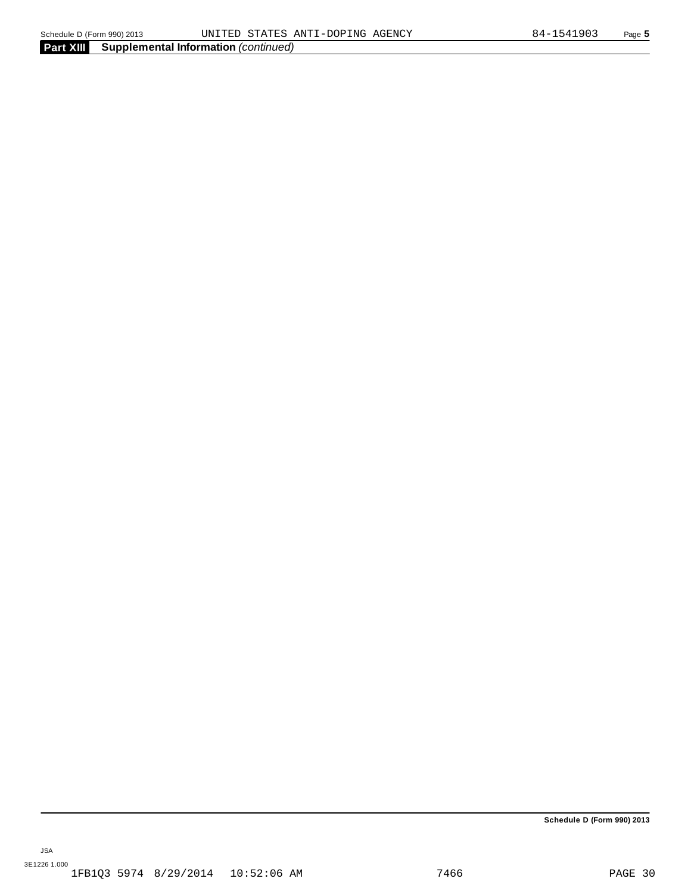**Part XIII Supplemental Information** *(continued)*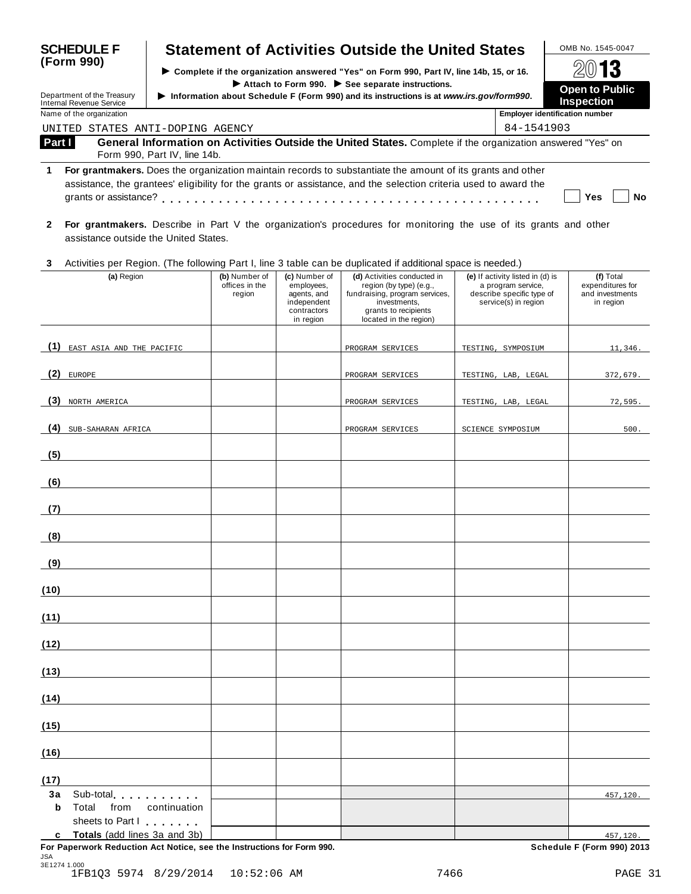| <b>SCHEDULE F</b>                                                                                                                                                                                                                                          |                                                                                                                                             |                                                                                                                                           | <b>Statement of Activities Outside the United States</b>                                                                                                   |                                                                                                             | OMB No. 1545-0047                                             |  |  |
|------------------------------------------------------------------------------------------------------------------------------------------------------------------------------------------------------------------------------------------------------------|---------------------------------------------------------------------------------------------------------------------------------------------|-------------------------------------------------------------------------------------------------------------------------------------------|------------------------------------------------------------------------------------------------------------------------------------------------------------|-------------------------------------------------------------------------------------------------------------|---------------------------------------------------------------|--|--|
| (Form 990)                                                                                                                                                                                                                                                 |                                                                                                                                             |                                                                                                                                           | ▶ Complete if the organization answered "Yes" on Form 990, Part IV, line 14b, 15, or 16.                                                                   |                                                                                                             | 13                                                            |  |  |
| Department of the Treasury                                                                                                                                                                                                                                 |                                                                                                                                             | Attach to Form 990. See separate instructions.<br>Information about Schedule F (Form 990) and its instructions is at www.irs.gov/form990. |                                                                                                                                                            |                                                                                                             |                                                               |  |  |
| <b>Internal Revenue Service</b><br>Name of the organization                                                                                                                                                                                                |                                                                                                                                             |                                                                                                                                           |                                                                                                                                                            |                                                                                                             | <b>Inspection</b><br><b>Employer identification number</b>    |  |  |
| UNITED STATES ANTI-DOPING AGENCY                                                                                                                                                                                                                           |                                                                                                                                             |                                                                                                                                           |                                                                                                                                                            | 84-1541903                                                                                                  |                                                               |  |  |
| Part I                                                                                                                                                                                                                                                     | General Information on Activities Outside the United States. Complete if the organization answered "Yes" on<br>Form 990, Part IV, line 14b. |                                                                                                                                           |                                                                                                                                                            |                                                                                                             |                                                               |  |  |
| 1                                                                                                                                                                                                                                                          | For grantmakers. Does the organization maintain records to substantiate the amount of its grants and other                                  |                                                                                                                                           |                                                                                                                                                            |                                                                                                             |                                                               |  |  |
|                                                                                                                                                                                                                                                            | assistance, the grantees' eligibility for the grants or assistance, and the selection criteria used to award the                            |                                                                                                                                           |                                                                                                                                                            |                                                                                                             |                                                               |  |  |
|                                                                                                                                                                                                                                                            |                                                                                                                                             |                                                                                                                                           |                                                                                                                                                            |                                                                                                             | Yes<br>No                                                     |  |  |
| $\mathbf{2}$<br>assistance outside the United States.                                                                                                                                                                                                      | For grantmakers. Describe in Part V the organization's procedures for monitoring the use of its grants and other                            |                                                                                                                                           |                                                                                                                                                            |                                                                                                             |                                                               |  |  |
| 3                                                                                                                                                                                                                                                          | Activities per Region. (The following Part I, line 3 table can be duplicated if additional space is needed.)                                |                                                                                                                                           |                                                                                                                                                            |                                                                                                             |                                                               |  |  |
| (a) Region                                                                                                                                                                                                                                                 | (b) Number of<br>offices in the<br>region                                                                                                   | (c) Number of<br>employees,<br>agents, and<br>independent<br>contractors<br>in region                                                     | (d) Activities conducted in<br>region (by type) (e.g.,<br>fundraising, program services,<br>investments,<br>grants to recipients<br>located in the region) | (e) If activity listed in (d) is<br>a program service,<br>describe specific type of<br>service(s) in region | (f) Total<br>expenditures for<br>and investments<br>in region |  |  |
| (1)<br>EAST ASIA AND THE PACIFIC                                                                                                                                                                                                                           |                                                                                                                                             |                                                                                                                                           | PROGRAM SERVICES                                                                                                                                           | TESTING, SYMPOSIUM                                                                                          | 11,346.                                                       |  |  |
| (2)<br><b>EUROPE</b>                                                                                                                                                                                                                                       |                                                                                                                                             |                                                                                                                                           | PROGRAM SERVICES                                                                                                                                           | TESTING, LAB, LEGAL                                                                                         | 372,679.                                                      |  |  |
| (3) NORTH AMERICA                                                                                                                                                                                                                                          |                                                                                                                                             |                                                                                                                                           | PROGRAM SERVICES                                                                                                                                           | TESTING, LAB, LEGAL                                                                                         | 72,595.                                                       |  |  |
| (4)<br>SUB-SAHARAN AFRICA                                                                                                                                                                                                                                  |                                                                                                                                             |                                                                                                                                           | PROGRAM SERVICES                                                                                                                                           | SCIENCE SYMPOSIUM                                                                                           | 500.                                                          |  |  |
| (5)                                                                                                                                                                                                                                                        |                                                                                                                                             |                                                                                                                                           |                                                                                                                                                            |                                                                                                             |                                                               |  |  |
| (6)                                                                                                                                                                                                                                                        |                                                                                                                                             |                                                                                                                                           |                                                                                                                                                            |                                                                                                             |                                                               |  |  |
| (7)                                                                                                                                                                                                                                                        |                                                                                                                                             |                                                                                                                                           |                                                                                                                                                            |                                                                                                             |                                                               |  |  |
| (8)                                                                                                                                                                                                                                                        |                                                                                                                                             |                                                                                                                                           |                                                                                                                                                            |                                                                                                             |                                                               |  |  |
| (9)                                                                                                                                                                                                                                                        |                                                                                                                                             |                                                                                                                                           |                                                                                                                                                            |                                                                                                             |                                                               |  |  |
| (10)                                                                                                                                                                                                                                                       |                                                                                                                                             |                                                                                                                                           |                                                                                                                                                            |                                                                                                             |                                                               |  |  |
| (11)                                                                                                                                                                                                                                                       |                                                                                                                                             |                                                                                                                                           |                                                                                                                                                            |                                                                                                             |                                                               |  |  |
| (12)                                                                                                                                                                                                                                                       |                                                                                                                                             |                                                                                                                                           |                                                                                                                                                            |                                                                                                             |                                                               |  |  |
| (13)                                                                                                                                                                                                                                                       |                                                                                                                                             |                                                                                                                                           |                                                                                                                                                            |                                                                                                             |                                                               |  |  |
| (14)                                                                                                                                                                                                                                                       |                                                                                                                                             |                                                                                                                                           |                                                                                                                                                            |                                                                                                             |                                                               |  |  |
| (15)                                                                                                                                                                                                                                                       |                                                                                                                                             |                                                                                                                                           |                                                                                                                                                            |                                                                                                             |                                                               |  |  |
| (16)                                                                                                                                                                                                                                                       |                                                                                                                                             |                                                                                                                                           |                                                                                                                                                            |                                                                                                             |                                                               |  |  |
| (17)                                                                                                                                                                                                                                                       |                                                                                                                                             |                                                                                                                                           |                                                                                                                                                            |                                                                                                             |                                                               |  |  |
| Зa<br>Sub-total experience and the state of the state of the state of the state of the state of the state of the state of the state of the state of the state of the state of the state of the state of the state of the state of th<br>Total<br>from<br>b | continuation                                                                                                                                |                                                                                                                                           |                                                                                                                                                            |                                                                                                             | 457,120.                                                      |  |  |
| sheets to Part I<br>c Totals (add lines 3a and 3b)                                                                                                                                                                                                         |                                                                                                                                             |                                                                                                                                           |                                                                                                                                                            |                                                                                                             | 457,120.                                                      |  |  |
|                                                                                                                                                                                                                                                            | For Paperwork Reduction Act Notice, see the Instructions for Form 990.                                                                      |                                                                                                                                           |                                                                                                                                                            |                                                                                                             | Schedule F (Form 990) 2013                                    |  |  |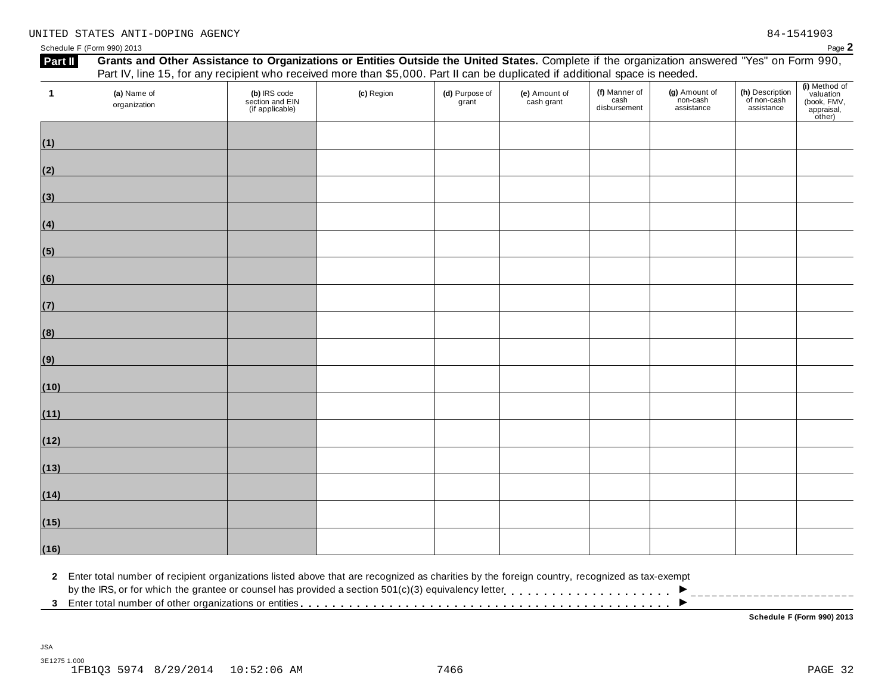### UNITED STATES ANTI-DOPING AGENCY 84-1541903

Schedule <sup>F</sup> (Form 990) <sup>2013</sup> Page **2**

| $\mathbf{1}$ | (a) Name of<br>organization | (b) IRS code<br>section and EIN<br>(if applicable) | (c) Region | (d) Purpose of<br>grant | (e) Amount of<br>cash grant | (f) Manner of<br>cash<br>disbursement | (g) Amount of<br>non-cash<br>assistance | (h) Description<br>of non-cash<br>assistance | (i) Method of<br>valuation<br>(book, FMV,<br>appraisal,<br>other) |
|--------------|-----------------------------|----------------------------------------------------|------------|-------------------------|-----------------------------|---------------------------------------|-----------------------------------------|----------------------------------------------|-------------------------------------------------------------------|
| (1)          |                             |                                                    |            |                         |                             |                                       |                                         |                                              |                                                                   |
| (2)          |                             |                                                    |            |                         |                             |                                       |                                         |                                              |                                                                   |
| (3)          |                             |                                                    |            |                         |                             |                                       |                                         |                                              |                                                                   |
| (4)          |                             |                                                    |            |                         |                             |                                       |                                         |                                              |                                                                   |
| (5)          |                             |                                                    |            |                         |                             |                                       |                                         |                                              |                                                                   |
| (6)          |                             |                                                    |            |                         |                             |                                       |                                         |                                              |                                                                   |
| (7)          |                             |                                                    |            |                         |                             |                                       |                                         |                                              |                                                                   |
| (8)          |                             |                                                    |            |                         |                             |                                       |                                         |                                              |                                                                   |
| (9)          |                             |                                                    |            |                         |                             |                                       |                                         |                                              |                                                                   |
| (10)         |                             |                                                    |            |                         |                             |                                       |                                         |                                              |                                                                   |
| (11)         |                             |                                                    |            |                         |                             |                                       |                                         |                                              |                                                                   |
| (12)         |                             |                                                    |            |                         |                             |                                       |                                         |                                              |                                                                   |
| (13)         |                             |                                                    |            |                         |                             |                                       |                                         |                                              |                                                                   |
| (14)         |                             |                                                    |            |                         |                             |                                       |                                         |                                              |                                                                   |
| (15)         |                             |                                                    |            |                         |                             |                                       |                                         |                                              |                                                                   |
| (16)         |                             |                                                    |            |                         |                             |                                       |                                         |                                              |                                                                   |

2 Enter total number of recipient organizations listed above that are recognized as charities by the foreign country, recognized as tax-exempt<br>by the IRS, or for which the grantee or counsel has provided a section 501(c)( ▶<br>▶

**Schedule F (Form 990) 2013**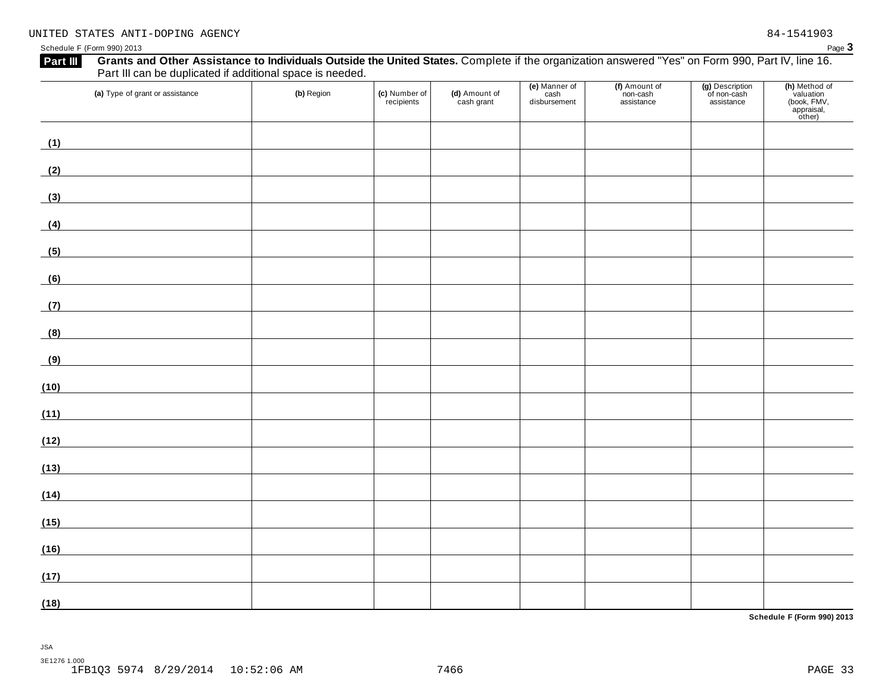| (a) Type of grant or assistance                                                                                               | (b) Region | (c) Number of<br>recipients | (d) Amount of<br>cash grant | (e) Manner of<br>cash<br>disbursement | (f) Amount of<br>non-cash<br>assistance | (g) Description<br>of non-cash<br>assistance | (h) Method of<br>valuation<br>(book, FMV,<br>appraisal,<br>other) |
|-------------------------------------------------------------------------------------------------------------------------------|------------|-----------------------------|-----------------------------|---------------------------------------|-----------------------------------------|----------------------------------------------|-------------------------------------------------------------------|
| (1)                                                                                                                           |            |                             |                             |                                       |                                         |                                              |                                                                   |
| (2)                                                                                                                           |            |                             |                             |                                       |                                         |                                              |                                                                   |
| (3)<br><u> 1989 - Johann Barn, fransk politik fotograf (d. 1989)</u>                                                          |            |                             |                             |                                       |                                         |                                              |                                                                   |
| (4)                                                                                                                           |            |                             |                             |                                       |                                         |                                              |                                                                   |
| <u> 1989 - Johann Barbara, martxa alemaniar a</u><br>(5)                                                                      |            |                             |                             |                                       |                                         |                                              |                                                                   |
| (6)                                                                                                                           |            |                             |                             |                                       |                                         |                                              |                                                                   |
| (7)                                                                                                                           |            |                             |                             |                                       |                                         |                                              |                                                                   |
| (8)                                                                                                                           |            |                             |                             |                                       |                                         |                                              |                                                                   |
| (9)<br><u> 1989 - Johann Stoff, fransk politik (d. 1989)</u>                                                                  |            |                             |                             |                                       |                                         |                                              |                                                                   |
| (10)                                                                                                                          |            |                             |                             |                                       |                                         |                                              |                                                                   |
| (11)<br><u> 1980 - Johann Barbara, martxa alemaniar a</u>                                                                     |            |                             |                             |                                       |                                         |                                              |                                                                   |
| (12)<br><u> 1989 - Andrea Station Barbara (h. 19</u>                                                                          |            |                             |                             |                                       |                                         |                                              |                                                                   |
| (13)                                                                                                                          |            |                             |                             |                                       |                                         |                                              |                                                                   |
| (14)<br><u> 1980 - Andrea State Barbara, poeta esp</u>                                                                        |            |                             |                             |                                       |                                         |                                              |                                                                   |
| (15)<br><u> 1989 - Johann Barn, mars eta bainar eta industrial eta industrial eta industrial eta industrial eta industria</u> |            |                             |                             |                                       |                                         |                                              |                                                                   |
| (16)                                                                                                                          |            |                             |                             |                                       |                                         |                                              |                                                                   |
| (17)                                                                                                                          |            |                             |                             |                                       |                                         |                                              |                                                                   |
| (18)                                                                                                                          |            |                             |                             |                                       |                                         |                                              |                                                                   |

**Schedule F (Form 990) 2013**

JSA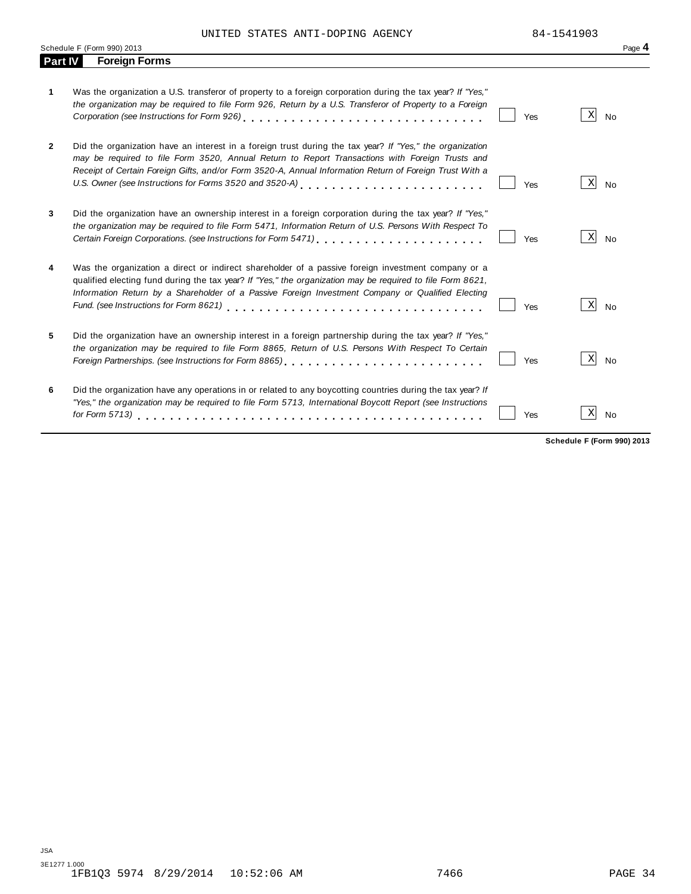UNITED STATES ANTI-DOPING AGENCY 84-1541903

|              | Schedule F (Form 990) 2013                                                                                                                                                                                                                                                                                                                                                        |     |                                   | Page 4    |
|--------------|-----------------------------------------------------------------------------------------------------------------------------------------------------------------------------------------------------------------------------------------------------------------------------------------------------------------------------------------------------------------------------------|-----|-----------------------------------|-----------|
| Part IV      | <b>Foreign Forms</b>                                                                                                                                                                                                                                                                                                                                                              |     |                                   |           |
| 1            | Was the organization a U.S. transferor of property to a foreign corporation during the tax year? If "Yes,"<br>the organization may be required to file Form 926, Return by a U.S. Transferor of Property to a Foreign<br>Corporation (see Instructions for Form 926)                                                                                                              | Yes | X                                 | <b>No</b> |
| $\mathbf{2}$ | Did the organization have an interest in a foreign trust during the tax year? If "Yes," the organization<br>may be required to file Form 3520, Annual Return to Report Transactions with Foreign Trusts and<br>Receipt of Certain Foreign Gifts, and/or Form 3520-A, Annual Information Return of Foreign Trust With a<br>U.S. Owner (see Instructions for Forms 3520 and 3520-A) | Yes | X                                 | No        |
| 3            | Did the organization have an ownership interest in a foreign corporation during the tax year? If "Yes,"<br>the organization may be required to file Form 5471, Information Return of U.S. Persons With Respect To<br>Certain Foreign Corporations. (see Instructions for Form 5471) [10] [10] [10] [10] [10] Certain Foreign Corporations.                                        | Yes | X                                 | <b>No</b> |
| 4            | Was the organization a direct or indirect shareholder of a passive foreign investment company or a<br>qualified electing fund during the tax year? If "Yes," the organization may be required to file Form 8621,<br>Information Return by a Shareholder of a Passive Foreign Investment Company or Qualified Electing                                                             | Yes | X                                 | <b>No</b> |
| 5            | Did the organization have an ownership interest in a foreign partnership during the tax year? If "Yes,"<br>the organization may be required to file Form 8865, Return of U.S. Persons With Respect To Certain                                                                                                                                                                     | Yes | X                                 | <b>No</b> |
| 6            | Did the organization have any operations in or related to any boycotting countries during the tax year? If<br>"Yes," the organization may be required to file Form 5713, International Boycott Report (see Instructions                                                                                                                                                           | Yes | Χ                                 | <b>No</b> |
|              |                                                                                                                                                                                                                                                                                                                                                                                   |     | <b>Schedule F (Form 990) 2013</b> |           |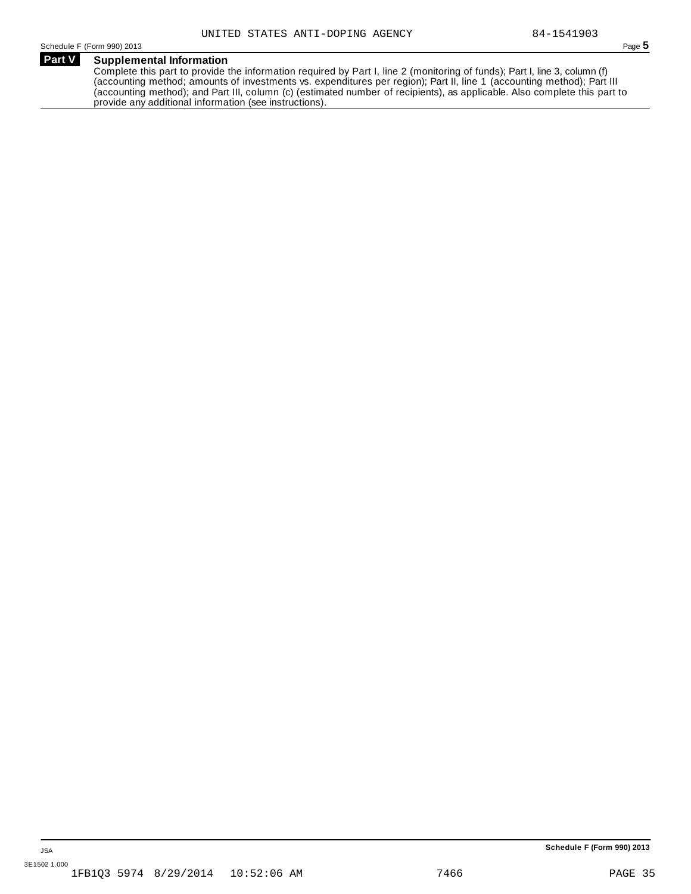Schedule <sup>F</sup> (Form 990) <sup>2013</sup> Page **5**

### **Supplemental Information Part V**

Complete this part to provide the information required by Part I, line 2 (monitoring of funds); Part I, line 3, column (f) (accounting method; amounts of investments vs. expenditures per region); Part II, line 1 (accounting method); Part III (accounting method); and Part III, column (c) (estimated number of recipients), as applicable. Also complete this part to provide any additional information (see instructions).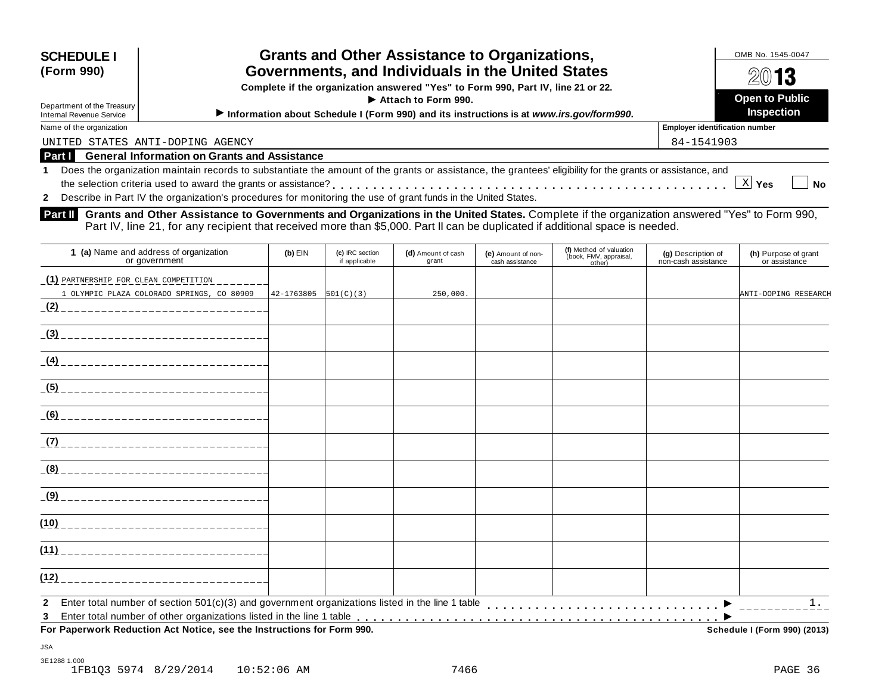| <b>Grants and Other Assistance to Organizations,</b><br><b>SCHEDULE I</b><br>Governments, and Individuals in the United States<br>(Form 990)<br>Complete if the organization answered "Yes" to Form 990, Part IV, line 21 or 22.<br>Attach to Form 990.<br>Department of the Treasury<br>Information about Schedule I (Form 990) and its instructions is at www.irs.gov/form990.<br>Internal Revenue Service |                                                                                                                                                              | OMB No. 1545-0047<br>2013<br><b>Open to Public</b><br><b>Inspection</b> |  |  |  |
|--------------------------------------------------------------------------------------------------------------------------------------------------------------------------------------------------------------------------------------------------------------------------------------------------------------------------------------------------------------------------------------------------------------|--------------------------------------------------------------------------------------------------------------------------------------------------------------|-------------------------------------------------------------------------|--|--|--|
| Name of the organization                                                                                                                                                                                                                                                                                                                                                                                     |                                                                                                                                                              | <b>Employer identification number</b>                                   |  |  |  |
| 84-1541903<br>UNITED STATES ANTI-DOPING AGENCY                                                                                                                                                                                                                                                                                                                                                               |                                                                                                                                                              |                                                                         |  |  |  |
| Part I                                                                                                                                                                                                                                                                                                                                                                                                       | <b>General Information on Grants and Assistance</b>                                                                                                          |                                                                         |  |  |  |
|                                                                                                                                                                                                                                                                                                                                                                                                              | 1 Does the organization maintain records to substantiate the amount of the grants or assistance, the grantees' eligibility for the grants or assistance, and |                                                                         |  |  |  |
|                                                                                                                                                                                                                                                                                                                                                                                                              |                                                                                                                                                              | No<br>Yes                                                               |  |  |  |
|                                                                                                                                                                                                                                                                                                                                                                                                              | 2 Describe in Part IV the organization's procedures for monitoring the use of grant funds in the United States.                                              |                                                                         |  |  |  |

**Part II** Grants and Other Assistance to Governments and Organizations in the United States. Complete if the organization answered "Yes" to Form 990,<br>Part IV, line 21, for any recipient that received more than \$5,000. Part

| 1 (a) Name and address of organization<br>or government                                                                | $(b)$ EIN  | (c) IRC section<br>if applicable | (d) Amount of cash<br>grant | (e) Amount of non-<br>cash assistance | (f) Method of valuation<br>(book, FMV, appraisal,<br>other) | (g) Description of<br>non-cash assistance | (h) Purpose of grant<br>or assistance |
|------------------------------------------------------------------------------------------------------------------------|------------|----------------------------------|-----------------------------|---------------------------------------|-------------------------------------------------------------|-------------------------------------------|---------------------------------------|
| (1) PARTNERSHIP FOR CLEAN COMPETITION                                                                                  |            |                                  |                             |                                       |                                                             |                                           |                                       |
| 1 OLYMPIC PLAZA COLORADO SPRINGS, CO 80909                                                                             | 42-1763805 | 501(C)(3)                        | 250,000.                    |                                       |                                                             |                                           | ANTI-DOPING RESEARCH                  |
|                                                                                                                        |            |                                  |                             |                                       |                                                             |                                           |                                       |
|                                                                                                                        |            |                                  |                             |                                       |                                                             |                                           |                                       |
|                                                                                                                        |            |                                  |                             |                                       |                                                             |                                           |                                       |
|                                                                                                                        |            |                                  |                             |                                       |                                                             |                                           |                                       |
| (6)<br>_________________________________                                                                               |            |                                  |                             |                                       |                                                             |                                           |                                       |
|                                                                                                                        |            |                                  |                             |                                       |                                                             |                                           |                                       |
|                                                                                                                        |            |                                  |                             |                                       |                                                             |                                           |                                       |
|                                                                                                                        |            |                                  |                             |                                       |                                                             |                                           |                                       |
|                                                                                                                        |            |                                  |                             |                                       |                                                             |                                           |                                       |
|                                                                                                                        |            |                                  |                             |                                       |                                                             |                                           |                                       |
| (12)                                                                                                                   |            |                                  |                             |                                       |                                                             |                                           |                                       |
| Enter total number of section $501(c)(3)$ and government organizations listed in the line 1 table<br>$\mathbf{2}$<br>3 |            |                                  |                             |                                       |                                                             |                                           | 1.                                    |
| For Paperwork Reduction Act Notice, see the Instructions for Form 990.                                                 |            |                                  |                             |                                       |                                                             |                                           | Schedule I (Form 990) (2013)          |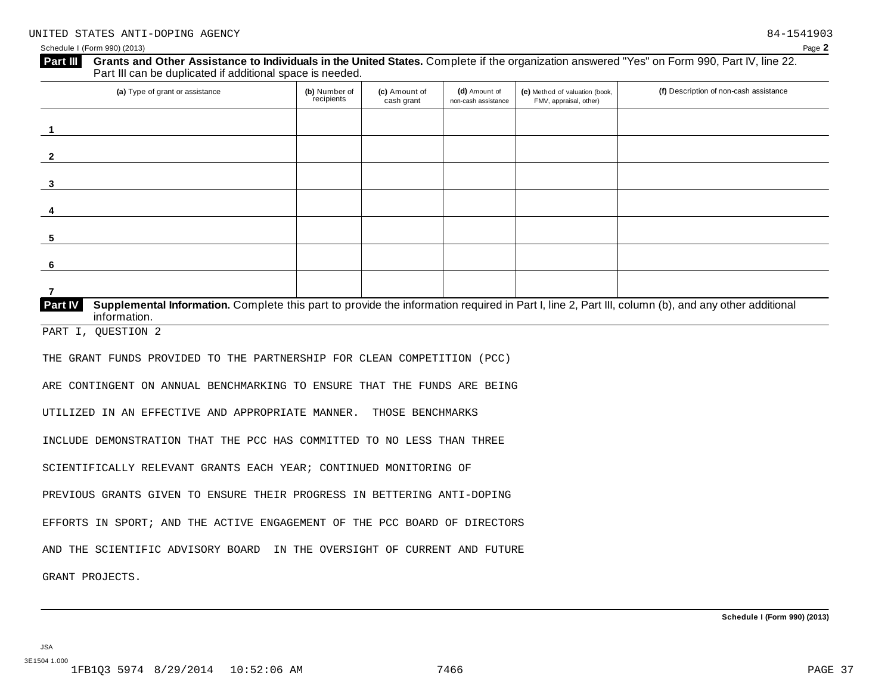| $\mathbf{1}$<br>$\mathbf{2}$<br>3<br>4<br>information.<br>THOSE BENCHMARKS                                                                                                                                                                                                                                                                                                                                                                                                                                                                                                                                                                     | (a) Type of grant or assistance | (b) Number of<br>recipients | (c) Amount of<br>cash grant | (d) Amount of<br>non-cash assistance | (e) Method of valuation (book,<br>FMV, appraisal, other) | (f) Description of non-cash assistance |
|------------------------------------------------------------------------------------------------------------------------------------------------------------------------------------------------------------------------------------------------------------------------------------------------------------------------------------------------------------------------------------------------------------------------------------------------------------------------------------------------------------------------------------------------------------------------------------------------------------------------------------------------|---------------------------------|-----------------------------|-----------------------------|--------------------------------------|----------------------------------------------------------|----------------------------------------|
| Supplemental Information. Complete this part to provide the information required in Part I, line 2, Part III, column (b), and any other additional                                                                                                                                                                                                                                                                                                                                                                                                                                                                                             |                                 |                             |                             |                                      |                                                          |                                        |
|                                                                                                                                                                                                                                                                                                                                                                                                                                                                                                                                                                                                                                                |                                 |                             |                             |                                      |                                                          |                                        |
|                                                                                                                                                                                                                                                                                                                                                                                                                                                                                                                                                                                                                                                |                                 |                             |                             |                                      |                                                          |                                        |
|                                                                                                                                                                                                                                                                                                                                                                                                                                                                                                                                                                                                                                                |                                 |                             |                             |                                      |                                                          |                                        |
| 6                                                                                                                                                                                                                                                                                                                                                                                                                                                                                                                                                                                                                                              | 5                               |                             |                             |                                      |                                                          |                                        |
| $\overline{7}$                                                                                                                                                                                                                                                                                                                                                                                                                                                                                                                                                                                                                                 |                                 |                             |                             |                                      |                                                          |                                        |
| Part IV<br>PART I, QUESTION 2<br>THE GRANT FUNDS PROVIDED TO THE PARTNERSHIP FOR CLEAN COMPETITION (PCC)<br>ARE CONTINGENT ON ANNUAL BENCHMARKING TO ENSURE THAT THE FUNDS ARE BEING<br>UTILIZED IN AN EFFECTIVE AND APPROPRIATE MANNER.<br>INCLUDE DEMONSTRATION THAT THE PCC HAS COMMITTED TO NO LESS THAN THREE<br>SCIENTIFICALLY RELEVANT GRANTS EACH YEAR; CONTINUED MONITORING OF<br>PREVIOUS GRANTS GIVEN TO ENSURE THEIR PROGRESS IN BETTERING ANTI-DOPING<br>EFFORTS IN SPORT; AND THE ACTIVE ENGAGEMENT OF THE PCC BOARD OF DIRECTORS<br>AND THE SCIENTIFIC ADVISORY BOARD IN THE OVERSIGHT OF CURRENT AND FUTURE<br>GRANT PROJECTS. |                                 |                             |                             |                                      |                                                          |                                        |
|                                                                                                                                                                                                                                                                                                                                                                                                                                                                                                                                                                                                                                                |                                 |                             |                             |                                      |                                                          |                                        |
|                                                                                                                                                                                                                                                                                                                                                                                                                                                                                                                                                                                                                                                |                                 |                             |                             |                                      |                                                          |                                        |
|                                                                                                                                                                                                                                                                                                                                                                                                                                                                                                                                                                                                                                                |                                 |                             |                             |                                      |                                                          |                                        |
|                                                                                                                                                                                                                                                                                                                                                                                                                                                                                                                                                                                                                                                |                                 |                             |                             |                                      |                                                          |                                        |
|                                                                                                                                                                                                                                                                                                                                                                                                                                                                                                                                                                                                                                                |                                 |                             |                             |                                      |                                                          |                                        |
|                                                                                                                                                                                                                                                                                                                                                                                                                                                                                                                                                                                                                                                |                                 |                             |                             |                                      |                                                          |                                        |
|                                                                                                                                                                                                                                                                                                                                                                                                                                                                                                                                                                                                                                                |                                 |                             |                             |                                      |                                                          |                                        |
|                                                                                                                                                                                                                                                                                                                                                                                                                                                                                                                                                                                                                                                |                                 |                             |                             |                                      |                                                          |                                        |
|                                                                                                                                                                                                                                                                                                                                                                                                                                                                                                                                                                                                                                                |                                 |                             |                             |                                      |                                                          |                                        |
|                                                                                                                                                                                                                                                                                                                                                                                                                                                                                                                                                                                                                                                |                                 |                             |                             |                                      |                                                          |                                        |
|                                                                                                                                                                                                                                                                                                                                                                                                                                                                                                                                                                                                                                                |                                 |                             |                             |                                      |                                                          |                                        |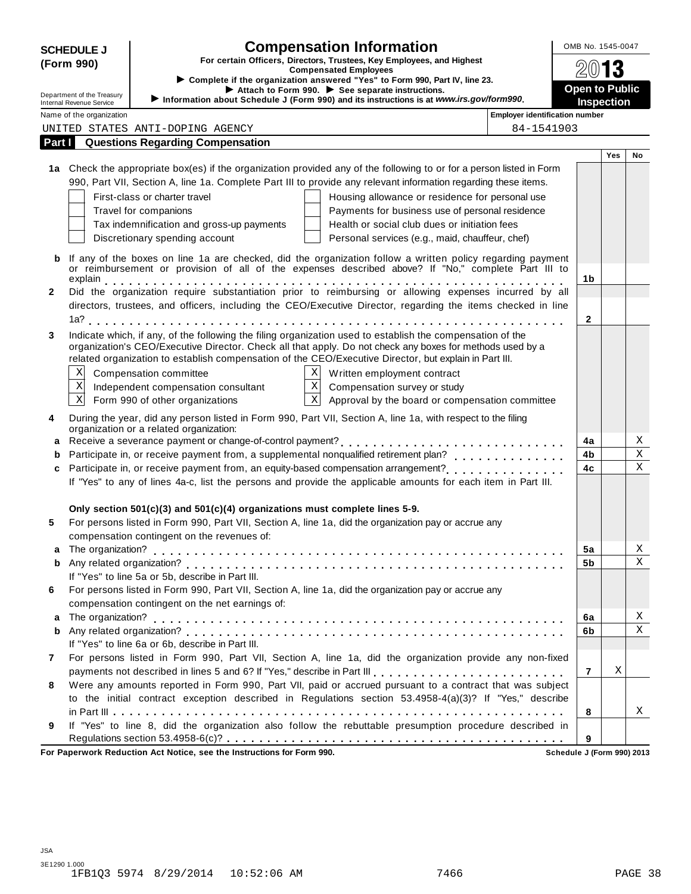|                                                                                                                     | <b>Compensation Information</b><br><b>SCHEDULE J</b>                         |                                                                                 |                                                                                                                                                                                                                         | OMB No. 1545-0047                     |                       |     |              |
|---------------------------------------------------------------------------------------------------------------------|------------------------------------------------------------------------------|---------------------------------------------------------------------------------|-------------------------------------------------------------------------------------------------------------------------------------------------------------------------------------------------------------------------|---------------------------------------|-----------------------|-----|--------------|
| For certain Officers, Directors, Trustees, Key Employees, and Highest<br>(Form 990)<br><b>Compensated Employees</b> |                                                                              |                                                                                 |                                                                                                                                                                                                                         |                                       |                       |     |              |
|                                                                                                                     | ► Complete if the organization answered "Yes" to Form 990, Part IV, line 23. |                                                                                 |                                                                                                                                                                                                                         |                                       |                       |     |              |
|                                                                                                                     | Department of the Treasury                                                   |                                                                                 | Attach to Form 990. See separate instructions.                                                                                                                                                                          |                                       | <b>Open to Public</b> |     |              |
|                                                                                                                     | Internal Revenue Service                                                     |                                                                                 | Information about Schedule J (Form 990) and its instructions is at www.irs.gov/form990.                                                                                                                                 |                                       | <b>Inspection</b>     |     |              |
|                                                                                                                     | Name of the organization                                                     |                                                                                 |                                                                                                                                                                                                                         | <b>Employer identification number</b> |                       |     |              |
|                                                                                                                     |                                                                              | UNITED STATES ANTI-DOPING AGENCY                                                |                                                                                                                                                                                                                         | 84-1541903                            |                       |     |              |
| Part I                                                                                                              |                                                                              | <b>Questions Regarding Compensation</b>                                         |                                                                                                                                                                                                                         |                                       |                       | Yes | No           |
|                                                                                                                     |                                                                              |                                                                                 | 1a Check the appropriate box(es) if the organization provided any of the following to or for a person listed in Form                                                                                                    |                                       |                       |     |              |
|                                                                                                                     |                                                                              |                                                                                 | 990, Part VII, Section A, line 1a. Complete Part III to provide any relevant information regarding these items.                                                                                                         |                                       |                       |     |              |
|                                                                                                                     |                                                                              | First-class or charter travel                                                   | Housing allowance or residence for personal use                                                                                                                                                                         |                                       |                       |     |              |
|                                                                                                                     |                                                                              | Travel for companions                                                           | Payments for business use of personal residence                                                                                                                                                                         |                                       |                       |     |              |
|                                                                                                                     |                                                                              | Tax indemnification and gross-up payments                                       | Health or social club dues or initiation fees                                                                                                                                                                           |                                       |                       |     |              |
|                                                                                                                     |                                                                              | Discretionary spending account                                                  | Personal services (e.g., maid, chauffeur, chef)                                                                                                                                                                         |                                       |                       |     |              |
|                                                                                                                     |                                                                              |                                                                                 |                                                                                                                                                                                                                         |                                       |                       |     |              |
| b                                                                                                                   |                                                                              |                                                                                 | If any of the boxes on line 1a are checked, did the organization follow a written policy regarding payment                                                                                                              |                                       |                       |     |              |
|                                                                                                                     |                                                                              |                                                                                 | or reimbursement or provision of all of the expenses described above? If "No," complete Part III to                                                                                                                     |                                       | 1b                    |     |              |
| $\mathbf{2}$                                                                                                        |                                                                              |                                                                                 | Did the organization require substantiation prior to reimbursing or allowing expenses incurred by all                                                                                                                   |                                       |                       |     |              |
|                                                                                                                     |                                                                              |                                                                                 | directors, trustees, and officers, including the CEO/Executive Director, regarding the items checked in line                                                                                                            |                                       |                       |     |              |
|                                                                                                                     |                                                                              |                                                                                 |                                                                                                                                                                                                                         |                                       | 2                     |     |              |
|                                                                                                                     |                                                                              |                                                                                 |                                                                                                                                                                                                                         |                                       |                       |     |              |
| 3                                                                                                                   |                                                                              |                                                                                 | Indicate which, if any, of the following the filing organization used to establish the compensation of the<br>organization's CEO/Executive Director. Check all that apply. Do not check any boxes for methods used by a |                                       |                       |     |              |
|                                                                                                                     |                                                                              |                                                                                 | related organization to establish compensation of the CEO/Executive Director, but explain in Part III.                                                                                                                  |                                       |                       |     |              |
|                                                                                                                     | $\mathbf X$                                                                  | Compensation committee                                                          | X Written employment contract                                                                                                                                                                                           |                                       |                       |     |              |
|                                                                                                                     | $\mathbf X$                                                                  | Independent compensation consultant                                             | $X$ Compensation survey or study                                                                                                                                                                                        |                                       |                       |     |              |
|                                                                                                                     | $\mathbf X$                                                                  | Form 990 of other organizations                                                 | $\overline{X}$ Approval by the board or compensation committee                                                                                                                                                          |                                       |                       |     |              |
|                                                                                                                     |                                                                              |                                                                                 |                                                                                                                                                                                                                         |                                       |                       |     |              |
| 4                                                                                                                   |                                                                              | organization or a related organization:                                         | During the year, did any person listed in Form 990, Part VII, Section A, line 1a, with respect to the filing                                                                                                            |                                       |                       |     |              |
| a                                                                                                                   |                                                                              |                                                                                 |                                                                                                                                                                                                                         |                                       | 4a                    |     | Χ            |
| b                                                                                                                   |                                                                              |                                                                                 |                                                                                                                                                                                                                         |                                       | 4b                    |     | $\rm X$      |
| c                                                                                                                   |                                                                              |                                                                                 |                                                                                                                                                                                                                         |                                       | 4c                    |     | $\mathbf X$  |
|                                                                                                                     |                                                                              |                                                                                 | If "Yes" to any of lines 4a-c, list the persons and provide the applicable amounts for each item in Part III.                                                                                                           |                                       |                       |     |              |
|                                                                                                                     |                                                                              |                                                                                 |                                                                                                                                                                                                                         |                                       |                       |     |              |
|                                                                                                                     |                                                                              | Only section $501(c)(3)$ and $501(c)(4)$ organizations must complete lines 5-9. |                                                                                                                                                                                                                         |                                       |                       |     |              |
| 5                                                                                                                   |                                                                              |                                                                                 | For persons listed in Form 990, Part VII, Section A, line 1a, did the organization pay or accrue any                                                                                                                    |                                       |                       |     |              |
|                                                                                                                     |                                                                              | compensation contingent on the revenues of:                                     |                                                                                                                                                                                                                         |                                       |                       |     |              |
| а                                                                                                                   |                                                                              |                                                                                 |                                                                                                                                                                                                                         |                                       | 5a                    |     | Χ            |
| b                                                                                                                   |                                                                              |                                                                                 |                                                                                                                                                                                                                         |                                       | 5b                    |     | Χ            |
|                                                                                                                     |                                                                              | If "Yes" to line 5a or 5b, describe in Part III.                                |                                                                                                                                                                                                                         |                                       |                       |     |              |
| 6                                                                                                                   |                                                                              |                                                                                 | For persons listed in Form 990, Part VII, Section A, line 1a, did the organization pay or accrue any                                                                                                                    |                                       |                       |     |              |
|                                                                                                                     |                                                                              | compensation contingent on the net earnings of:                                 |                                                                                                                                                                                                                         |                                       |                       |     |              |
| a                                                                                                                   |                                                                              |                                                                                 |                                                                                                                                                                                                                         |                                       | 6a                    |     | X            |
| b                                                                                                                   |                                                                              |                                                                                 |                                                                                                                                                                                                                         |                                       | 6b                    |     | $\mathbf{x}$ |
|                                                                                                                     |                                                                              | If "Yes" to line 6a or 6b, describe in Part III.                                |                                                                                                                                                                                                                         |                                       |                       |     |              |
| 7                                                                                                                   |                                                                              |                                                                                 | For persons listed in Form 990, Part VII, Section A, line 1a, did the organization provide any non-fixed                                                                                                                |                                       |                       |     |              |
|                                                                                                                     |                                                                              |                                                                                 |                                                                                                                                                                                                                         |                                       | $\overline{7}$        | Χ   |              |
| 8                                                                                                                   |                                                                              |                                                                                 | Were any amounts reported in Form 990, Part VII, paid or accrued pursuant to a contract that was subject                                                                                                                |                                       |                       |     |              |
|                                                                                                                     |                                                                              |                                                                                 | to the initial contract exception described in Regulations section 53.4958-4(a)(3)? If "Yes," describe                                                                                                                  |                                       |                       |     |              |
|                                                                                                                     |                                                                              |                                                                                 |                                                                                                                                                                                                                         |                                       |                       |     | X            |
|                                                                                                                     |                                                                              |                                                                                 |                                                                                                                                                                                                                         |                                       | 8                     |     |              |
| 9                                                                                                                   |                                                                              |                                                                                 | If "Yes" to line 8, did the organization also follow the rebuttable presumption procedure described in                                                                                                                  |                                       | 9                     |     |              |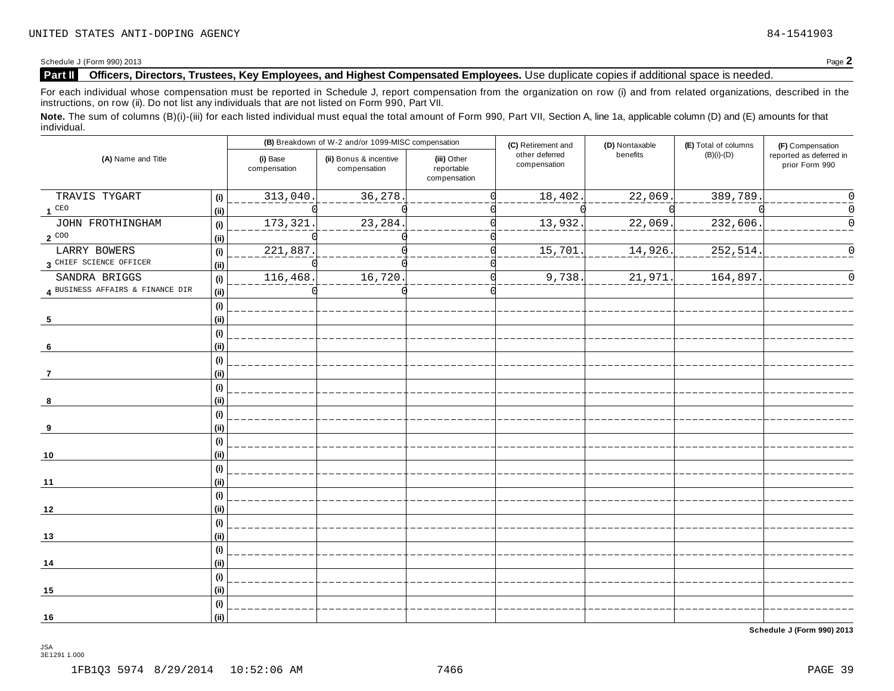Schedule <sup>J</sup> (Form 990) <sup>2013</sup> Page **2**

### **Part II Officers, Directors, Trustees, Key Employees, and Highest Compensated Employees.** Use duplicate copies ifadditional space is needed.

For each individual whose compensation must be reported in Schedule J, report compensation from the organization on row (i) and from related organizations, described in the instructions, on row (ii). Do not list any individuals that are not listed on Form 990, Part VII.

Note. The sum of columns (B)(i)-(iii) for each listed individual must equal the total amount of Form 990, Part VII, Section A, line 1a, applicable column (D) and (E) amounts for that individual.

| (A) Name and Title               |                                     | (B) Breakdown of W-2 and/or 1099-MISC compensation |                                        |                                           | (C) Retirement and             | (D) Nontaxable        | (E) Total of columns | (F) Compensation                          |
|----------------------------------|-------------------------------------|----------------------------------------------------|----------------------------------------|-------------------------------------------|--------------------------------|-----------------------|----------------------|-------------------------------------------|
|                                  |                                     | (i) Base<br>compensation                           | (ii) Bonus & incentive<br>compensation | (iii) Other<br>reportable<br>compensation | other deferred<br>compensation | benefits              | $(B)(i)-(D)$         | reported as deferred in<br>prior Form 990 |
| TRAVIS TYGART                    | (i)                                 | 313,040.                                           | 36,278.                                |                                           | 18,402                         | $\overline{22,069}$ . | 389,789.             | $\Omega$                                  |
| 1 <sup>CEO</sup>                 | (ii)                                |                                                    |                                        |                                           |                                |                       |                      | 0                                         |
| JOHN FROTHINGHAM                 | (i)                                 | 173, 321.                                          | 23, 284.                               |                                           | 13,932                         | 22,069.               | 232,606.             | $\Omega$                                  |
| $2^{\circ\circ\circ}$            | (i)                                 |                                                    |                                        |                                           |                                |                       |                      |                                           |
| LARRY BOWERS                     | (i)                                 | 221,887.                                           |                                        |                                           | 15,701                         | 14,926.               | 252,514.             | $\Omega$                                  |
| 3 CHIEF SCIENCE OFFICER          | (ii)                                |                                                    |                                        |                                           |                                |                       |                      |                                           |
| SANDRA BRIGGS                    | (i)                                 | 116,468.                                           | 16,720                                 |                                           | 9,738                          | 21,971                | 164,897              | $\Omega$                                  |
| 4 BUSINESS AFFAIRS & FINANCE DIR | (i)                                 |                                                    |                                        |                                           |                                |                       |                      |                                           |
| 5                                | $\qquad \qquad \textbf{(i)}$<br>(i) |                                                    |                                        |                                           |                                |                       |                      |                                           |
|                                  | (i)                                 |                                                    |                                        |                                           |                                |                       |                      |                                           |
| 6                                | (i)                                 |                                                    |                                        |                                           |                                |                       |                      |                                           |
|                                  | $\qquad \qquad \textbf{(i)}$        |                                                    |                                        |                                           |                                |                       |                      |                                           |
| 7                                | (ii)                                |                                                    |                                        |                                           |                                |                       |                      |                                           |
|                                  | (i)                                 |                                                    |                                        |                                           |                                |                       |                      |                                           |
| 8                                | (ii)                                |                                                    |                                        |                                           |                                |                       |                      |                                           |
|                                  | (i)                                 |                                                    |                                        |                                           |                                |                       |                      |                                           |
| 9                                | (ii)                                |                                                    |                                        |                                           |                                |                       |                      |                                           |
|                                  | (i)                                 |                                                    |                                        |                                           |                                |                       |                      |                                           |
| 10                               | (i)                                 |                                                    |                                        |                                           |                                |                       |                      |                                           |
|                                  | (i)                                 |                                                    |                                        |                                           |                                |                       |                      |                                           |
| 11                               | (i)                                 |                                                    |                                        |                                           |                                |                       |                      |                                           |
|                                  | (i)                                 |                                                    |                                        |                                           |                                |                       |                      |                                           |
| 12                               | (i)                                 |                                                    |                                        |                                           |                                |                       |                      |                                           |
|                                  | (i)                                 |                                                    |                                        |                                           |                                |                       |                      |                                           |
| 13                               | (ii)                                |                                                    |                                        |                                           |                                |                       |                      |                                           |
|                                  | (i)                                 |                                                    |                                        |                                           |                                |                       |                      |                                           |
| 14                               | (ii)                                |                                                    |                                        |                                           |                                |                       |                      |                                           |
|                                  | (i)                                 |                                                    |                                        |                                           |                                |                       |                      |                                           |
| 15                               | (i)                                 |                                                    |                                        |                                           |                                |                       |                      |                                           |
|                                  | (i)                                 |                                                    |                                        |                                           |                                |                       |                      |                                           |
| 16                               | (ii)                                |                                                    |                                        |                                           |                                |                       |                      |                                           |

**Schedule J (Form 990) 2013**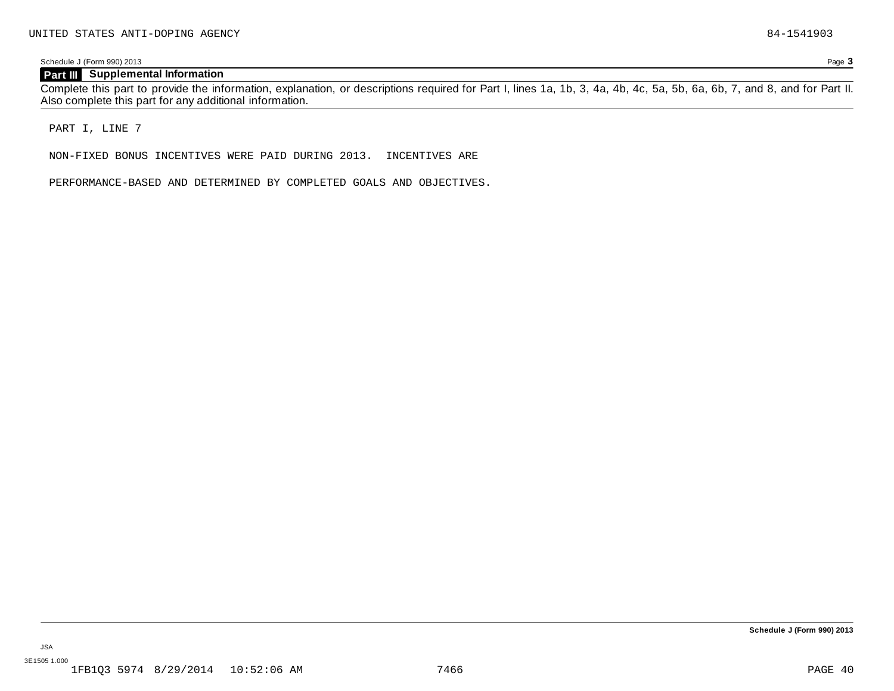### **Part III Supplemental Information**

Complete this part to provide the information, explanation, or descriptions required for Part I, lines 1a, 1b, 3, 4a, 4b, 4c, 5a, 5b, 6a, 6b, 7, and 8, and for Part II. Also complete this part for any additional information.

PART I, LINE 7

NON-FIXED BONUS INCENTIVES WERE PAID DURING 2013. INCENTIVES ARE

PERFORMANCE-BASED AND DETERMINED BY COMPLETED GOALS AND OBJECTIVES.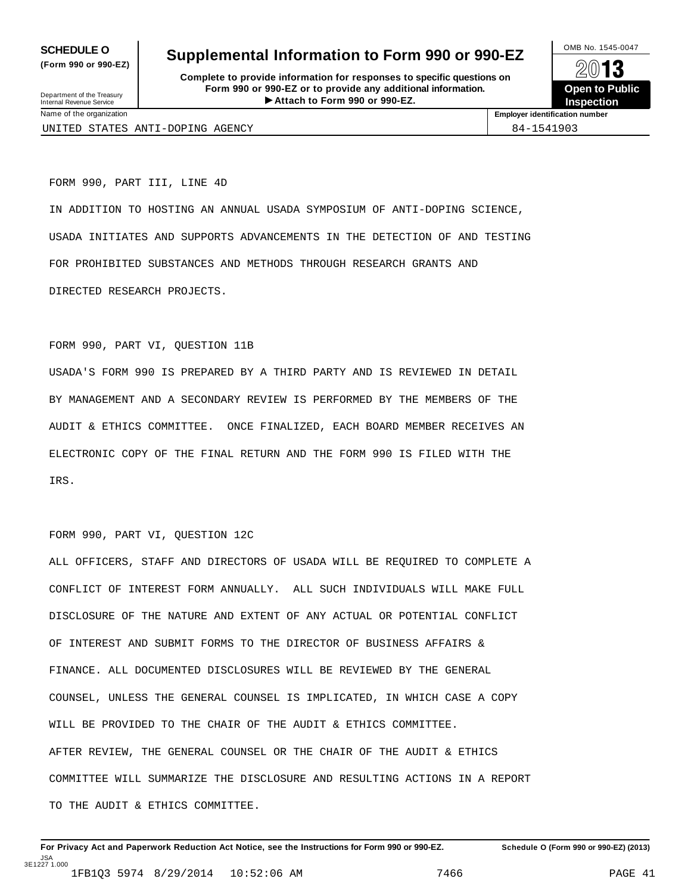**(Form 990 or 990-EZ)**

## **SCHEDULE O** Supplemental Information to Form 990 or 990-EZ  $\frac{100\text{dB No. }1545-0047}{\text{O}}$

**Complete to provide information for responses to specific questions on Form 990 or 990-EZ or to provide any additional information.** Fraction of the Proposes to specific questions on<br>
10-EZ or to provide any additional information.<br>
Attach to Form 990 or 990-EZ.<br>
Attach to Form 990 or 990-EZ. Department of the Treasury Internal Revenue Service I



UNITED STATES ANTI-DOPING AGENCY **84-1541903** 

Name of the organization **Employer identification number**

FORM 990, PART III, LINE 4D

IN ADDITION TO HOSTING AN ANNUAL USADA SYMPOSIUM OF ANTI-DOPING SCIENCE, USADA INITIATES AND SUPPORTS ADVANCEMENTS IN THE DETECTION OF AND TESTING FOR PROHIBITED SUBSTANCES AND METHODS THROUGH RESEARCH GRANTS AND DIRECTED RESEARCH PROJECTS.

### FORM 990, PART VI, QUESTION 11B

USADA'S FORM 990 IS PREPARED BY A THIRD PARTY AND IS REVIEWED IN DETAIL BY MANAGEMENT AND A SECONDARY REVIEW IS PERFORMED BY THE MEMBERS OF THE AUDIT & ETHICS COMMITTEE. ONCE FINALIZED, EACH BOARD MEMBER RECEIVES AN ELECTRONIC COPY OF THE FINAL RETURN AND THE FORM 990 IS FILED WITH THE IRS.

### FORM 990, PART VI, QUESTION 12C

ALL OFFICERS, STAFF AND DIRECTORS OF USADA WILL BE REQUIRED TO COMPLETE A CONFLICT OF INTEREST FORM ANNUALLY. ALL SUCH INDIVIDUALS WILL MAKE FULL DISCLOSURE OF THE NATURE AND EXTENT OF ANY ACTUAL OR POTENTIAL CONFLICT OF INTEREST AND SUBMIT FORMS TO THE DIRECTOR OF BUSINESS AFFAIRS & FINANCE. ALL DOCUMENTED DISCLOSURES WILL BE REVIEWED BY THE GENERAL COUNSEL, UNLESS THE GENERAL COUNSEL IS IMPLICATED, IN WHICH CASE A COPY WILL BE PROVIDED TO THE CHAIR OF THE AUDIT & ETHICS COMMITTEE. AFTER REVIEW, THE GENERAL COUNSEL OR THE CHAIR OF THE AUDIT & ETHICS COMMITTEE WILL SUMMARIZE THE DISCLOSURE AND RESULTING ACTIONS IN A REPORT TO THE AUDIT & ETHICS COMMITTEE.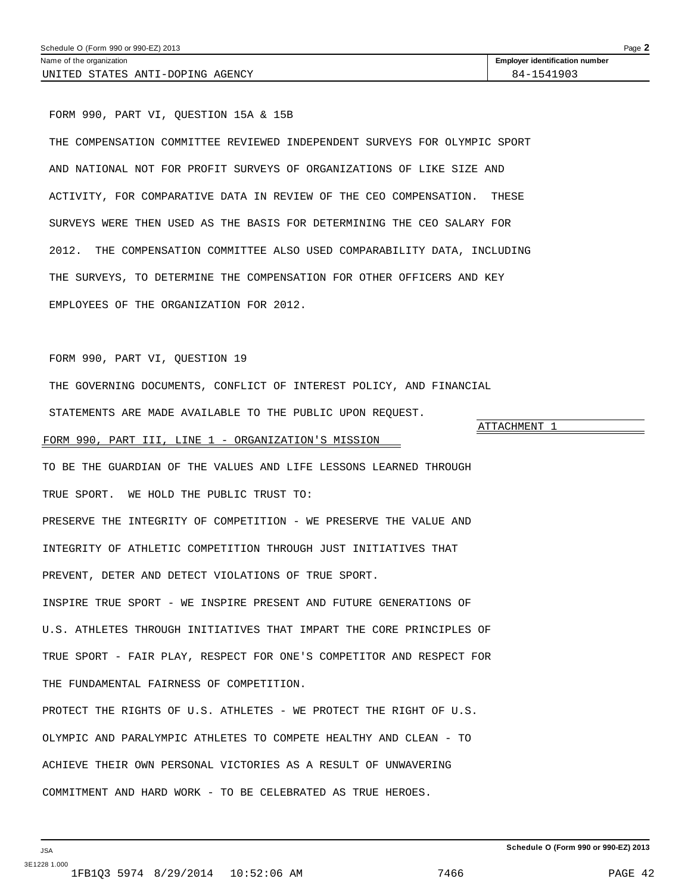# THE SURVEYS, TO DETERMINE THE COMPENSATION FOR OTHER OFFICERS AND KEY

ATTACHMENT 1

FORM 990, PART VI, QUESTION 19

EMPLOYEES OF THE ORGANIZATION FOR 2012.

<span id="page-42-0"></span>FORM 990, PART VI, QUESTION 15A & 15B

THE GOVERNING DOCUMENTS, CONFLICT OF INTEREST POLICY, AND FINANCIAL

THE COMPENSATION COMMITTEE REVIEWED INDEPENDENT SURVEYS FOR OLYMPIC SPORT

ACTIVITY, FOR COMPARATIVE DATA IN REVIEW OF THE CEO COMPENSATION. THESE

2012. THE COMPENSATION COMMITTEE ALSO USED COMPARABILITY DATA, INCLUDING

SURVEYS WERE THEN USED AS THE BASIS FOR DETERMINING THE CEO SALARY FOR

AND NATIONAL NOT FOR PROFIT SURVEYS OF ORGANIZATIONS OF LIKE SIZE AND

STATEMENTS ARE MADE AVAILABLE TO THE PUBLIC UPON REQUEST.

### FORM 990, PART III, LINE 1 - ORGANIZATION'S MISSION

TO BE THE GUARDIAN OF THE VALUES AND LIFE LESSONS LEARNED THROUGH TRUE SPORT. WE HOLD THE PUBLIC TRUST TO: PRESERVE THE INTEGRITY OF COMPETITION - WE PRESERVE THE VALUE AND INTEGRITY OF ATHLETIC COMPETITION THROUGH JUST INITIATIVES THAT PREVENT, DETER AND DETECT VIOLATIONS OF TRUE SPORT. INSPIRE TRUE SPORT - WE INSPIRE PRESENT AND FUTURE GENERATIONS OF U.S. ATHLETES THROUGH INITIATIVES THAT IMPART THE CORE PRINCIPLES OF TRUE SPORT - FAIR PLAY, RESPECT FOR ONE'S COMPETITOR AND RESPECT FOR THE FUNDAMENTAL FAIRNESS OF COMPETITION.

PROTECT THE RIGHTS OF U.S. ATHLETES - WE PROTECT THE RIGHT OF U.S. OLYMPIC AND PARALYMPIC ATHLETES TO COMPETE HEALTHY AND CLEAN - TO ACHIEVE THEIR OWN PERSONAL VICTORIES AS A RESULT OF UNWAVERING COMMITMENT AND HARD WORK - TO BE CELEBRATED AS TRUE HEROES.